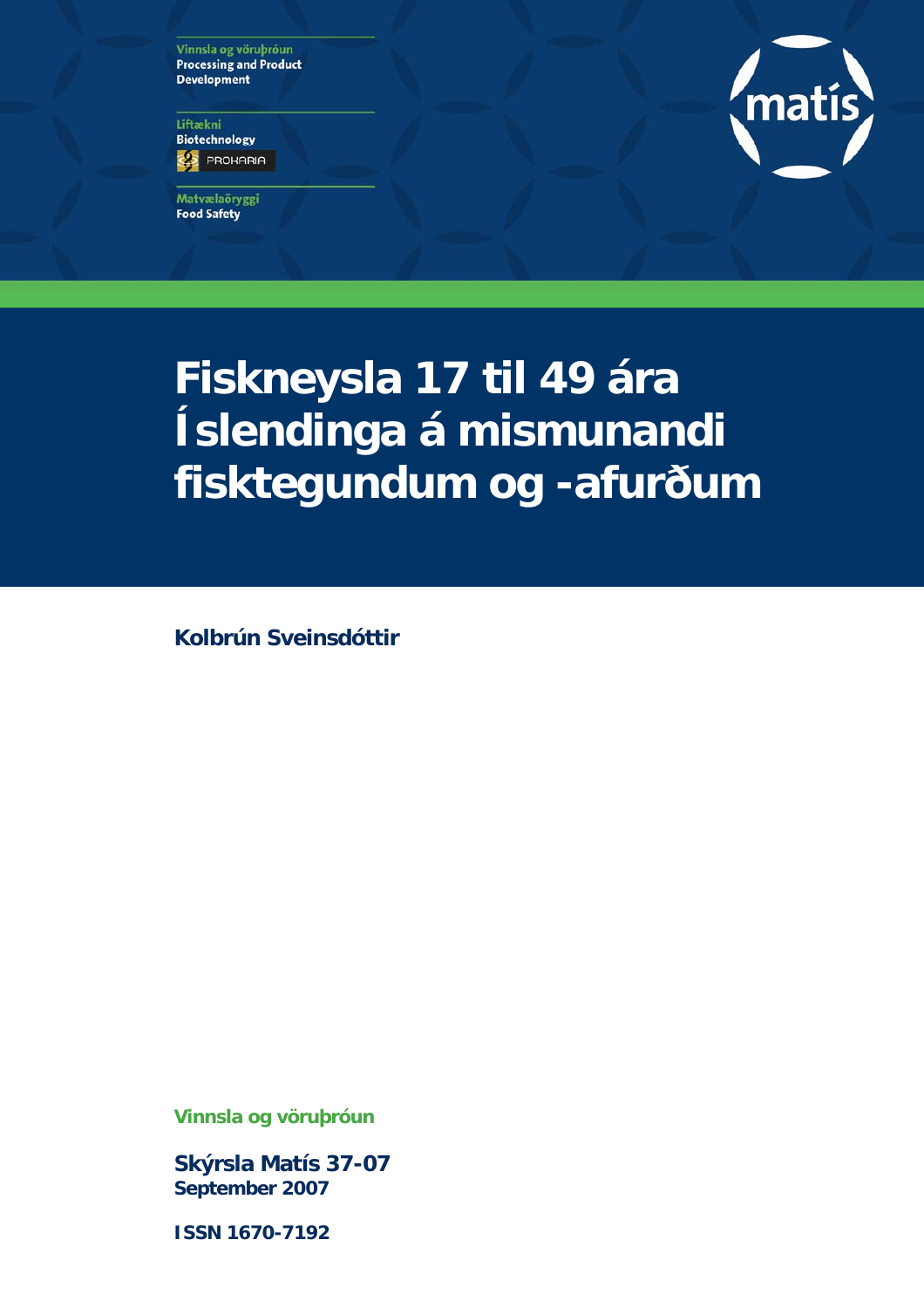Vinnsla og vöruþróun **Processing and Product Development** 

Líftækni **Biotechnology ES** PROHARIA

Matvælaöryggi **Food Safety** 



# **Fiskneysla 17 til 49 ára Íslendinga á mismunandi fisktegundum og -afurðum**

**Kolbrún Sveinsdóttir** 

**Vinnsla og vöruþróun** 

**Skýrsla Matís 37-07 September 2007** 

**ISSN 1670-7192**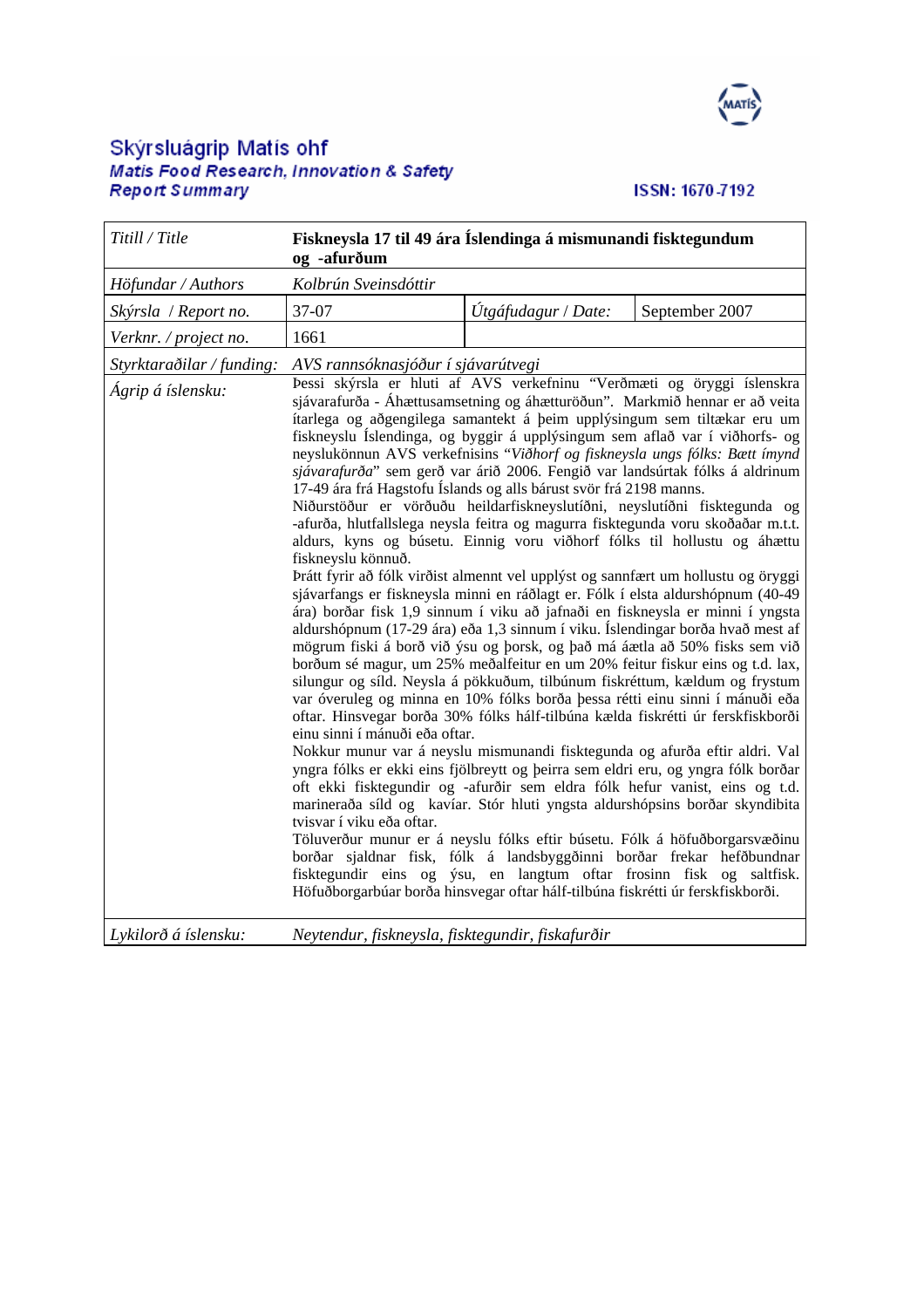

# Skýrsluágrip Matís ohf<br>Matis Food Research, Innovation & Safety<br>Report S*ummary*

#### ISSN: 1670-7192

| Titill / Title                                 | Fiskneysla 17 til 49 ára Íslendinga á mismunandi fisktegundum<br>og -afurðum                                                                                                                                                                                                                                                                                                                                                                                                                                                                                                                                                                                                                                                                                                                                                                                                                                                                                                                                                                                                                                                                                                                                                                                                                                                                                                                                                                                                                                                                                                                                                                                                                                                                                                                                                                                                                                                                                                                                                                                                                                                                                                                                                                                                                                                                   |                     |                |
|------------------------------------------------|------------------------------------------------------------------------------------------------------------------------------------------------------------------------------------------------------------------------------------------------------------------------------------------------------------------------------------------------------------------------------------------------------------------------------------------------------------------------------------------------------------------------------------------------------------------------------------------------------------------------------------------------------------------------------------------------------------------------------------------------------------------------------------------------------------------------------------------------------------------------------------------------------------------------------------------------------------------------------------------------------------------------------------------------------------------------------------------------------------------------------------------------------------------------------------------------------------------------------------------------------------------------------------------------------------------------------------------------------------------------------------------------------------------------------------------------------------------------------------------------------------------------------------------------------------------------------------------------------------------------------------------------------------------------------------------------------------------------------------------------------------------------------------------------------------------------------------------------------------------------------------------------------------------------------------------------------------------------------------------------------------------------------------------------------------------------------------------------------------------------------------------------------------------------------------------------------------------------------------------------------------------------------------------------------------------------------------------------|---------------------|----------------|
| Höfundar / Authors                             | Kolbrún Sveinsdóttir                                                                                                                                                                                                                                                                                                                                                                                                                                                                                                                                                                                                                                                                                                                                                                                                                                                                                                                                                                                                                                                                                                                                                                                                                                                                                                                                                                                                                                                                                                                                                                                                                                                                                                                                                                                                                                                                                                                                                                                                                                                                                                                                                                                                                                                                                                                           |                     |                |
| Skýrsla / Report no.                           | 37-07                                                                                                                                                                                                                                                                                                                                                                                                                                                                                                                                                                                                                                                                                                                                                                                                                                                                                                                                                                                                                                                                                                                                                                                                                                                                                                                                                                                                                                                                                                                                                                                                                                                                                                                                                                                                                                                                                                                                                                                                                                                                                                                                                                                                                                                                                                                                          | Útgáfudagur / Date: | September 2007 |
| Verknr. / project no.                          | 1661                                                                                                                                                                                                                                                                                                                                                                                                                                                                                                                                                                                                                                                                                                                                                                                                                                                                                                                                                                                                                                                                                                                                                                                                                                                                                                                                                                                                                                                                                                                                                                                                                                                                                                                                                                                                                                                                                                                                                                                                                                                                                                                                                                                                                                                                                                                                           |                     |                |
| Styrktaraðilar / funding:<br>Ágrip á íslensku: | AVS rannsóknasjóður í sjávarútvegi<br>Þessi skýrsla er hluti af AVS verkefninu "Verðmæti og öryggi íslenskra<br>sjávarafurða - Áhættusamsetning og áhætturöðun". Markmið hennar er að veita<br>ítarlega og aðgengilega samantekt á þeim upplýsingum sem tiltækar eru um<br>fiskneyslu Íslendinga, og byggir á upplýsingum sem aflað var í viðhorfs- og<br>neyslukönnun AVS verkefnisins "Viðhorf og fiskneysla ungs fólks: Bætt ímynd<br>sjávarafurða" sem gerð var árið 2006. Fengið var landsúrtak fólks á aldrinum<br>17-49 ára frá Hagstofu Íslands og alls bárust svör frá 2198 manns.<br>Niðurstöður er vörðuðu heildarfiskneyslutíðni, neyslutíðni fisktegunda og<br>-afurða, hlutfallslega neysla feitra og magurra fisktegunda voru skoðaðar m.t.t.<br>aldurs, kyns og búsetu. Einnig voru viðhorf fólks til hollustu og áhættu<br>fiskneyslu könnuð.<br>Þrátt fyrir að fólk virðist almennt vel upplýst og sannfært um hollustu og öryggi<br>sjávarfangs er fiskneysla minni en ráðlagt er. Fólk í elsta aldurshópnum (40-49<br>ára) borðar fisk 1,9 sinnum í viku að jafnaði en fiskneysla er minni í yngsta<br>aldurshópnum (17-29 ára) eða 1,3 sinnum í viku. Íslendingar borða hvað mest af<br>mögrum fiski á borð við ýsu og þorsk, og það má áætla að 50% fisks sem við<br>borðum sé magur, um 25% meðalfeitur en um 20% feitur fiskur eins og t.d. lax,<br>silungur og síld. Neysla á pökkuðum, tilbúnum fiskréttum, kældum og frystum<br>var óveruleg og minna en 10% fólks borða þessa rétti einu sinni í mánuði eða<br>oftar. Hinsvegar borða 30% fólks hálf-tilbúna kælda fiskrétti úr ferskfiskborði<br>einu sinni í mánuði eða oftar.<br>Nokkur munur var á neyslu mismunandi fisktegunda og afurða eftir aldri. Val<br>yngra fólks er ekki eins fjölbreytt og þeirra sem eldri eru, og yngra fólk borðar<br>oft ekki fisktegundir og -afurðir sem eldra fólk hefur vanist, eins og t.d.<br>marineraða síld og kavíar. Stór hluti yngsta aldurshópsins borðar skyndibita<br>tvisvar í viku eða oftar.<br>Töluverður munur er á neyslu fólks eftir búsetu. Fólk á höfuðborgarsvæðinu<br>borðar sjaldnar fisk, fólk á landsbyggðinni borðar frekar hefðbundnar<br>fisktegundir eins og ýsu, en langtum oftar frosinn fisk og saltfisk.<br>Höfuðborgarbúar borða hinsvegar oftar hálf-tilbúna fiskrétti úr ferskfiskborði. |                     |                |
| Lykilorð á íslensku:                           | Neytendur, fiskneysla, fisktegundir, fiskafurðir                                                                                                                                                                                                                                                                                                                                                                                                                                                                                                                                                                                                                                                                                                                                                                                                                                                                                                                                                                                                                                                                                                                                                                                                                                                                                                                                                                                                                                                                                                                                                                                                                                                                                                                                                                                                                                                                                                                                                                                                                                                                                                                                                                                                                                                                                               |                     |                |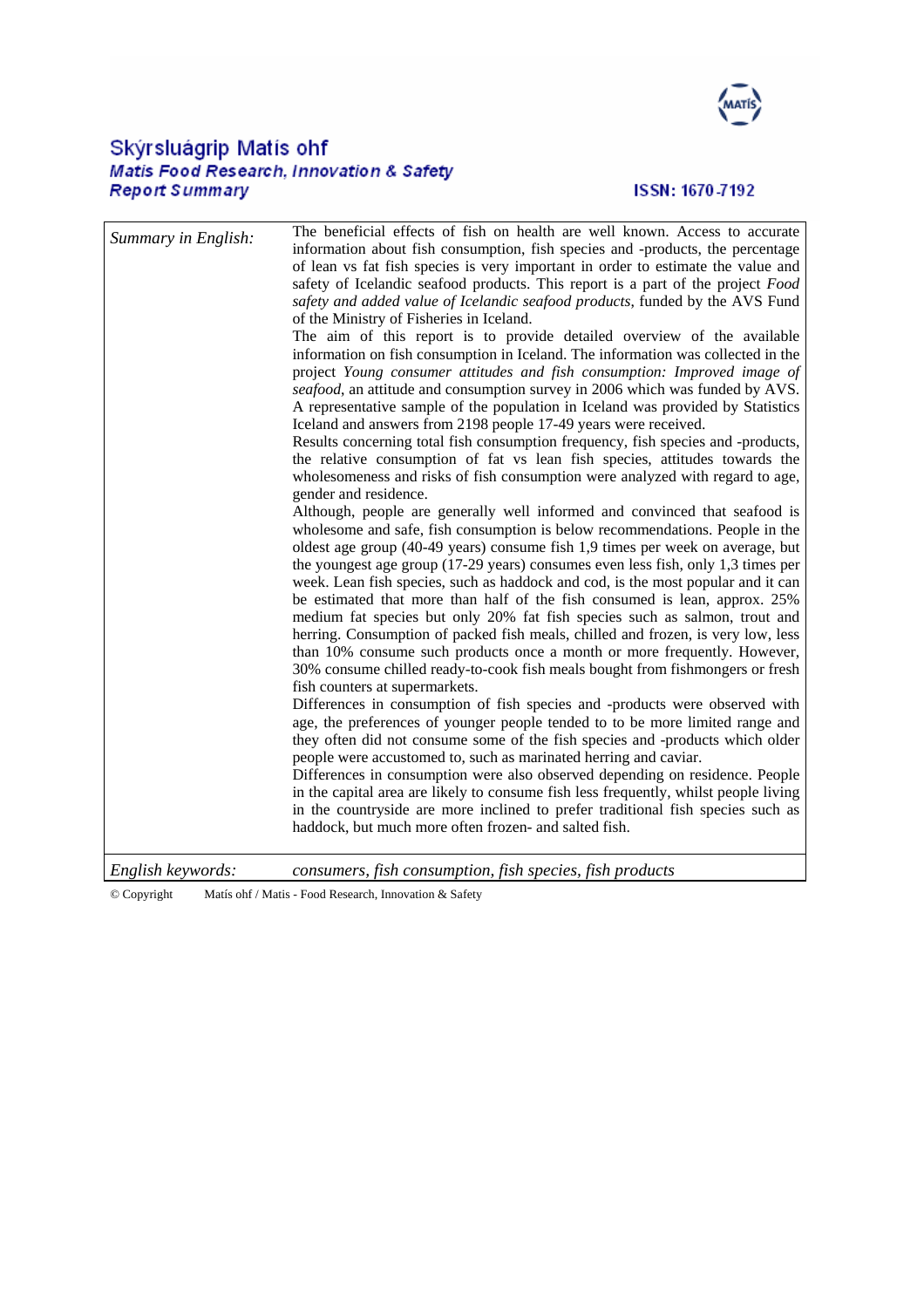

## Skýrsluágrip Matís ohf<br>Matis Food Research, Innovation & Safety **Report Summary**

#### ISSN: 1670-7192

| Summary in English: | The beneficial effects of fish on health are well known. Access to accurate<br>information about fish consumption, fish species and -products, the percentage<br>of lean vs fat fish species is very important in order to estimate the value and<br>safety of Icelandic seafood products. This report is a part of the project Food<br>safety and added value of Icelandic seafood products, funded by the AVS Fund<br>of the Ministry of Fisheries in Iceland.<br>The aim of this report is to provide detailed overview of the available<br>information on fish consumption in Iceland. The information was collected in the<br>project Young consumer attitudes and fish consumption: Improved image of<br>seafood, an attitude and consumption survey in 2006 which was funded by AVS.<br>A representative sample of the population in Iceland was provided by Statistics<br>Iceland and answers from 2198 people 17-49 years were received.<br>Results concerning total fish consumption frequency, fish species and -products,<br>the relative consumption of fat vs lean fish species, attitudes towards the<br>wholesomeness and risks of fish consumption were analyzed with regard to age,<br>gender and residence.<br>Although, people are generally well informed and convinced that seafood is<br>wholesome and safe, fish consumption is below recommendations. People in the<br>oldest age group (40-49 years) consume fish 1,9 times per week on average, but<br>the youngest age group (17-29 years) consumes even less fish, only 1,3 times per<br>week. Lean fish species, such as haddock and cod, is the most popular and it can<br>be estimated that more than half of the fish consumed is lean, approx. 25%<br>medium fat species but only 20% fat fish species such as salmon, trout and<br>herring. Consumption of packed fish meals, chilled and frozen, is very low, less<br>than 10% consume such products once a month or more frequently. However,<br>30% consume chilled ready-to-cook fish meals bought from fishmongers or fresh<br>fish counters at supermarkets.<br>Differences in consumption of fish species and -products were observed with<br>age, the preferences of younger people tended to to be more limited range and<br>they often did not consume some of the fish species and -products which older<br>people were accustomed to, such as marinated herring and caviar.<br>Differences in consumption were also observed depending on residence. People<br>in the capital area are likely to consume fish less frequently, whilst people living<br>in the countryside are more inclined to prefer traditional fish species such as<br>haddock, but much more often frozen- and salted fish. |
|---------------------|------------------------------------------------------------------------------------------------------------------------------------------------------------------------------------------------------------------------------------------------------------------------------------------------------------------------------------------------------------------------------------------------------------------------------------------------------------------------------------------------------------------------------------------------------------------------------------------------------------------------------------------------------------------------------------------------------------------------------------------------------------------------------------------------------------------------------------------------------------------------------------------------------------------------------------------------------------------------------------------------------------------------------------------------------------------------------------------------------------------------------------------------------------------------------------------------------------------------------------------------------------------------------------------------------------------------------------------------------------------------------------------------------------------------------------------------------------------------------------------------------------------------------------------------------------------------------------------------------------------------------------------------------------------------------------------------------------------------------------------------------------------------------------------------------------------------------------------------------------------------------------------------------------------------------------------------------------------------------------------------------------------------------------------------------------------------------------------------------------------------------------------------------------------------------------------------------------------------------------------------------------------------------------------------------------------------------------------------------------------------------------------------------------------------------------------------------------------------------------------------------------------------------------------------------------------------------------------------------------------------------------------------------------------------------------------------------------------------------------------------|
| English keywords:   | consumers, fish consumption, fish species, fish products                                                                                                                                                                                                                                                                                                                                                                                                                                                                                                                                                                                                                                                                                                                                                                                                                                                                                                                                                                                                                                                                                                                                                                                                                                                                                                                                                                                                                                                                                                                                                                                                                                                                                                                                                                                                                                                                                                                                                                                                                                                                                                                                                                                                                                                                                                                                                                                                                                                                                                                                                                                                                                                                                       |

*English keywords: consumers, fish consumption, fish species, fish products* 

© Copyright Matís ohf / Matis - Food Research, Innovation & Safety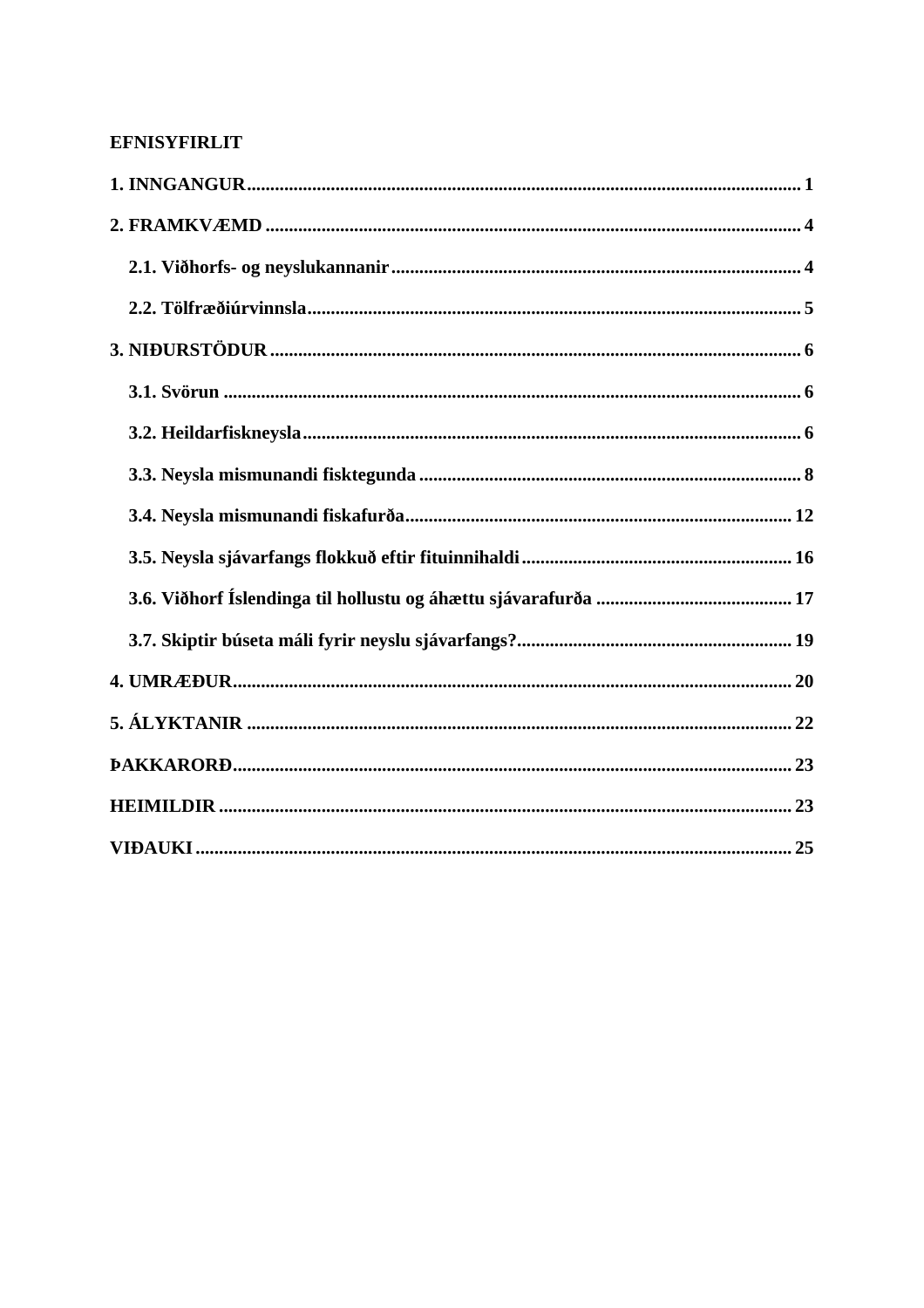#### **EFNISYFIRLIT**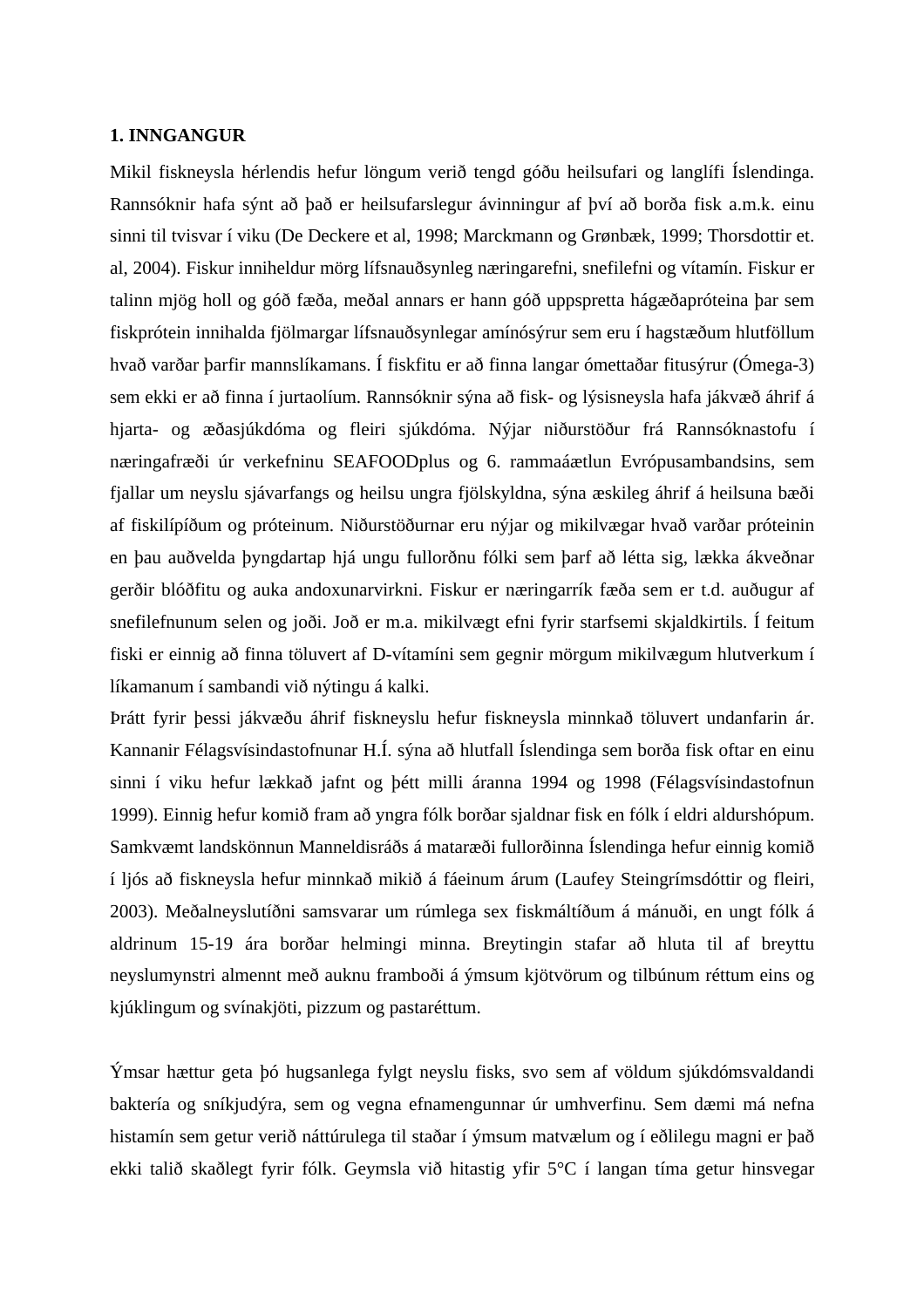#### <span id="page-4-0"></span>**1. INNGANGUR**

Mikil fiskneysla hérlendis hefur löngum verið tengd góðu heilsufari og langlífi Íslendinga. Rannsóknir hafa sýnt að það er heilsufarslegur ávinningur af því að borða fisk a.m.k. einu sinni til tvisvar í viku (De Deckere et al, 1998; Marckmann og Grønbæk, 1999; Thorsdottir et. al, 2004). Fiskur inniheldur mörg lífsnauðsynleg næringarefni, snefilefni og vítamín. Fiskur er talinn mjög holl og góð fæða, meðal annars er hann góð uppspretta hágæðapróteina þar sem fiskprótein innihalda fjölmargar lífsnauðsynlegar amínósýrur sem eru í hagstæðum hlutföllum hvað varðar þarfir mannslíkamans. Í fiskfitu er að finna langar ómettaðar fitusýrur (Ómega-3) sem ekki er að finna í jurtaolíum. Rannsóknir sýna að fisk- og lýsisneysla hafa jákvæð áhrif á hjarta- og æðasjúkdóma og fleiri sjúkdóma. Nýjar niðurstöður frá Rannsóknastofu í næringafræði úr verkefninu SEAFOODplus og 6. rammaáætlun Evrópusambandsins, sem fjallar um neyslu sjávarfangs og heilsu ungra fjölskyldna, sýna æskileg áhrif á heilsuna bæði af fiskilípíðum og próteinum. Niðurstöðurnar eru nýjar og mikilvægar hvað varðar próteinin en þau auðvelda þyngdartap hjá ungu fullorðnu fólki sem þarf að létta sig, lækka ákveðnar gerðir blóðfitu og auka andoxunarvirkni. Fiskur er næringarrík fæða sem er t.d. auðugur af snefilefnunum selen og joði. Joð er m.a. mikilvægt efni fyrir starfsemi skjaldkirtils. Í feitum fiski er einnig að finna töluvert af D-vítamíni sem gegnir mörgum mikilvægum hlutverkum í líkamanum í sambandi við nýtingu á kalki.

Þrátt fyrir þessi jákvæðu áhrif fiskneyslu hefur fiskneysla minnkað töluvert undanfarin ár. Kannanir Félagsvísindastofnunar H.Í. sýna að hlutfall Íslendinga sem borða fisk oftar en einu sinni í viku hefur lækkað jafnt og þétt milli áranna 1994 og 1998 (Félagsvísindastofnun 1999). Einnig hefur komið fram að yngra fólk borðar sjaldnar fisk en fólk í eldri aldurshópum. Samkvæmt landskönnun Manneldisráðs á mataræði fullorðinna Íslendinga hefur einnig komið í ljós að fiskneysla hefur minnkað mikið á fáeinum árum (Laufey Steingrímsdóttir og fleiri, 2003). Meðalneyslutíðni samsvarar um rúmlega sex fiskmáltíðum á mánuði, en ungt fólk á aldrinum 15-19 ára borðar helmingi minna. Breytingin stafar að hluta til af breyttu neyslumynstri almennt með auknu framboði á ýmsum kjötvörum og tilbúnum réttum eins og kjúklingum og svínakjöti, pizzum og pastaréttum.

Ýmsar hættur geta þó hugsanlega fylgt neyslu fisks, svo sem af völdum sjúkdómsvaldandi baktería og sníkjudýra, sem og vegna efnamengunnar úr umhverfinu. Sem dæmi má nefna histamín sem getur verið náttúrulega til staðar í ýmsum matvælum og í eðlilegu magni er það ekki talið skaðlegt fyrir fólk. Geymsla við hitastig yfir 5°C í langan tíma getur hinsvegar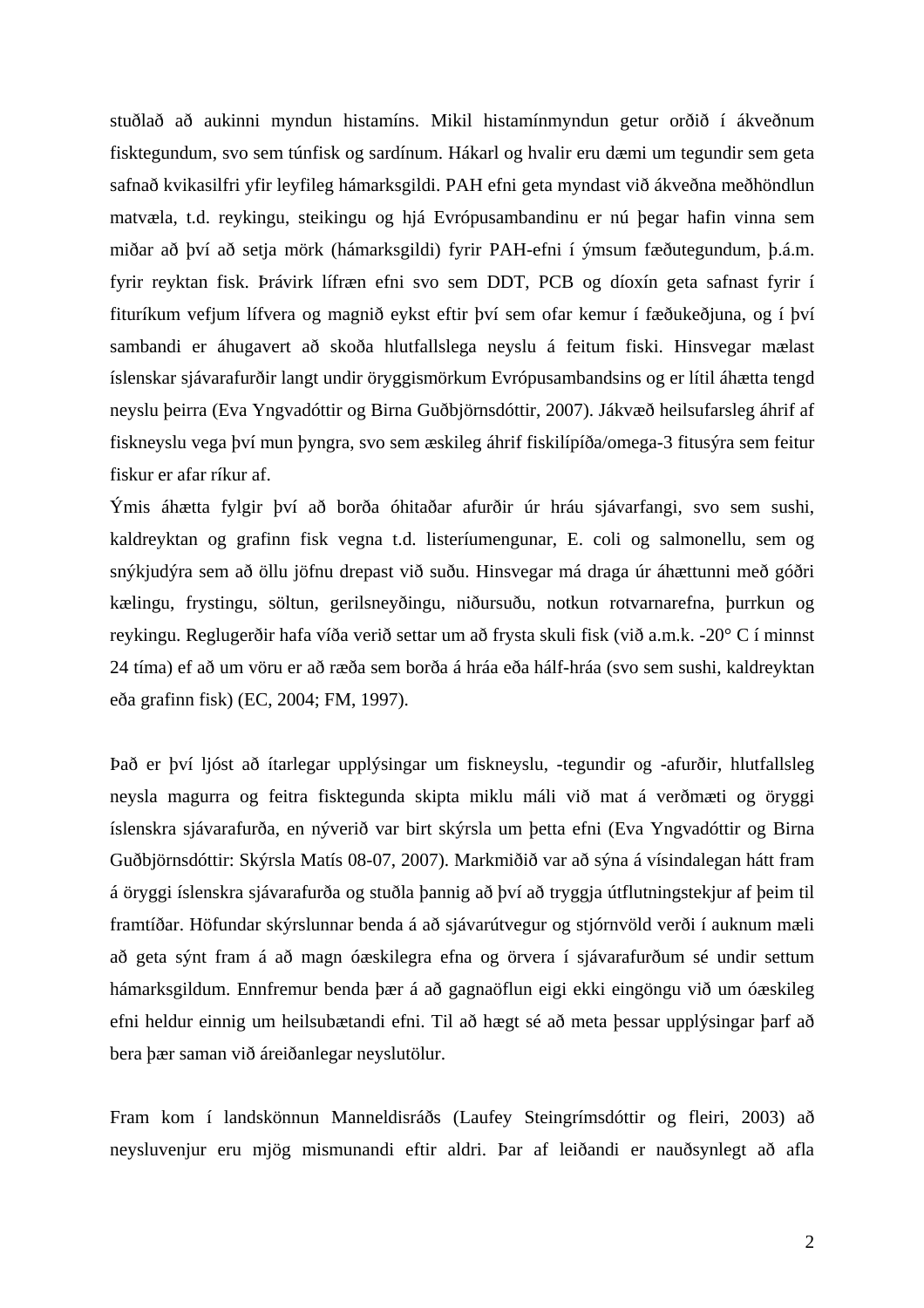stuðlað að aukinni myndun histamíns. Mikil histamínmyndun getur orðið í ákveðnum fisktegundum, svo sem túnfisk og sardínum. Hákarl og hvalir eru dæmi um tegundir sem geta safnað kvikasilfri yfir leyfileg hámarksgildi. PAH efni geta myndast við ákveðna meðhöndlun matvæla, t.d. reykingu, steikingu og hjá Evrópusambandinu er nú þegar hafin vinna sem miðar að því að setja mörk (hámarksgildi) fyrir PAH-efni í ýmsum fæðutegundum, þ.á.m. fyrir reyktan fisk. Þrávirk lífræn efni svo sem DDT, PCB og díoxín geta safnast fyrir í fituríkum vefjum lífvera og magnið eykst eftir því sem ofar kemur í fæðukeðjuna, og í því sambandi er áhugavert að skoða hlutfallslega neyslu á feitum fiski. Hinsvegar mælast íslenskar sjávarafurðir langt undir öryggismörkum Evrópusambandsins og er lítil áhætta tengd neyslu þeirra (Eva Yngvadóttir og Birna Guðbjörnsdóttir, 2007). Jákvæð heilsufarsleg áhrif af fiskneyslu vega því mun þyngra, svo sem æskileg áhrif fiskilípíða/omega-3 fitusýra sem feitur fiskur er afar ríkur af.

Ýmis áhætta fylgir því að borða óhitaðar afurðir úr hráu sjávarfangi, svo sem sushi, kaldreyktan og grafinn fisk vegna t.d. listeríumengunar, E. coli og salmonellu, sem og snýkjudýra sem að öllu jöfnu drepast við suðu. Hinsvegar má draga úr áhættunni með góðri kælingu, frystingu, söltun, gerilsneyðingu, niðursuðu, notkun rotvarnarefna, þurrkun og reykingu. Reglugerðir hafa víða verið settar um að frysta skuli fisk (við a.m.k. -20° C í minnst 24 tíma) ef að um vöru er að ræða sem borða á hráa eða hálf-hráa (svo sem sushi, kaldreyktan eða grafinn fisk) (EC, 2004; FM, 1997).

Það er því ljóst að ítarlegar upplýsingar um fiskneyslu, -tegundir og -afurðir, hlutfallsleg neysla magurra og feitra fisktegunda skipta miklu máli við mat á verðmæti og öryggi íslenskra sjávarafurða, en nýverið var birt skýrsla um þetta efni (Eva Yngvadóttir og Birna Guðbjörnsdóttir: Skýrsla Matís 08-07, 2007). Markmiðið var að sýna á vísindalegan hátt fram á öryggi íslenskra sjávarafurða og stuðla þannig að því að tryggja útflutningstekjur af þeim til framtíðar. Höfundar skýrslunnar benda á að sjávarútvegur og stjórnvöld verði í auknum mæli að geta sýnt fram á að magn óæskilegra efna og örvera í sjávarafurðum sé undir settum hámarksgildum. Ennfremur benda þær á að gagnaöflun eigi ekki eingöngu við um óæskileg efni heldur einnig um heilsubætandi efni. Til að hægt sé að meta þessar upplýsingar þarf að bera þær saman við áreiðanlegar neyslutölur.

Fram kom í landskönnun Manneldisráðs (Laufey Steingrímsdóttir og fleiri, 2003) að neysluvenjur eru mjög mismunandi eftir aldri. Þar af leiðandi er nauðsynlegt að afla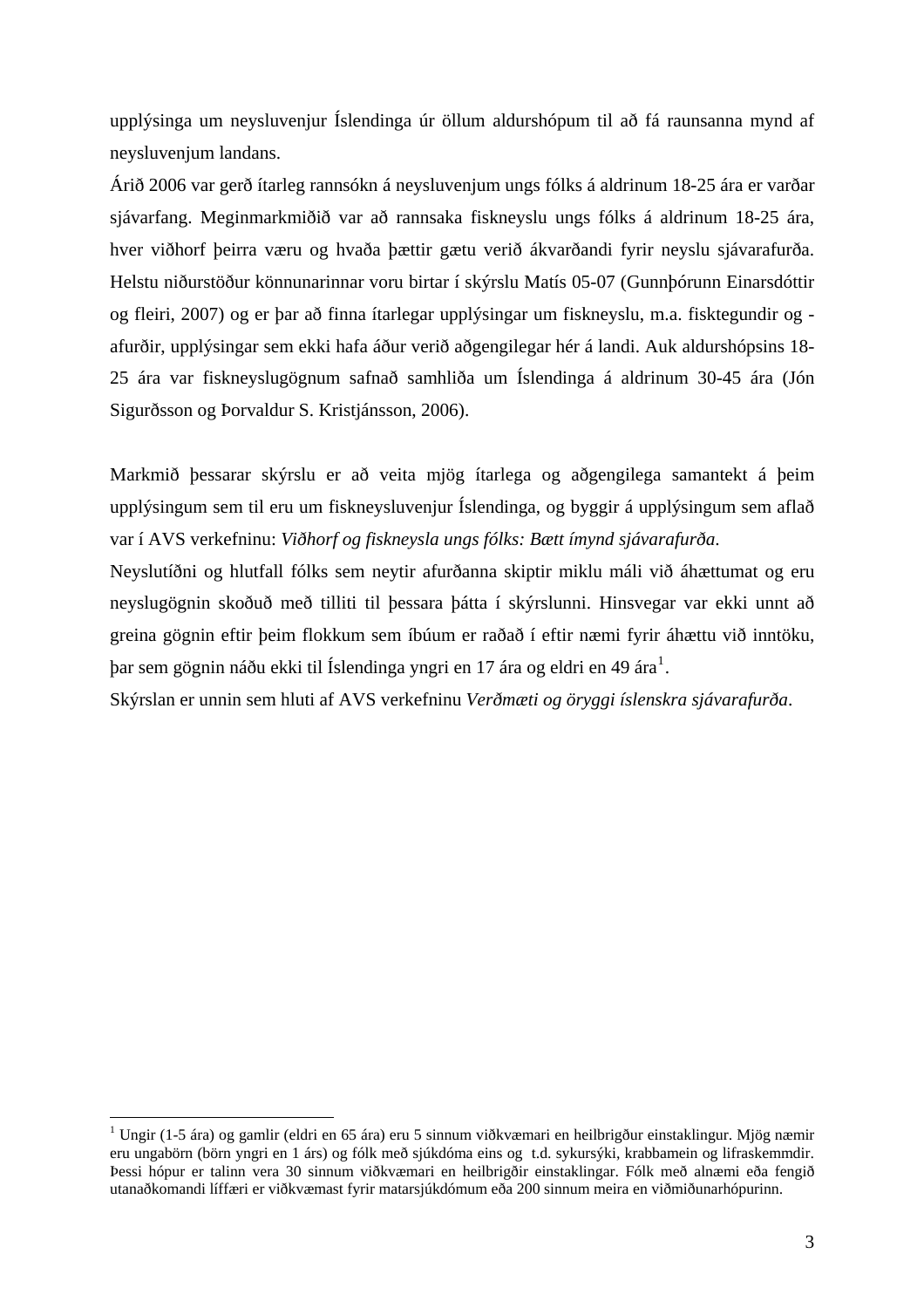upplýsinga um neysluvenjur Íslendinga úr öllum aldurshópum til að fá raunsanna mynd af neysluvenjum landans.

Árið 2006 var gerð ítarleg rannsókn á neysluvenjum ungs fólks á aldrinum 18-25 ára er varðar sjávarfang. Meginmarkmiðið var að rannsaka fiskneyslu ungs fólks á aldrinum 18-25 ára, hver viðhorf þeirra væru og hvaða þættir gætu verið ákvarðandi fyrir neyslu sjávarafurða. Helstu niðurstöður könnunarinnar voru birtar í skýrslu Matís 05-07 (Gunnþórunn Einarsdóttir og fleiri, 2007) og er þar að finna ítarlegar upplýsingar um fiskneyslu, m.a. fisktegundir og afurðir, upplýsingar sem ekki hafa áður verið aðgengilegar hér á landi. Auk aldurshópsins 18- 25 ára var fiskneyslugögnum safnað samhliða um Íslendinga á aldrinum 30-45 ára (Jón Sigurðsson og Þorvaldur S. Kristjánsson, 2006).

Markmið þessarar skýrslu er að veita mjög ítarlega og aðgengilega samantekt á þeim upplýsingum sem til eru um fiskneysluvenjur Íslendinga, og byggir á upplýsingum sem aflað var í AVS verkefninu: *Viðhorf og fiskneysla ungs fólks: Bætt ímynd sjávarafurða*.

Neyslutíðni og hlutfall fólks sem neytir afurðanna skiptir miklu máli við áhættumat og eru neyslugögnin skoðuð með tilliti til þessara þátta í skýrslunni. Hinsvegar var ekki unnt að greina gögnin eftir þeim flokkum sem íbúum er raðað í eftir næmi fyrir áhættu við inntöku, þar sem gögnin náðu ekki til Íslendinga yngri en [1](#page-6-0)7 ára og eldri en 49 ára $^{\rm l}$ .

Skýrslan er unnin sem hluti af AVS verkefninu *Verðmæti og öryggi íslenskra sjávarafurða*.

1

<span id="page-6-0"></span><sup>&</sup>lt;sup>1</sup> Ungir (1-5 ára) og gamlir (eldri en 65 ára) eru 5 sinnum við kvæmari en heilbrigður einstaklingur. Mjög næmir eru ungabörn (börn yngri en 1 árs) og fólk með sjúkdóma eins og t.d. sykursýki, krabbamein og lifraskemmdir. Þessi hópur er talinn vera 30 sinnum viðkvæmari en heilbrigðir einstaklingar. Fólk með alnæmi eða fengið utanaðkomandi líffæri er viðkvæmast fyrir matarsjúkdómum eða 200 sinnum meira en viðmiðunarhópurinn.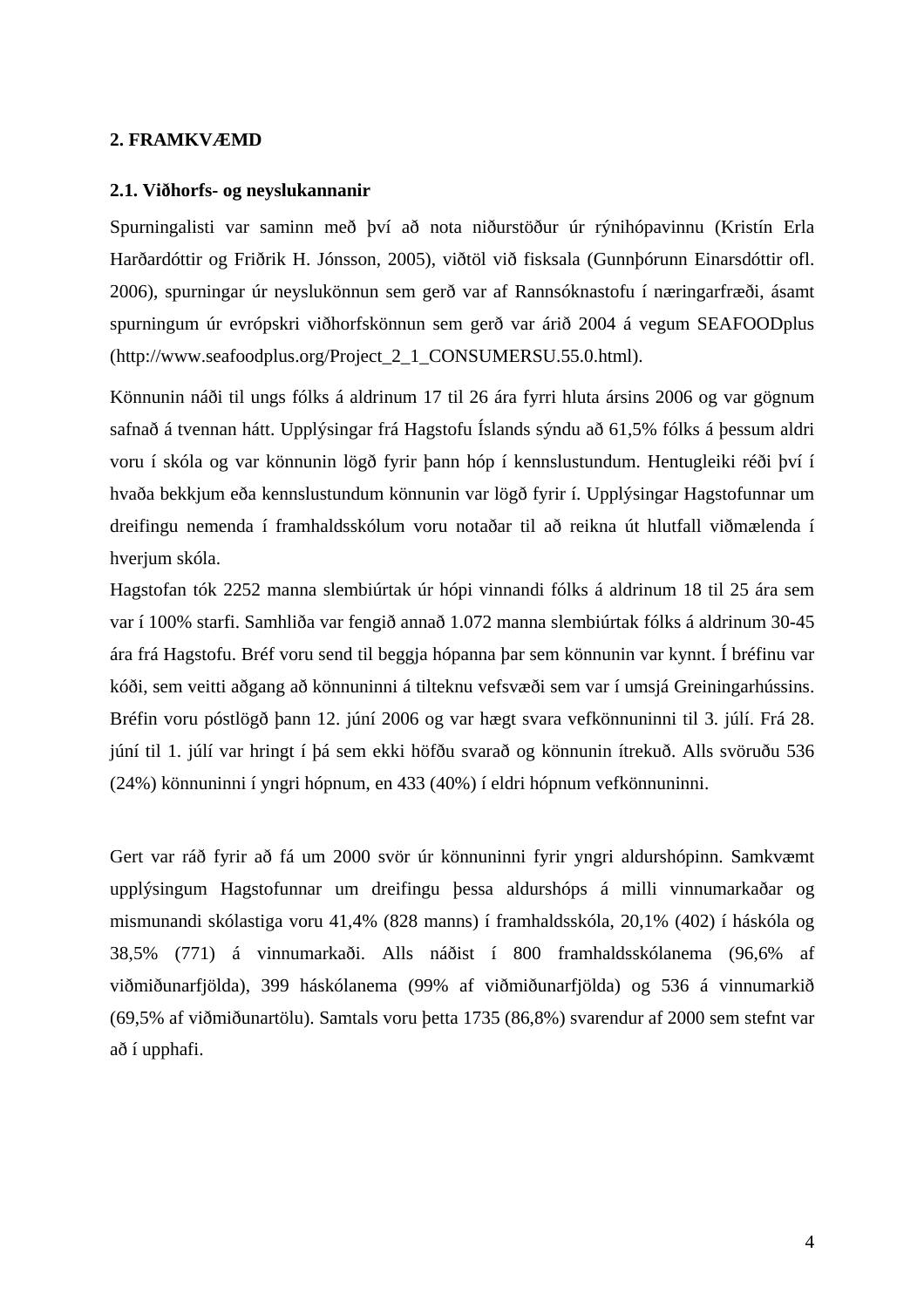#### <span id="page-7-0"></span>**2. FRAMKVÆMD**

#### **2.1. Viðhorfs- og neyslukannanir**

Spurningalisti var saminn með því að nota niðurstöður úr rýnihópavinnu (Kristín Erla Harðardóttir og Friðrik H. Jónsson, 2005), viðtöl við fisksala (Gunnþórunn Einarsdóttir ofl. 2006), spurningar úr neyslukönnun sem gerð var af Rannsóknastofu í næringarfræði, ásamt spurningum úr evrópskri viðhorfskönnun sem gerð var árið 2004 á vegum SEAFOODplus (http://www.seafoodplus.org/Project\_2\_1\_CONSUMERSU.55.0.html).

Könnunin náði til ungs fólks á aldrinum 17 til 26 ára fyrri hluta ársins 2006 og var gögnum safnað á tvennan hátt. Upplýsingar frá Hagstofu Íslands sýndu að 61,5% fólks á þessum aldri voru í skóla og var könnunin lögð fyrir þann hóp í kennslustundum. Hentugleiki réði því í hvaða bekkjum eða kennslustundum könnunin var lögð fyrir í. Upplýsingar Hagstofunnar um dreifingu nemenda í framhaldsskólum voru notaðar til að reikna út hlutfall viðmælenda í hverjum skóla.

Hagstofan tók 2252 manna slembiúrtak úr hópi vinnandi fólks á aldrinum 18 til 25 ára sem var í 100% starfi. Samhliða var fengið annað 1.072 manna slembiúrtak fólks á aldrinum 30-45 ára frá Hagstofu. Bréf voru send til beggja hópanna þar sem könnunin var kynnt. Í bréfinu var kóði, sem veitti aðgang að könnuninni á tilteknu vefsvæði sem var í umsjá Greiningarhússins. Bréfin voru póstlögð þann 12. júní 2006 og var hægt svara vefkönnuninni til 3. júlí. Frá 28. júní til 1. júlí var hringt í þá sem ekki höfðu svarað og könnunin ítrekuð. Alls svöruðu 536 (24%) könnuninni í yngri hópnum, en 433 (40%) í eldri hópnum vefkönnuninni.

Gert var ráð fyrir að fá um 2000 svör úr könnuninni fyrir yngri aldurshópinn. Samkvæmt upplýsingum Hagstofunnar um dreifingu þessa aldurshóps á milli vinnumarkaðar og mismunandi skólastiga voru 41,4% (828 manns) í framhaldsskóla, 20,1% (402) í háskóla og 38,5% (771) á vinnumarkaði. Alls náðist í 800 framhaldsskólanema (96,6% af viðmiðunarfjölda), 399 háskólanema (99% af viðmiðunarfjölda) og 536 á vinnumarkið (69,5% af viðmiðunartölu). Samtals voru þetta 1735 (86,8%) svarendur af 2000 sem stefnt var að í upphafi.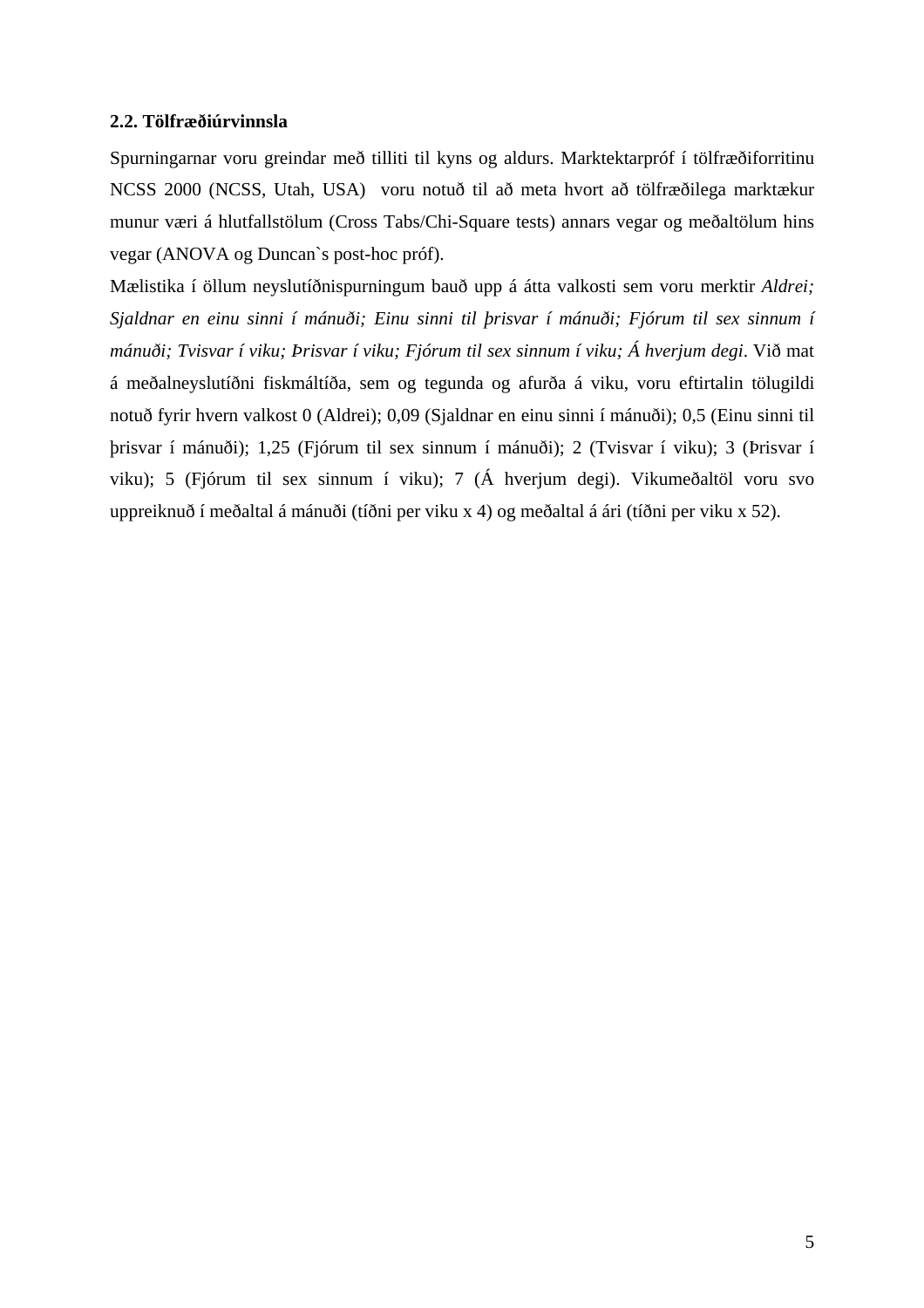#### <span id="page-8-0"></span>**2.2. Tölfræðiúrvinnsla**

Spurningarnar voru greindar með tilliti til kyns og aldurs. Marktektarpróf í tölfræðiforritinu NCSS 2000 (NCSS, Utah, USA) voru notuð til að meta hvort að tölfræðilega marktækur munur væri á hlutfallstölum (Cross Tabs/Chi-Square tests) annars vegar og meðaltölum hins vegar (ANOVA og Duncan`s post-hoc próf).

Mælistika í öllum neyslutíðnispurningum bauð upp á átta valkosti sem voru merktir *Aldrei; Sjaldnar en einu sinni í mánuði; Einu sinni til þrisvar í mánuði; Fjórum til sex sinnum í mánuði; Tvisvar í viku; Þrisvar í viku; Fjórum til sex sinnum í viku; Á hverjum degi*. Við mat á meðalneyslutíðni fiskmáltíða, sem og tegunda og afurða á viku, voru eftirtalin tölugildi notuð fyrir hvern valkost 0 (Aldrei); 0,09 (Sjaldnar en einu sinni í mánuði); 0,5 (Einu sinni til þrisvar í mánuði); 1,25 (Fjórum til sex sinnum í mánuði); 2 (Tvisvar í viku); 3 (Þrisvar í viku); 5 (Fjórum til sex sinnum í viku); 7 (Á hverjum degi). Vikumeðaltöl voru svo uppreiknuð í meðaltal á mánuði (tíðni per viku x 4) og meðaltal á ári (tíðni per viku x 52).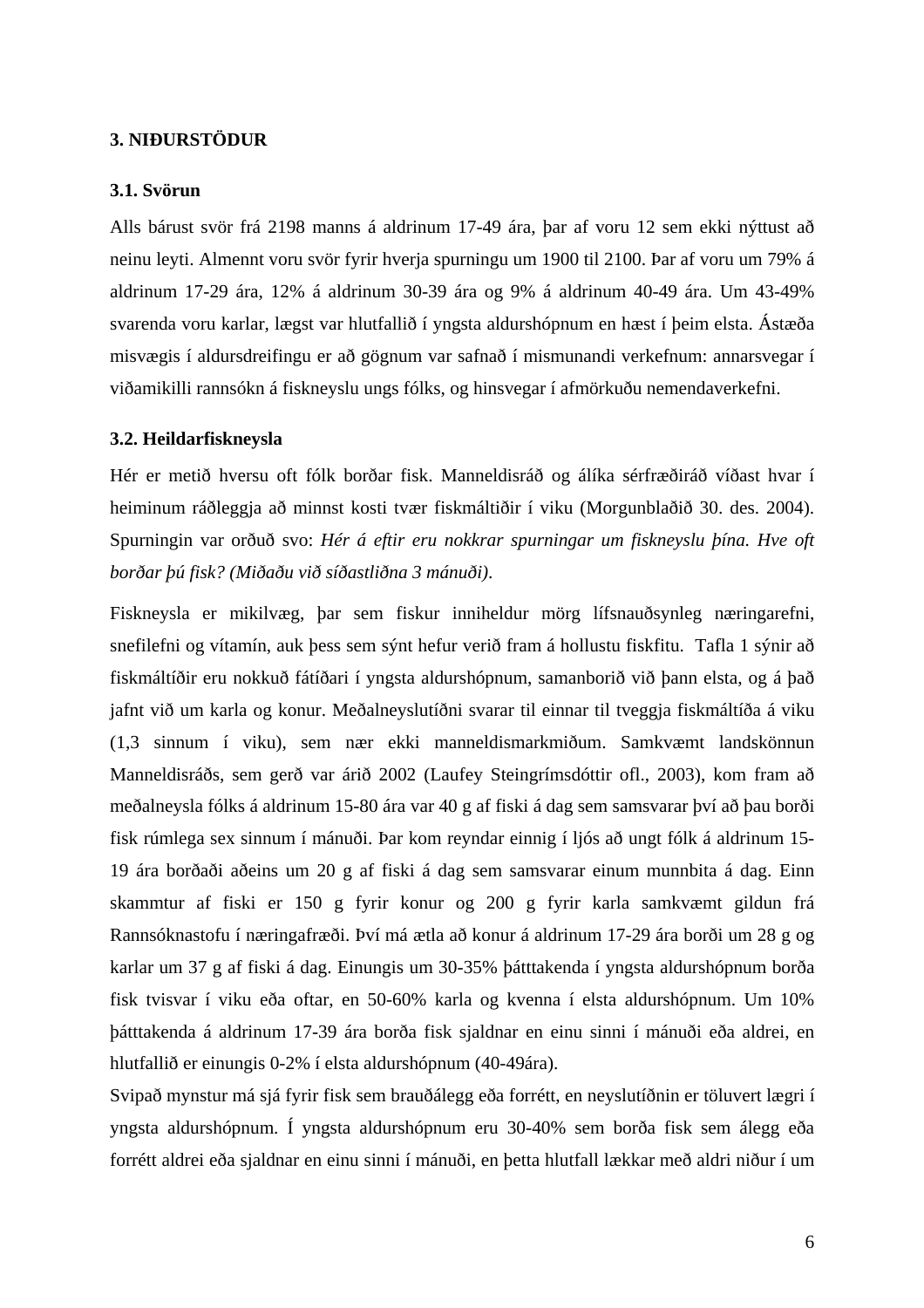#### <span id="page-9-0"></span>**3. NIÐURSTÖDUR**

#### **3.1. Svörun**

Alls bárust svör frá 2198 manns á aldrinum 17-49 ára, þar af voru 12 sem ekki nýttust að neinu leyti. Almennt voru svör fyrir hverja spurningu um 1900 til 2100. Þar af voru um 79% á aldrinum 17-29 ára, 12% á aldrinum 30-39 ára og 9% á aldrinum 40-49 ára. Um 43-49% svarenda voru karlar, lægst var hlutfallið í yngsta aldurshópnum en hæst í þeim elsta. Ástæða misvægis í aldursdreifingu er að gögnum var safnað í mismunandi verkefnum: annarsvegar í viðamikilli rannsókn á fiskneyslu ungs fólks, og hinsvegar í afmörkuðu nemendaverkefni.

#### **3.2. Heildarfiskneysla**

Hér er metið hversu oft fólk borðar fisk. Manneldisráð og álíka sérfræðiráð víðast hvar í heiminum ráðleggja að minnst kosti tvær fiskmáltiðir í viku (Morgunblaðið 30. des. 2004). Spurningin var orðuð svo: *Hér á eftir eru nokkrar spurningar um fiskneyslu þína. Hve oft borðar þú fisk? (Miðaðu við síðastliðna 3 mánuði)*.

Fiskneysla er mikilvæg, þar sem fiskur inniheldur mörg lífsnauðsynleg næringarefni, snefilefni og vítamín, auk þess sem sýnt hefur verið fram á hollustu fiskfitu. Tafla 1 sýnir að fiskmáltíðir eru nokkuð fátíðari í yngsta aldurshópnum, samanborið við þann elsta, og á það jafnt við um karla og konur. Meðalneyslutíðni svarar til einnar til tveggja fiskmáltíða á viku (1,3 sinnum í viku), sem nær ekki manneldismarkmiðum. Samkvæmt landskönnun Manneldisráðs, sem gerð var árið 2002 (Laufey Steingrímsdóttir ofl., 2003), kom fram að meðalneysla fólks á aldrinum 15-80 ára var 40 g af fiski á dag sem samsvarar því að þau borði fisk rúmlega sex sinnum í mánuði. Þar kom reyndar einnig í ljós að ungt fólk á aldrinum 15- 19 ára borðaði aðeins um 20 g af fiski á dag sem samsvarar einum munnbita á dag. Einn skammtur af fiski er 150 g fyrir konur og 200 g fyrir karla samkvæmt gildun frá Rannsóknastofu í næringafræði. Því má ætla að konur á aldrinum 17-29 ára borði um 28 g og karlar um 37 g af fiski á dag. Einungis um 30-35% þátttakenda í yngsta aldurshópnum borða fisk tvisvar í viku eða oftar, en 50-60% karla og kvenna í elsta aldurshópnum. Um 10% þátttakenda á aldrinum 17-39 ára borða fisk sjaldnar en einu sinni í mánuði eða aldrei, en hlutfallið er einungis 0-2% í elsta aldurshópnum (40-49ára).

Svipað mynstur má sjá fyrir fisk sem brauðálegg eða forrétt, en neyslutíðnin er töluvert lægri í yngsta aldurshópnum. Í yngsta aldurshópnum eru 30-40% sem borða fisk sem álegg eða forrétt aldrei eða sjaldnar en einu sinni í mánuði, en þetta hlutfall lækkar með aldri niður í um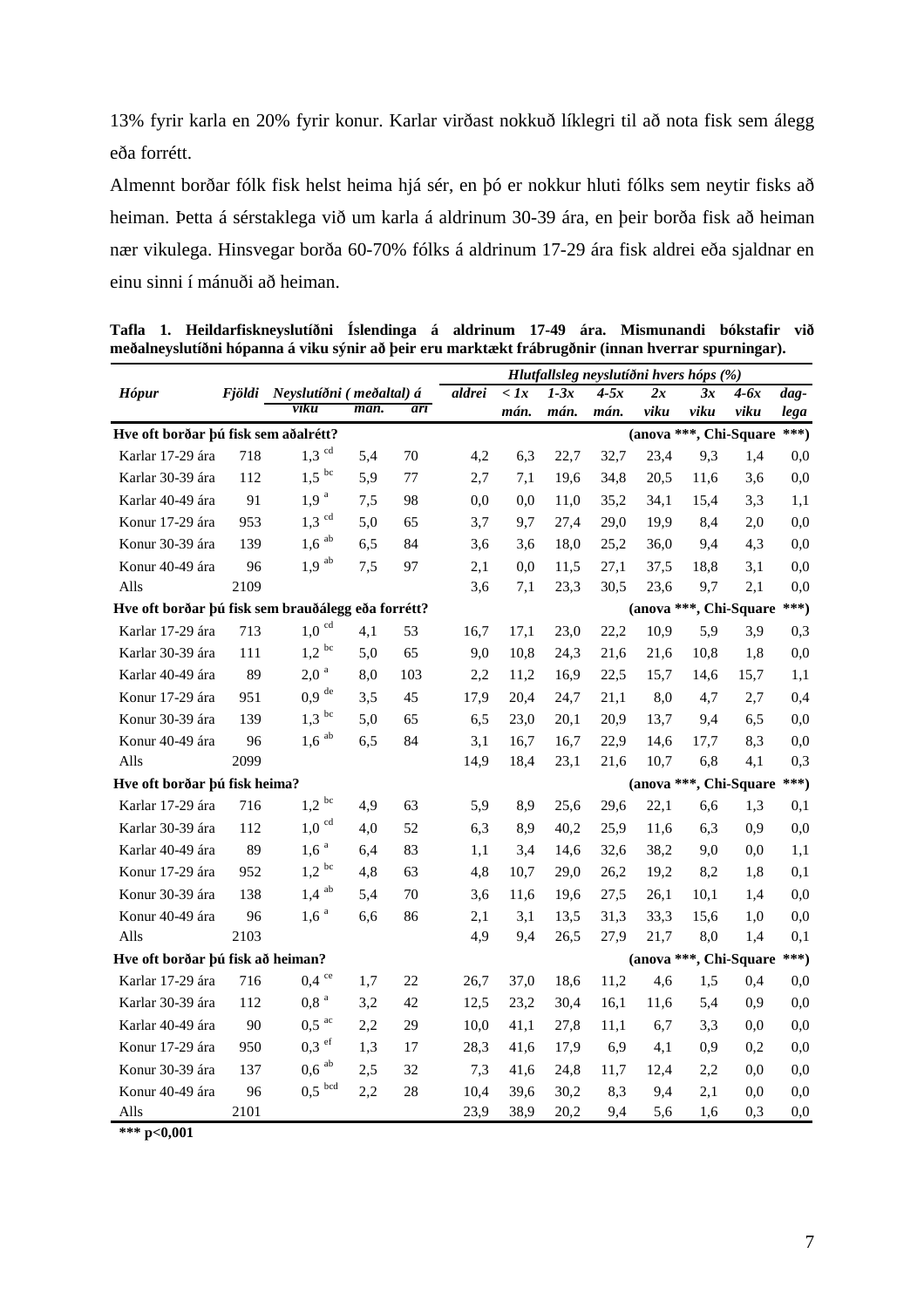13% fyrir karla en 20% fyrir konur. Karlar virðast nokkuð líklegri til að nota fisk sem álegg eða forrétt.

Almennt borðar fólk fisk helst heima hjá sér, en þó er nokkur hluti fólks sem neytir fisks að heiman. Þetta á sérstaklega við um karla á aldrinum 30-39 ára, en þeir borða fisk að heiman nær vikulega. Hinsvegar borða 60-70% fólks á aldrinum 17-29 ára fisk aldrei eða sjaldnar en einu sinni í mánuði að heiman.

|                                                    |        |                           |      |     | Hlutfallsleg neyslutíðni hvers hóps (%) |              |        |        |      |                        |        |                  |
|----------------------------------------------------|--------|---------------------------|------|-----|-----------------------------------------|--------------|--------|--------|------|------------------------|--------|------------------|
| <b>Hópur</b>                                       | Fjöldi | Neyslutíðni (meðaltal) á  |      |     | aldrei                                  | $\langle$ 1x | $1-3x$ | $4-5x$ | 2x   | 3x                     | $4-6x$ | $\overline{dag}$ |
|                                                    |        | viku                      | mán. | árī |                                         | mán.         | mán.   | mán.   | viku | viku                   | viku   | lega             |
| Hve oft borðar þú fisk sem aðalrétt?               |        |                           |      |     |                                         |              |        |        |      | (anova ***, Chi-Square |        | $***)$           |
| Karlar 17-29 ára                                   | 718    | $1,3$ <sup>cd</sup>       | 5,4  | 70  | 4,2                                     | 6,3          | 22,7   | 32,7   | 23,4 | 9,3                    | 1,4    | 0,0              |
| Karlar 30-39 ára                                   | 112    | bc<br>1,5                 | 5,9  | 77  | 2,7                                     | 7,1          | 19,6   | 34,8   | 20,5 | 11,6                   | 3,6    | 0,0              |
| Karlar 40-49 ára                                   | 91     | 1,9 <sup>a</sup>          | 7,5  | 98  | 0,0                                     | 0.0          | 11,0   | 35,2   | 34,1 | 15,4                   | 3,3    | 1,1              |
| Konur 17-29 ára                                    | 953    | cd<br>1,3                 | 5,0  | 65  | 3,7                                     | 9,7          | 27,4   | 29,0   | 19,9 | 8,4                    | 2,0    | 0,0              |
| Konur 30-39 ára                                    | 139    | ab<br>1,6                 | 6,5  | 84  | 3,6                                     | 3,6          | 18,0   | 25,2   | 36,0 | 9,4                    | 4,3    | 0,0              |
| Konur 40-49 ára                                    | 96     | $1,9$ <sup>ab</sup>       | 7,5  | 97  | 2,1                                     | 0,0          | 11,5   | 27,1   | 37,5 | 18,8                   | 3,1    | 0,0              |
| Alls                                               | 2109   |                           |      |     | 3,6                                     | 7,1          | 23,3   | 30,5   | 23,6 | 9,7                    | 2,1    | 0,0              |
| Hve oft borðar þú fisk sem brauðálegg eða forrétt? |        |                           |      |     |                                         |              |        |        |      | (anova ***, Chi-Square |        | $***)$           |
| Karlar 17-29 ára                                   | 713    | $1{,}0 \text{ }^{\rm cd}$ | 4,1  | 53  | 16,7                                    | 17,1         | 23,0   | 22,2   | 10,9 | 5,9                    | 3,9    | 0,3              |
| Karlar 30-39 ára                                   | 111    | $1,\!2$ $^{\rm bc}$       | 5,0  | 65  | 9,0                                     | 10,8         | 24,3   | 21,6   | 21,6 | 10,8                   | 1,8    | 0,0              |
| Karlar 40-49 ára                                   | 89     | $\mathbf{a}$<br>2,0       | 8,0  | 103 | 2,2                                     | 11,2         | 16,9   | 22,5   | 15,7 | 14,6                   | 15,7   | 1,1              |
| Konur 17-29 ára                                    | 951    | de<br>0,9                 | 3,5  | 45  | 17,9                                    | 20,4         | 24,7   | 21,1   | 8,0  | 4,7                    | 2,7    | 0,4              |
| Konur 30-39 ára                                    | 139    | $1,3$ <sup>bc</sup>       | 5,0  | 65  | 6,5                                     | 23,0         | 20,1   | 20,9   | 13,7 | 9,4                    | 6,5    | 0,0              |
| Konur 40-49 ára                                    | 96     | $1{,}6^{ab}$              | 6,5  | 84  | 3,1                                     | 16,7         | 16,7   | 22,9   | 14,6 | 17,7                   | 8,3    | 0,0              |
| Alls                                               | 2099   |                           |      |     | 14,9                                    | 18,4         | 23,1   | 21,6   | 10,7 | 6,8                    | 4,1    | 0,3              |
| Hve oft borðar þú fisk heima?                      |        |                           |      |     |                                         |              |        |        |      | (anova ***, Chi-Square |        | $***)$           |
| Karlar 17-29 ára                                   | 716    | $1.2\ ^{\mathrm{bc}}$     | 4,9  | 63  | 5,9                                     | 8,9          | 25,6   | 29,6   | 22,1 | 6,6                    | 1,3    | 0,1              |
| Karlar 30-39 ára                                   | 112    | cd<br>1,0                 | 4,0  | 52  | 6,3                                     | 8,9          | 40,2   | 25,9   | 11,6 | 6.3                    | 0,9    | 0,0              |
| Karlar 40-49 ára                                   | 89     | a<br>1,6                  | 6,4  | 83  | 1,1                                     | 3,4          | 14,6   | 32,6   | 38,2 | 9,0                    | 0,0    | 1,1              |
| Konur 17-29 ára                                    | 952    | $1,2$ <sup>bc</sup>       | 4,8  | 63  | 4,8                                     | 10,7         | 29,0   | 26,2   | 19,2 | 8,2                    | 1,8    | 0,1              |
| Konur 30-39 ára                                    | 138    | $1,4$ <sup>ab</sup>       | 5,4  | 70  | 3,6                                     | 11,6         | 19,6   | 27,5   | 26,1 | 10,1                   | 1,4    | 0,0              |
| Konur 40-49 ára                                    | 96     | 1,6 <sup>a</sup>          | 6,6  | 86  | 2,1                                     | 3,1          | 13,5   | 31,3   | 33,3 | 15,6                   | 1,0    | 0,0              |
| Alls                                               | 2103   |                           |      |     | 4,9                                     | 9,4          | 26,5   | 27,9   | 21,7 | 8,0                    | 1,4    | 0,1              |
| Hve oft borðar þú fisk að heiman?                  |        |                           |      |     |                                         |              |        |        |      | (anova ***, Chi-Square |        | $***)$           |
| Karlar 17-29 ára                                   | 716    | $0.4~^{\rm{ce}}$          | 1,7  | 22  | 26,7                                    | 37,0         | 18,6   | 11,2   | 4,6  | 1,5                    | 0,4    | 0,0              |
| Karlar 30-39 ára                                   | 112    | $0,8$ <sup>a</sup>        | 3,2  | 42  | 12,5                                    | 23,2         | 30,4   | 16,1   | 11,6 | 5,4                    | 0,9    | 0,0              |
| Karlar 40-49 ára                                   | 90     | $0,5$ <sup>ac</sup>       | 2,2  | 29  | 10,0                                    | 41,1         | 27,8   | 11,1   | 6,7  | 3,3                    | 0,0    | 0,0              |
| Konur 17-29 ára                                    | 950    | $0.3$ ef                  | 1,3  | 17  | 28,3                                    | 41,6         | 17,9   | 6,9    | 4,1  | 0,9                    | 0,2    | 0,0              |
| Konur 30-39 ára                                    | 137    | $0.6$ $^{\rm ab}$         | 2,5  | 32  | 7,3                                     | 41,6         | 24,8   | 11,7   | 12,4 | 2,2                    | 0,0    | 0,0              |
| Konur 40-49 ára                                    | 96     | $0,5$ bcd                 | 2,2  | 28  | 10,4                                    | 39,6         | 30,2   | 8.3    | 9,4  | 2,1                    | 0,0    | 0,0              |
| Alls                                               | 2101   |                           |      |     | 23,9                                    | 38,9         | 20,2   | 9,4    | 5,6  | 1,6                    | 0,3    | 0,0              |

**Tafla 1. Heildarfiskneyslutíðni Íslendinga á aldrinum 17-49 ára. Mismunandi bókstafir við meðalneyslutíðni hópanna á viku sýnir að þeir eru marktækt frábrugðnir (innan hverrar spurningar).** 

**\*\*\* p<0,001**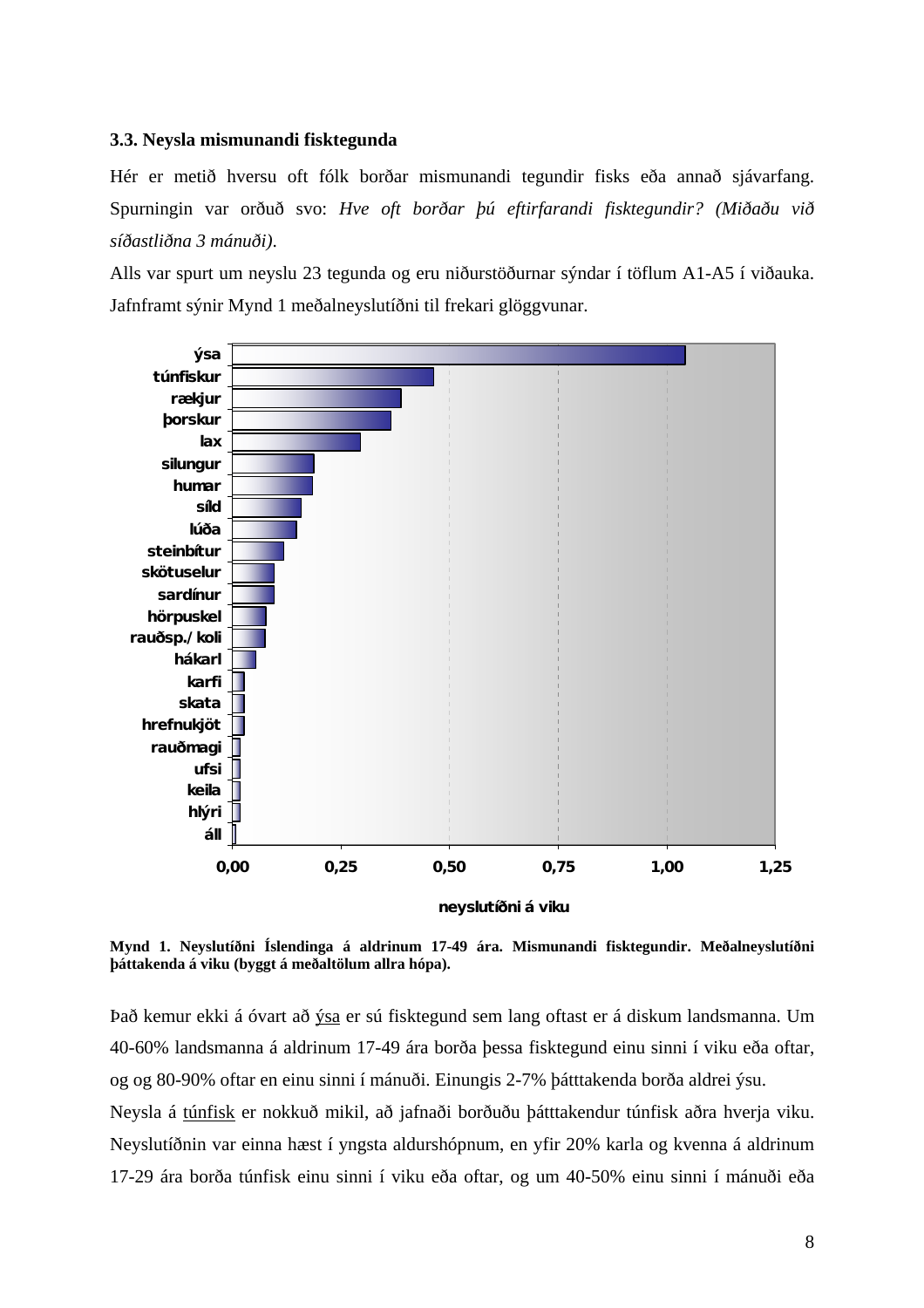#### <span id="page-11-0"></span>**3.3. Neysla mismunandi fisktegunda**

Hér er metið hversu oft fólk borðar mismunandi tegundir fisks eða annað sjávarfang. Spurningin var orðuð svo: *Hve oft borðar þú eftirfarandi fisktegundir? (Miðaðu við síðastliðna 3 mánuði)*.

Alls var spurt um neyslu 23 tegunda og eru niðurstöðurnar sýndar í töflum A1-A5 í viðauka. Jafnframt sýnir Mynd 1 meðalneyslutíðni til frekari glöggvunar.



**Mynd 1. Neyslutíðni Íslendinga á aldrinum 17-49 ára. Mismunandi fisktegundir. Meðalneyslutíðni þáttakenda á viku (byggt á meðaltölum allra hópa).** 

Það kemur ekki á óvart að ýsa er sú fisktegund sem lang oftast er á diskum landsmanna. Um 40-60% landsmanna á aldrinum 17-49 ára borða þessa fisktegund einu sinni í viku eða oftar, og og 80-90% oftar en einu sinni í mánuði. Einungis 2-7% þátttakenda borða aldrei ýsu.

Neysla á túnfisk er nokkuð mikil, að jafnaði borðuðu þátttakendur túnfisk aðra hverja viku. Neyslutíðnin var einna hæst í yngsta aldurshópnum, en yfir 20% karla og kvenna á aldrinum 17-29 ára borða túnfisk einu sinni í viku eða oftar, og um 40-50% einu sinni í mánuði eða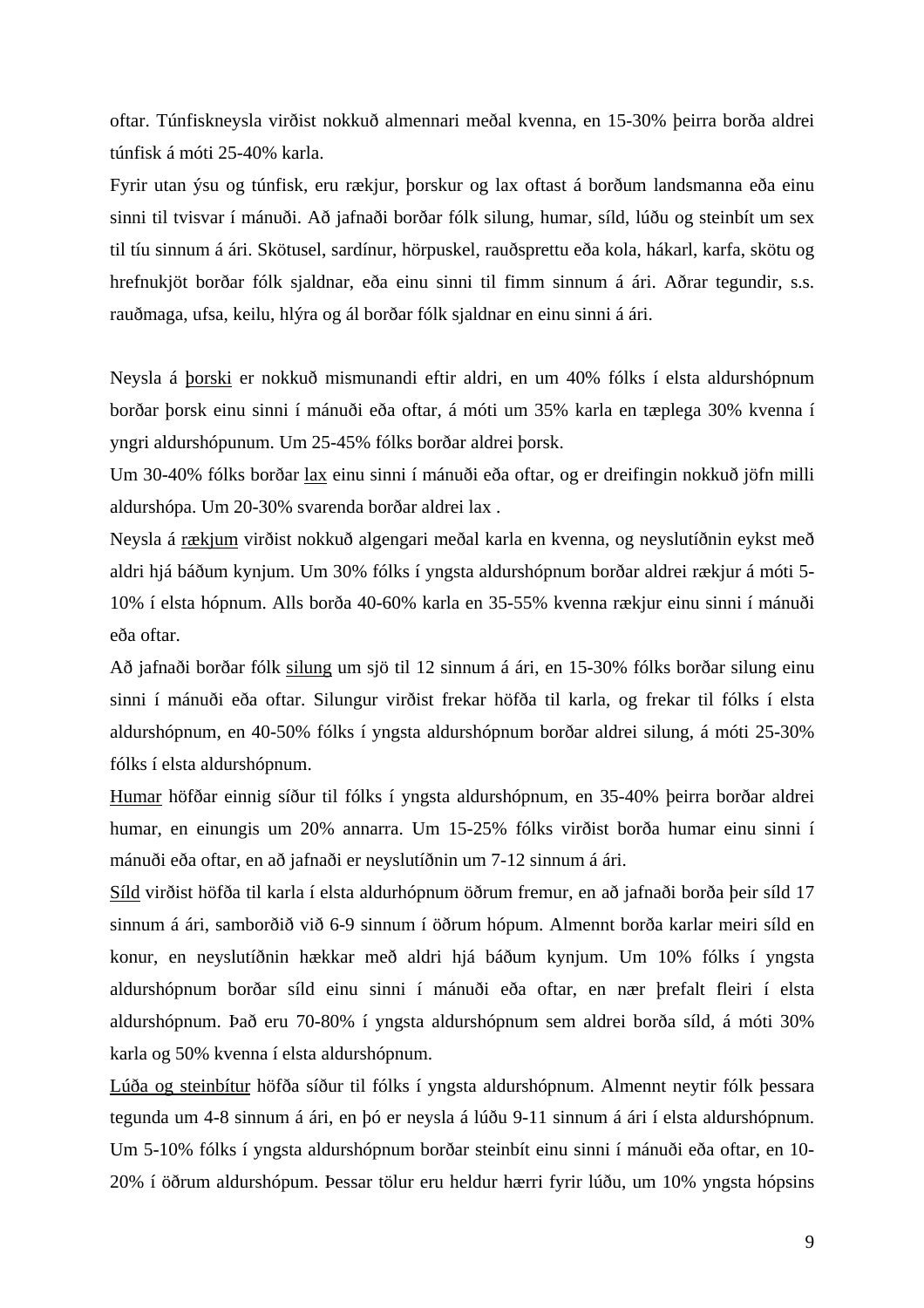oftar. Túnfiskneysla virðist nokkuð almennari meðal kvenna, en 15-30% þeirra borða aldrei túnfisk á móti 25-40% karla.

Fyrir utan ýsu og túnfisk, eru rækjur, þorskur og lax oftast á borðum landsmanna eða einu sinni til tvisvar í mánuði. Að jafnaði borðar fólk silung, humar, síld, lúðu og steinbít um sex til tíu sinnum á ári. Skötusel, sardínur, hörpuskel, rauðsprettu eða kola, hákarl, karfa, skötu og hrefnukjöt borðar fólk sjaldnar, eða einu sinni til fimm sinnum á ári. Aðrar tegundir, s.s. rauðmaga, ufsa, keilu, hlýra og ál borðar fólk sjaldnar en einu sinni á ári.

Neysla á þorski er nokkuð mismunandi eftir aldri, en um 40% fólks í elsta aldurshópnum borðar þorsk einu sinni í mánuði eða oftar, á móti um 35% karla en tæplega 30% kvenna í yngri aldurshópunum. Um 25-45% fólks borðar aldrei þorsk.

Um 30-40% fólks borðar lax einu sinni í mánuði eða oftar, og er dreifingin nokkuð jöfn milli aldurshópa. Um 20-30% svarenda borðar aldrei lax .

Neysla á rækjum virðist nokkuð algengari meðal karla en kvenna, og neyslutíðnin eykst með aldri hjá báðum kynjum. Um 30% fólks í yngsta aldurshópnum borðar aldrei rækjur á móti 5- 10% í elsta hópnum. Alls borða 40-60% karla en 35-55% kvenna rækjur einu sinni í mánuði eða oftar.

Að jafnaði borðar fólk silung um sjö til 12 sinnum á ári, en 15-30% fólks borðar silung einu sinni í mánuði eða oftar. Silungur virðist frekar höfða til karla, og frekar til fólks í elsta aldurshópnum, en 40-50% fólks í yngsta aldurshópnum borðar aldrei silung, á móti 25-30% fólks í elsta aldurshópnum.

Humar höfðar einnig síður til fólks í yngsta aldurshópnum, en 35-40% þeirra borðar aldrei humar, en einungis um 20% annarra. Um 15-25% fólks virðist borða humar einu sinni í mánuði eða oftar, en að jafnaði er neyslutíðnin um 7-12 sinnum á ári.

Síld virðist höfða til karla í elsta aldurhópnum öðrum fremur, en að jafnaði borða þeir síld 17 sinnum á ári, samborðið við 6-9 sinnum í öðrum hópum. Almennt borða karlar meiri síld en konur, en neyslutíðnin hækkar með aldri hjá báðum kynjum. Um 10% fólks í yngsta aldurshópnum borðar síld einu sinni í mánuði eða oftar, en nær þrefalt fleiri í elsta aldurshópnum. Það eru 70-80% í yngsta aldurshópnum sem aldrei borða síld, á móti 30% karla og 50% kvenna í elsta aldurshópnum.

Lúða og steinbítur höfða síður til fólks í yngsta aldurshópnum. Almennt neytir fólk þessara tegunda um 4-8 sinnum á ári, en þó er neysla á lúðu 9-11 sinnum á ári í elsta aldurshópnum. Um 5-10% fólks í yngsta aldurshópnum borðar steinbít einu sinni í mánuði eða oftar, en 10- 20% í öðrum aldurshópum. Þessar tölur eru heldur hærri fyrir lúðu, um 10% yngsta hópsins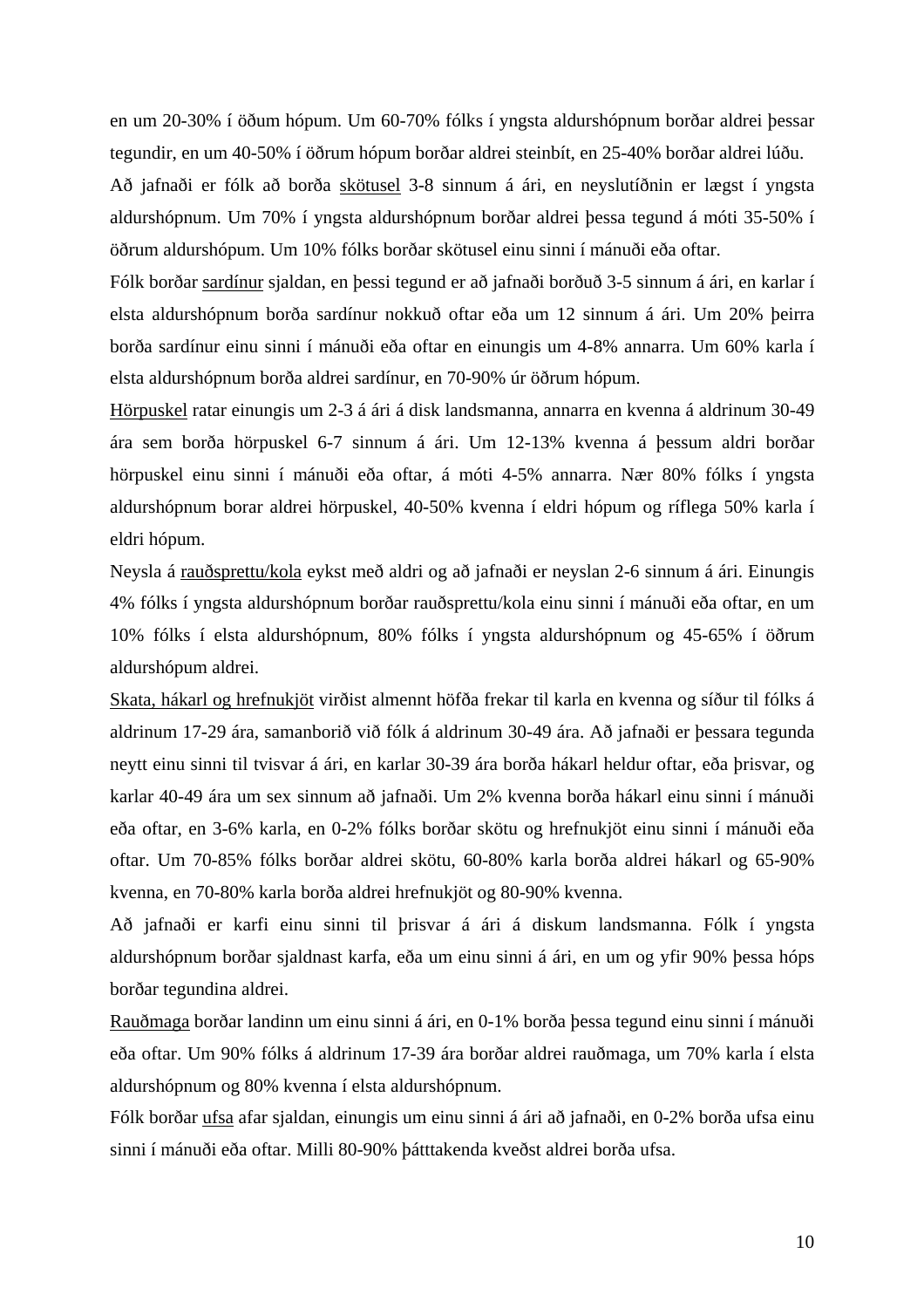en um 20-30% í öðum hópum. Um 60-70% fólks í yngsta aldurshópnum borðar aldrei þessar tegundir, en um 40-50% í öðrum hópum borðar aldrei steinbít, en 25-40% borðar aldrei lúðu.

Að jafnaði er fólk að borða skötusel 3-8 sinnum á ári, en neyslutíðnin er lægst í yngsta aldurshópnum. Um 70% í yngsta aldurshópnum borðar aldrei þessa tegund á móti 35-50% í öðrum aldurshópum. Um 10% fólks borðar skötusel einu sinni í mánuði eða oftar.

Fólk borðar sardínur sjaldan, en þessi tegund er að jafnaði borðuð 3-5 sinnum á ári, en karlar í elsta aldurshópnum borða sardínur nokkuð oftar eða um 12 sinnum á ári. Um 20% þeirra borða sardínur einu sinni í mánuði eða oftar en einungis um 4-8% annarra. Um 60% karla í elsta aldurshópnum borða aldrei sardínur, en 70-90% úr öðrum hópum.

Hörpuskel ratar einungis um 2-3 á ári á disk landsmanna, annarra en kvenna á aldrinum 30-49 ára sem borða hörpuskel 6-7 sinnum á ári. Um 12-13% kvenna á þessum aldri borðar hörpuskel einu sinni í mánuði eða oftar, á móti 4-5% annarra. Nær 80% fólks í yngsta aldurshópnum borar aldrei hörpuskel, 40-50% kvenna í eldri hópum og ríflega 50% karla í eldri hópum.

Neysla á rauðsprettu/kola eykst með aldri og að jafnaði er neyslan 2-6 sinnum á ári. Einungis 4% fólks í yngsta aldurshópnum borðar rauðsprettu/kola einu sinni í mánuði eða oftar, en um 10% fólks í elsta aldurshópnum, 80% fólks í yngsta aldurshópnum og 45-65% í öðrum aldurshópum aldrei.

Skata, hákarl og hrefnukjöt virðist almennt höfða frekar til karla en kvenna og síður til fólks á aldrinum 17-29 ára, samanborið við fólk á aldrinum 30-49 ára. Að jafnaði er þessara tegunda neytt einu sinni til tvisvar á ári, en karlar 30-39 ára borða hákarl heldur oftar, eða þrisvar, og karlar 40-49 ára um sex sinnum að jafnaði. Um 2% kvenna borða hákarl einu sinni í mánuði eða oftar, en 3-6% karla, en 0-2% fólks borðar skötu og hrefnukjöt einu sinni í mánuði eða oftar. Um 70-85% fólks borðar aldrei skötu, 60-80% karla borða aldrei hákarl og 65-90% kvenna, en 70-80% karla borða aldrei hrefnukjöt og 80-90% kvenna.

Að jafnaði er karfi einu sinni til þrisvar á ári á diskum landsmanna. Fólk í yngsta aldurshópnum borðar sjaldnast karfa, eða um einu sinni á ári, en um og yfir 90% þessa hóps borðar tegundina aldrei.

Rauðmaga borðar landinn um einu sinni á ári, en 0-1% borða þessa tegund einu sinni í mánuði eða oftar. Um 90% fólks á aldrinum 17-39 ára borðar aldrei rauðmaga, um 70% karla í elsta aldurshópnum og 80% kvenna í elsta aldurshópnum.

Fólk borðar ufsa afar sjaldan, einungis um einu sinni á ári að jafnaði, en 0-2% borða ufsa einu sinni í mánuði eða oftar. Milli 80-90% þátttakenda kveðst aldrei borða ufsa.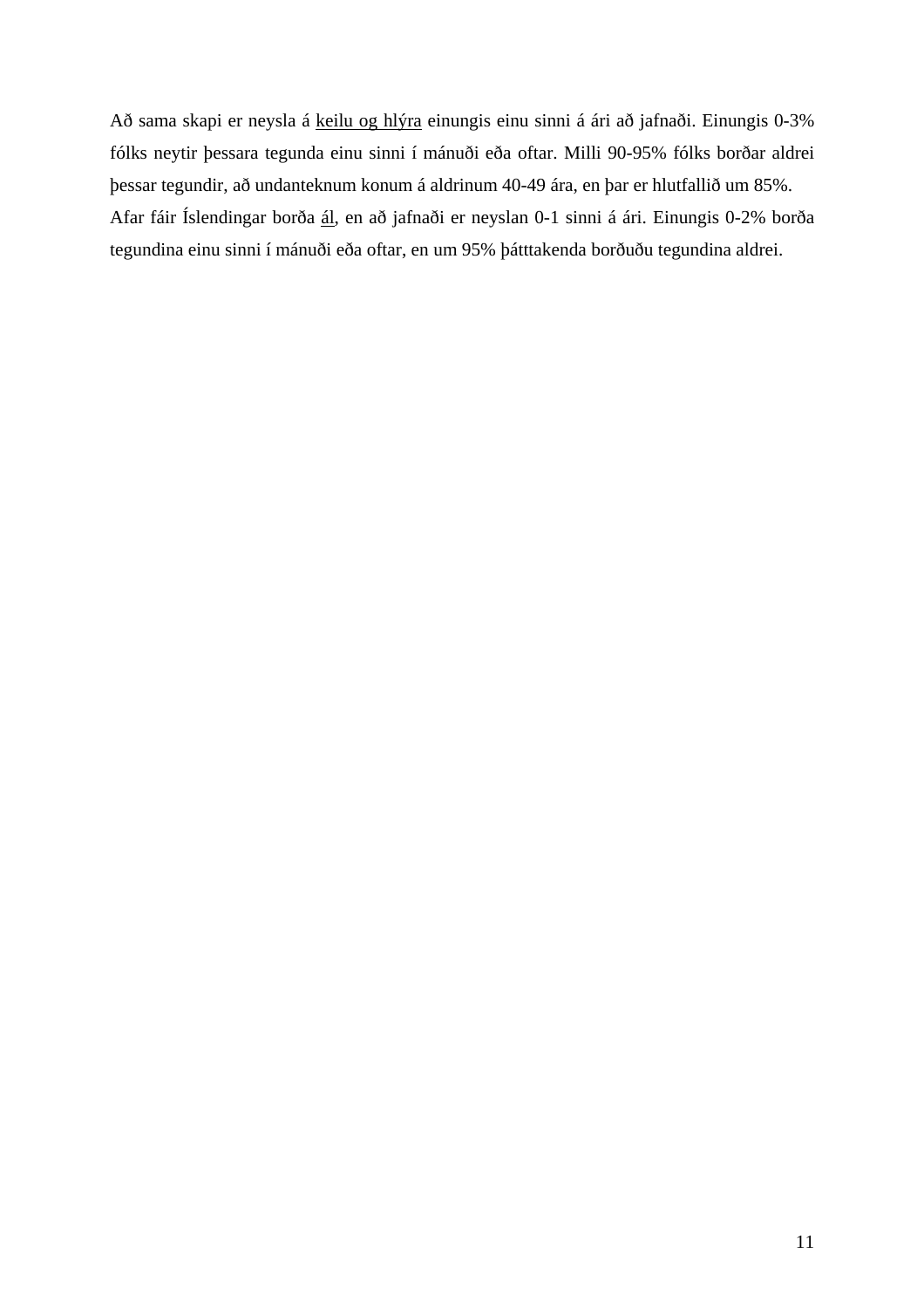Að sama skapi er neysla á keilu og hlýra einungis einu sinni á ári að jafnaði. Einungis 0-3% fólks neytir þessara tegunda einu sinni í mánuði eða oftar. Milli 90-95% fólks borðar aldrei þessar tegundir, að undanteknum konum á aldrinum 40-49 ára, en þar er hlutfallið um 85%. Afar fáir Íslendingar borða ál, en að jafnaði er neyslan 0-1 sinni á ári. Einungis 0-2% borða tegundina einu sinni í mánuði eða oftar, en um 95% þátttakenda borðuðu tegundina aldrei.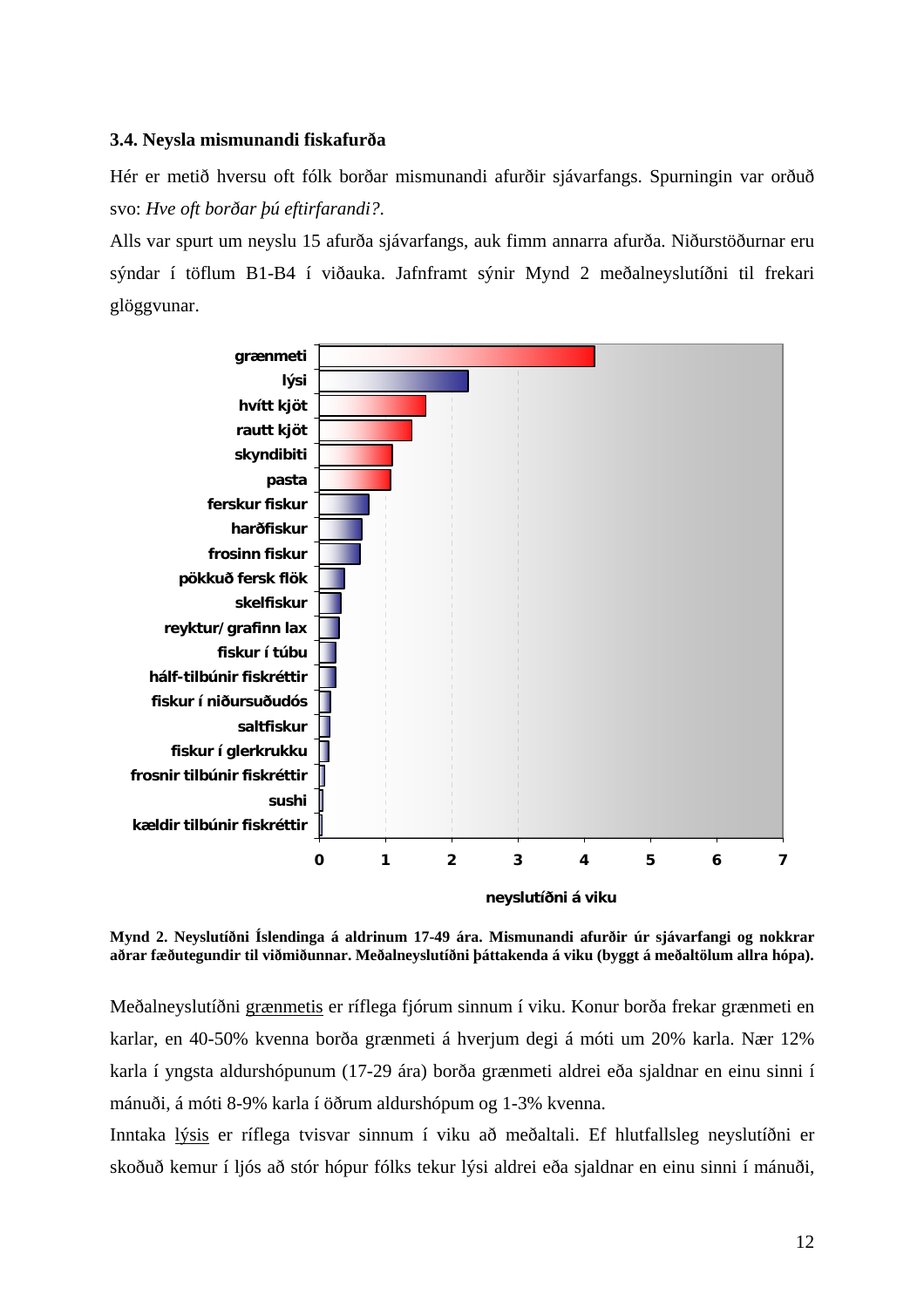#### <span id="page-15-0"></span>**3.4. Neysla mismunandi fiskafurða**

Hér er metið hversu oft fólk borðar mismunandi afurðir sjávarfangs. Spurningin var orðuð svo: *Hve oft borðar þú eftirfarandi?*.

Alls var spurt um neyslu 15 afurða sjávarfangs, auk fimm annarra afurða. Niðurstöðurnar eru sýndar í töflum B1-B4 í viðauka. Jafnframt sýnir Mynd 2 meðalneyslutíðni til frekari glöggvunar.



**Mynd 2. Neyslutíðni Íslendinga á aldrinum 17-49 ára. Mismunandi afurðir úr sjávarfangi og nokkrar aðrar fæðutegundir til viðmiðunnar. Meðalneyslutíðni þáttakenda á viku (byggt á meðaltölum allra hópa).** 

Meðalneyslutíðni grænmetis er ríflega fjórum sinnum í viku. Konur borða frekar grænmeti en karlar, en 40-50% kvenna borða grænmeti á hverjum degi á móti um 20% karla. Nær 12% karla í yngsta aldurshópunum (17-29 ára) borða grænmeti aldrei eða sjaldnar en einu sinni í mánuði, á móti 8-9% karla í öðrum aldurshópum og 1-3% kvenna.

Inntaka lýsis er ríflega tvisvar sinnum í viku að meðaltali. Ef hlutfallsleg neyslutíðni er skoðuð kemur í ljós að stór hópur fólks tekur lýsi aldrei eða sjaldnar en einu sinni í mánuði,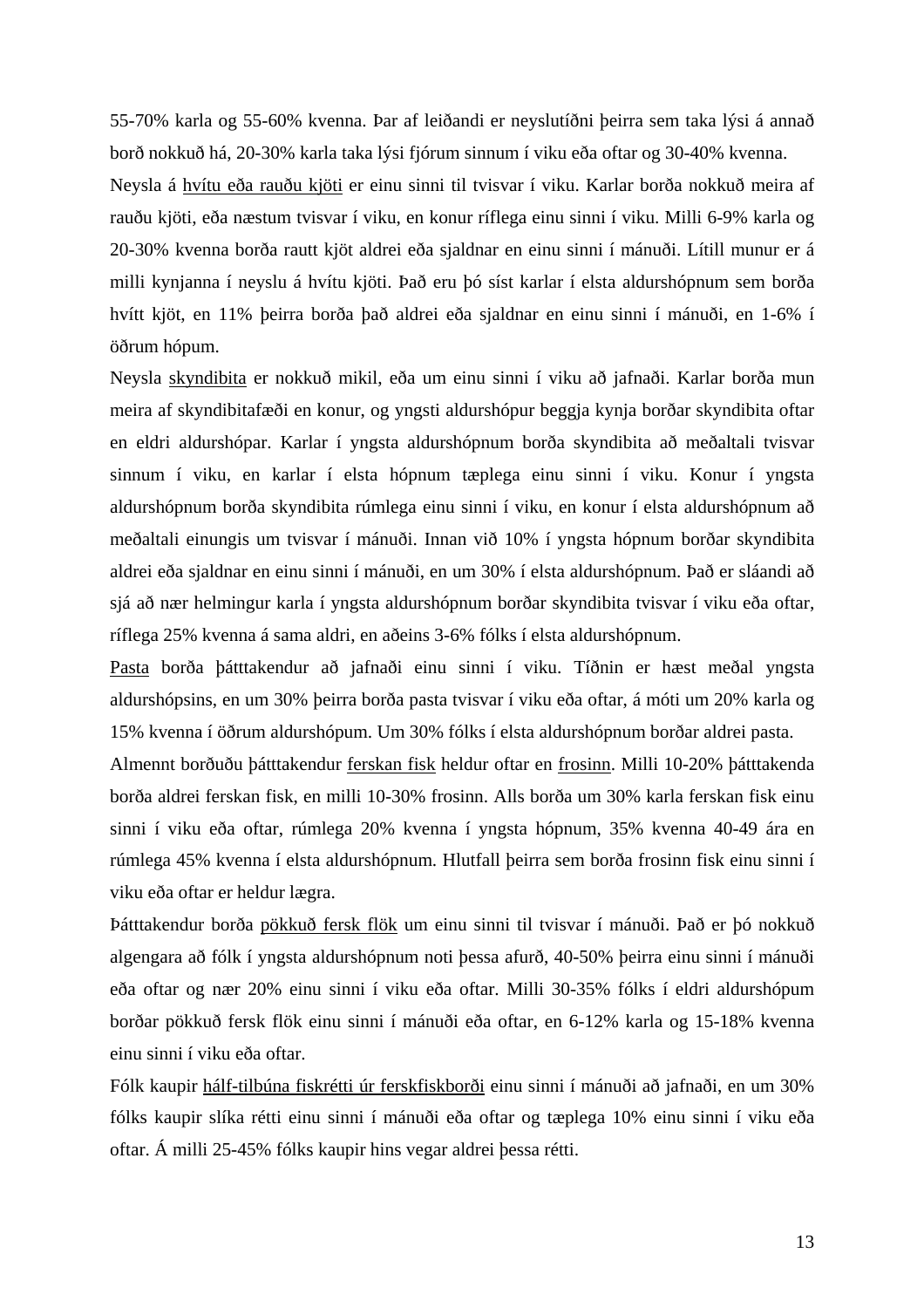55-70% karla og 55-60% kvenna. Þar af leiðandi er neyslutíðni þeirra sem taka lýsi á annað borð nokkuð há, 20-30% karla taka lýsi fjórum sinnum í viku eða oftar og 30-40% kvenna.

Neysla á hvítu eða rauðu kjöti er einu sinni til tvisvar í viku. Karlar borða nokkuð meira af rauðu kjöti, eða næstum tvisvar í viku, en konur ríflega einu sinni í viku. Milli 6-9% karla og 20-30% kvenna borða rautt kjöt aldrei eða sjaldnar en einu sinni í mánuði. Lítill munur er á milli kynjanna í neyslu á hvítu kjöti. Það eru þó síst karlar í elsta aldurshópnum sem borða hvítt kjöt, en 11% þeirra borða það aldrei eða sjaldnar en einu sinni í mánuði, en 1-6% í öðrum hópum.

Neysla skyndibita er nokkuð mikil, eða um einu sinni í viku að jafnaði. Karlar borða mun meira af skyndibitafæði en konur, og yngsti aldurshópur beggja kynja borðar skyndibita oftar en eldri aldurshópar. Karlar í yngsta aldurshópnum borða skyndibita að meðaltali tvisvar sinnum í viku, en karlar í elsta hópnum tæplega einu sinni í viku. Konur í yngsta aldurshópnum borða skyndibita rúmlega einu sinni í viku, en konur í elsta aldurshópnum að meðaltali einungis um tvisvar í mánuði. Innan við 10% í yngsta hópnum borðar skyndibita aldrei eða sjaldnar en einu sinni í mánuði, en um 30% í elsta aldurshópnum. Það er sláandi að sjá að nær helmingur karla í yngsta aldurshópnum borðar skyndibita tvisvar í viku eða oftar, ríflega 25% kvenna á sama aldri, en aðeins 3-6% fólks í elsta aldurshópnum.

Pasta borða þátttakendur að jafnaði einu sinni í viku. Tíðnin er hæst meðal yngsta aldurshópsins, en um 30% þeirra borða pasta tvisvar í viku eða oftar, á móti um 20% karla og 15% kvenna í öðrum aldurshópum. Um 30% fólks í elsta aldurshópnum borðar aldrei pasta.

Almennt borðuðu þátttakendur ferskan fisk heldur oftar en frosinn. Milli 10-20% þátttakenda borða aldrei ferskan fisk, en milli 10-30% frosinn. Alls borða um 30% karla ferskan fisk einu sinni í viku eða oftar, rúmlega 20% kvenna í yngsta hópnum, 35% kvenna 40-49 ára en rúmlega 45% kvenna í elsta aldurshópnum. Hlutfall þeirra sem borða frosinn fisk einu sinni í viku eða oftar er heldur lægra.

Þátttakendur borða pökkuð fersk flök um einu sinni til tvisvar í mánuði. Það er þó nokkuð algengara að fólk í yngsta aldurshópnum noti þessa afurð, 40-50% þeirra einu sinni í mánuði eða oftar og nær 20% einu sinni í viku eða oftar. Milli 30-35% fólks í eldri aldurshópum borðar pökkuð fersk flök einu sinni í mánuði eða oftar, en 6-12% karla og 15-18% kvenna einu sinni í viku eða oftar.

Fólk kaupir hálf-tilbúna fiskrétti úr ferskfiskborði einu sinni í mánuði að jafnaði, en um 30% fólks kaupir slíka rétti einu sinni í mánuði eða oftar og tæplega 10% einu sinni í viku eða oftar. Á milli 25-45% fólks kaupir hins vegar aldrei þessa rétti.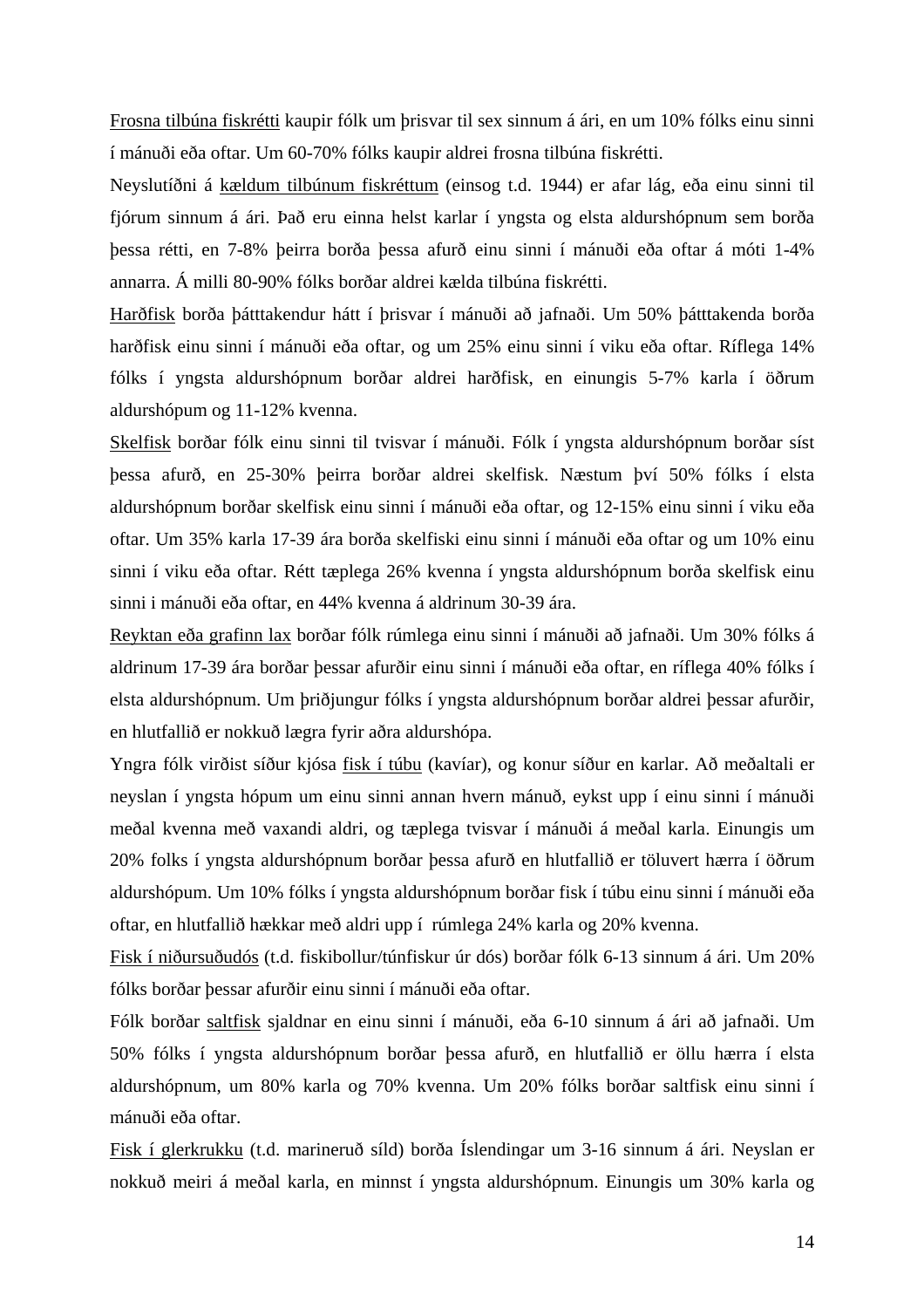Frosna tilbúna fiskrétti kaupir fólk um þrisvar til sex sinnum á ári, en um 10% fólks einu sinni í mánuði eða oftar. Um 60-70% fólks kaupir aldrei frosna tilbúna fiskrétti.

Neyslutíðni á kældum tilbúnum fiskréttum (einsog t.d. 1944) er afar lág, eða einu sinni til fjórum sinnum á ári. Það eru einna helst karlar í yngsta og elsta aldurshópnum sem borða þessa rétti, en 7-8% þeirra borða þessa afurð einu sinni í mánuði eða oftar á móti 1-4% annarra. Á milli 80-90% fólks borðar aldrei kælda tilbúna fiskrétti.

Harðfisk borða þátttakendur hátt í þrisvar í mánuði að jafnaði. Um 50% þátttakenda borða harðfisk einu sinni í mánuði eða oftar, og um 25% einu sinni í viku eða oftar. Ríflega 14% fólks í yngsta aldurshópnum borðar aldrei harðfisk, en einungis 5-7% karla í öðrum aldurshópum og 11-12% kvenna.

Skelfisk borðar fólk einu sinni til tvisvar í mánuði. Fólk í yngsta aldurshópnum borðar síst þessa afurð, en 25-30% þeirra borðar aldrei skelfisk. Næstum því 50% fólks í elsta aldurshópnum borðar skelfisk einu sinni í mánuði eða oftar, og 12-15% einu sinni í viku eða oftar. Um 35% karla 17-39 ára borða skelfiski einu sinni í mánuði eða oftar og um 10% einu sinni í viku eða oftar. Rétt tæplega 26% kvenna í yngsta aldurshópnum borða skelfisk einu sinni i mánuði eða oftar, en 44% kvenna á aldrinum 30-39 ára.

Reyktan eða grafinn lax borðar fólk rúmlega einu sinni í mánuði að jafnaði. Um 30% fólks á aldrinum 17-39 ára borðar þessar afurðir einu sinni í mánuði eða oftar, en ríflega 40% fólks í elsta aldurshópnum. Um þriðjungur fólks í yngsta aldurshópnum borðar aldrei þessar afurðir, en hlutfallið er nokkuð lægra fyrir aðra aldurshópa.

Yngra fólk virðist síður kjósa fisk í túbu (kavíar), og konur síður en karlar. Að meðaltali er neyslan í yngsta hópum um einu sinni annan hvern mánuð, eykst upp í einu sinni í mánuði meðal kvenna með vaxandi aldri, og tæplega tvisvar í mánuði á meðal karla. Einungis um 20% folks í yngsta aldurshópnum borðar þessa afurð en hlutfallið er töluvert hærra í öðrum aldurshópum. Um 10% fólks í yngsta aldurshópnum borðar fisk í túbu einu sinni í mánuði eða oftar, en hlutfallið hækkar með aldri upp í rúmlega 24% karla og 20% kvenna.

Fisk í niðursuðudós (t.d. fiskibollur/túnfiskur úr dós) borðar fólk 6-13 sinnum á ári. Um 20% fólks borðar þessar afurðir einu sinni í mánuði eða oftar.

Fólk borðar saltfisk sjaldnar en einu sinni í mánuði, eða 6-10 sinnum á ári að jafnaði. Um 50% fólks í yngsta aldurshópnum borðar þessa afurð, en hlutfallið er öllu hærra í elsta aldurshópnum, um 80% karla og 70% kvenna. Um 20% fólks borðar saltfisk einu sinni í mánuði eða oftar.

Fisk í glerkrukku (t.d. marineruð síld) borða Íslendingar um 3-16 sinnum á ári. Neyslan er nokkuð meiri á meðal karla, en minnst í yngsta aldurshópnum. Einungis um 30% karla og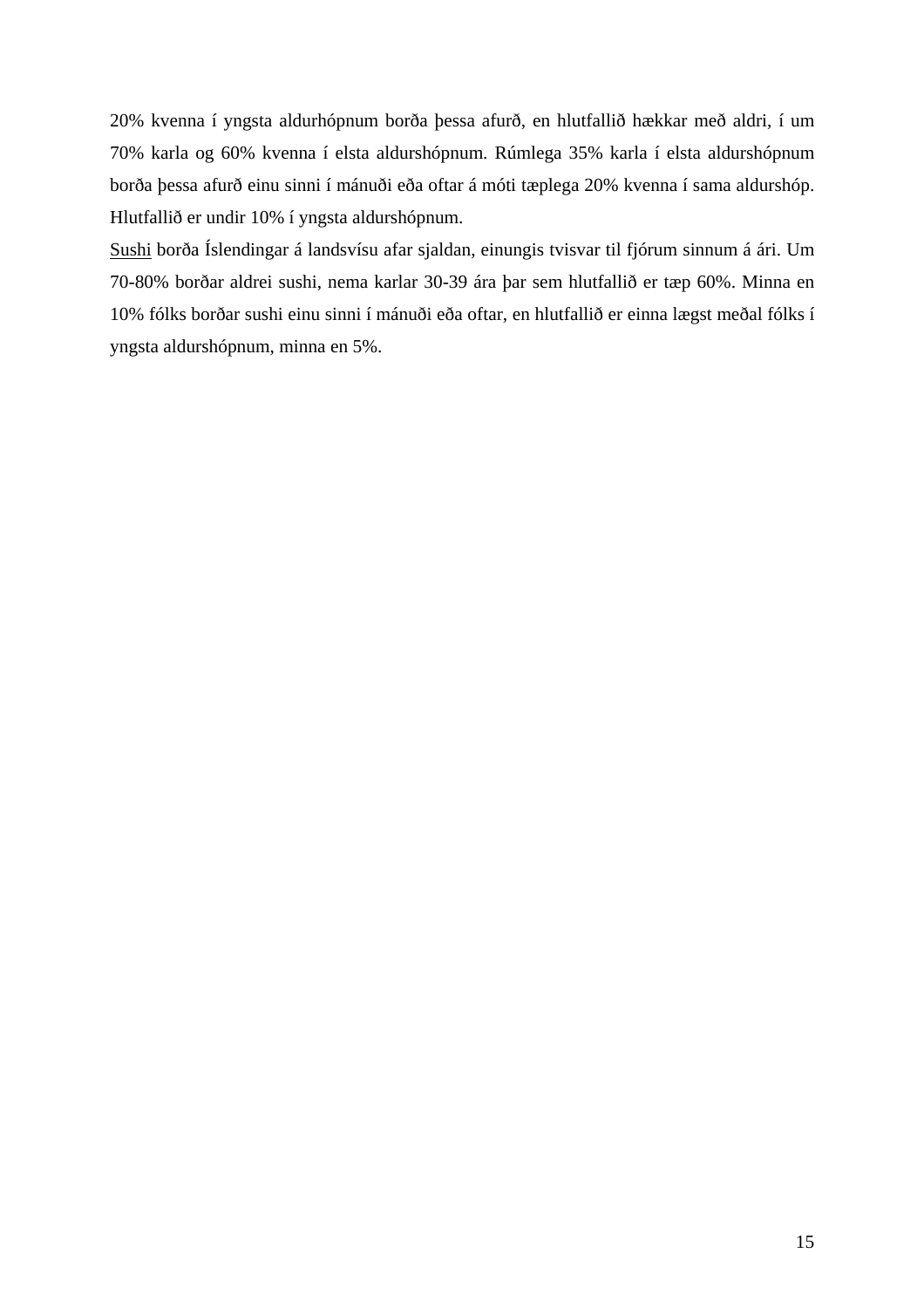20% kvenna í yngsta aldurhópnum borða þessa afurð, en hlutfallið hækkar með aldri, í um 70% karla og 60% kvenna í elsta aldurshópnum. Rúmlega 35% karla í elsta aldurshópnum borða þessa afurð einu sinni í mánuði eða oftar á móti tæplega 20% kvenna í sama aldurshóp. Hlutfallið er undir 10% í yngsta aldurshópnum.

Sushi borða Íslendingar á landsvísu afar sjaldan, einungis tvisvar til fjórum sinnum á ári. Um 70-80% borðar aldrei sushi, nema karlar 30-39 ára þar sem hlutfallið er tæp 60%. Minna en 10% fólks borðar sushi einu sinni í mánuði eða oftar, en hlutfallið er einna lægst meðal fólks í yngsta aldurshópnum, minna en 5%.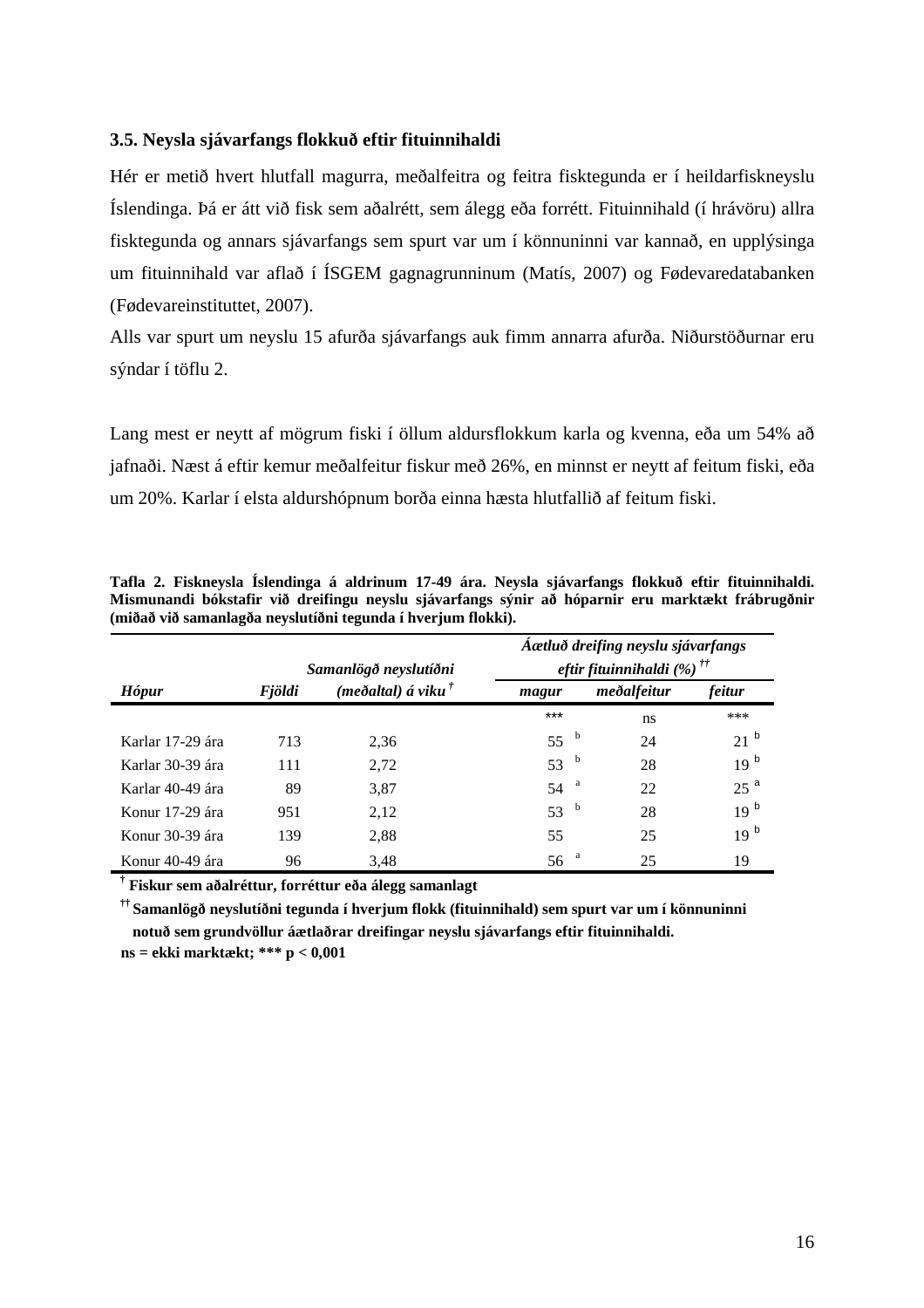#### <span id="page-19-0"></span>**3.5. Neysla sjávarfangs flokkuð eftir fituinnihaldi**

Hér er metið hvert hlutfall magurra, meðalfeitra og feitra fisktegunda er í heildarfiskneyslu Íslendinga. Þá er átt við fisk sem aðalrétt, sem álegg eða forrétt. Fituinnihald (í hrávöru) allra fisktegunda og annars sjávarfangs sem spurt var um í könnuninni var kannað, en upplýsinga um fituinnihald var aflað í ÍSGEM gagnagrunninum (Matís, 2007) og Fødevaredatabanken (Fødevareinstituttet, 2007).

Alls var spurt um neyslu 15 afurða sjávarfangs auk fimm annarra afurða. Niðurstöðurnar eru sýndar í töflu 2.

Lang mest er neytt af mögrum fiski í öllum aldursflokkum karla og kvenna, eða um 54% að jafnaði. Næst á eftir kemur meðalfeitur fiskur með 26%, en minnst er neytt af feitum fiski, eða um 20%. Karlar í elsta aldurshópnum borða einna hæsta hlutfallið af feitum fiski.

|                  |        | Samanlögð neyslutíðni        | Áætluð dreifing neyslu sjávarfangs<br>eftir fituinnihaldi (%) <sup>††</sup> |   |             |                 |  |  |  |
|------------------|--------|------------------------------|-----------------------------------------------------------------------------|---|-------------|-----------------|--|--|--|
| <b>Hópur</b>     | Fjöldi | (meðaltal) á viku $^\dagger$ | magur                                                                       |   | meðalfeitur | feitur          |  |  |  |
|                  |        |                              | $***$                                                                       |   | ns          | ***             |  |  |  |
| Karlar 17-29 ára | 713    | 2.36                         | 55 <sup>b</sup>                                                             |   | 24          | 21 <sup>b</sup> |  |  |  |
| Karlar 30-39 ára | 111    | 2.72                         | 53 $b$                                                                      |   | 28          | 19 <sup>b</sup> |  |  |  |
| Karlar 40-49 ára | 89     | 3,87                         | 54                                                                          | a | 22          | 25 <sup>a</sup> |  |  |  |
| Konur 17-29 ára  | 951    | 2,12                         | 53 <sup>b</sup>                                                             |   | 28          | 19 <sup>b</sup> |  |  |  |
| Konur 30-39 ára  | 139    | 2,88                         | 55                                                                          |   | 25          | 19 <sup>b</sup> |  |  |  |
| Konur 40-49 ára  | 96     | 3.48                         | 56                                                                          | a | 25          | 19              |  |  |  |

**Tafla 2. Fiskneysla Íslendinga á aldrinum 17-49 ára. Neysla sjávarfangs flokkuð eftir fituinnihaldi. Mismunandi bókstafir við dreifingu neyslu sjávarfangs sýnir að hóparnir eru marktækt frábrugðnir** 

**† Fiskur sem aðalréttur, forréttur eða álegg samanlagt**

**†† Samanlögð neyslutíðni tegunda í hverjum flokk (fituinnihald) sem spurt var um í könnuninni notuð sem grundvöllur áætlaðrar dreifingar neyslu sjávarfangs eftir fituinnihaldi.**

**ns = ekki marktækt; \*\*\* p < 0,001**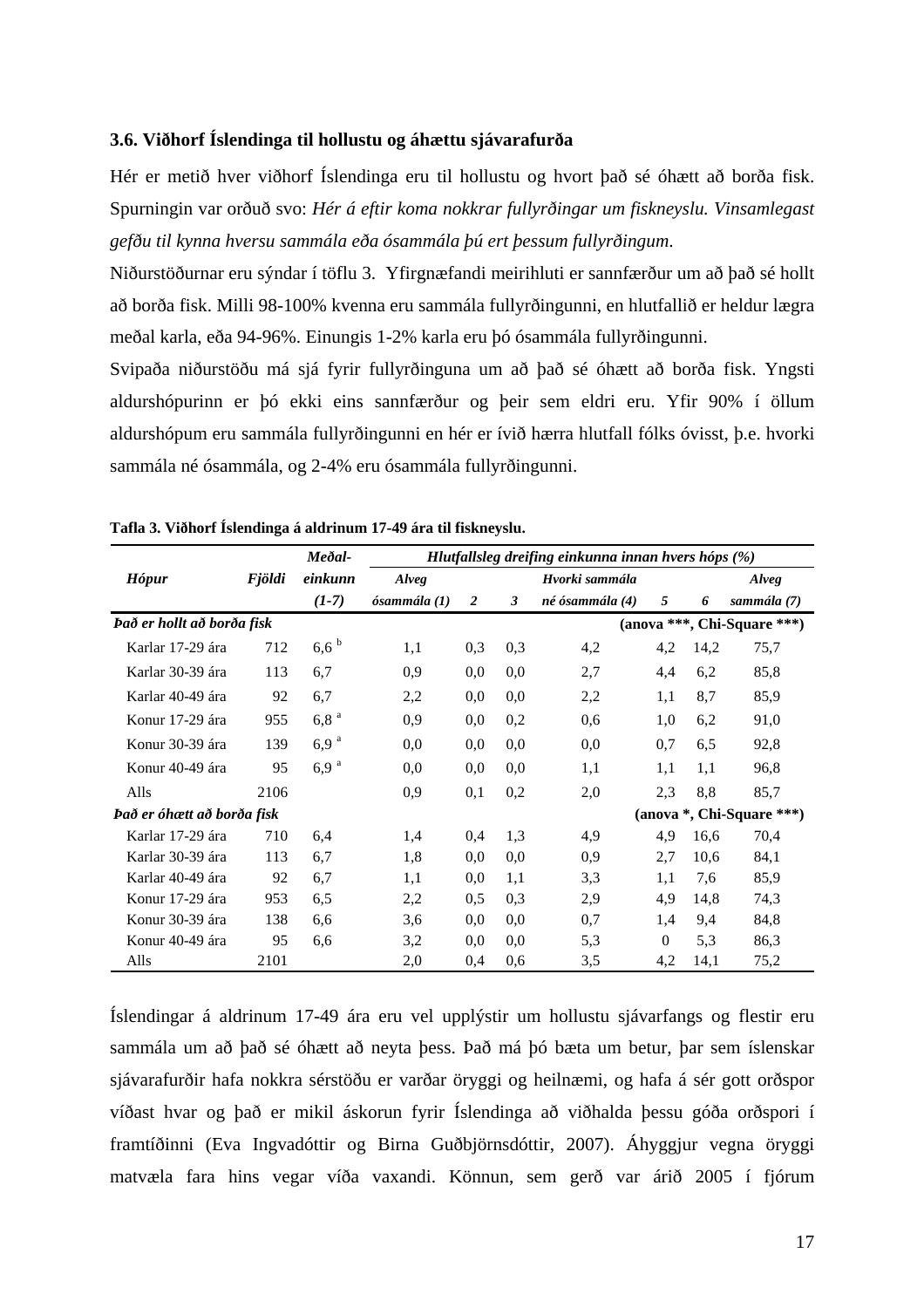#### <span id="page-20-0"></span>**3.6. Viðhorf Íslendinga til hollustu og áhættu sjávarafurða**

Hér er metið hver viðhorf Íslendinga eru til hollustu og hvort það sé óhætt að borða fisk. Spurningin var orðuð svo: *Hér á eftir koma nokkrar fullyrðingar um fiskneyslu. Vinsamlegast gefðu til kynna hversu sammála eða ósammála þú ert þessum fullyrðingum*.

Niðurstöðurnar eru sýndar í töflu 3. Yfirgnæfandi meirihluti er sannfærður um að það sé hollt að borða fisk. Milli 98-100% kvenna eru sammála fullyrðingunni, en hlutfallið er heldur lægra meðal karla, eða 94-96%. Einungis 1-2% karla eru þó ósammála fullyrðingunni.

Svipaða niðurstöðu má sjá fyrir fullyrðinguna um að það sé óhætt að borða fisk. Yngsti aldurshópurinn er þó ekki eins sannfærður og þeir sem eldri eru. Yfir 90% í öllum aldurshópum eru sammála fullyrðingunni en hér er ívið hærra hlutfall fólks óvisst, þ.e. hvorki sammála né ósammála, og 2-4% eru ósammála fullyrðingunni.

|                            |               | Meðal-           |              | Hlutfallsleg dreifing einkunna innan hvers hóps (%) |     |                 |          |      |                             |  |  |  |  |
|----------------------------|---------------|------------------|--------------|-----------------------------------------------------|-----|-----------------|----------|------|-----------------------------|--|--|--|--|
| <b>Hópur</b>               | <b>Fjöldi</b> | einkunn          | Alveg        |                                                     |     | Hvorki sammála  |          |      | Alveg                       |  |  |  |  |
|                            |               | $(1-7)$          | ósammála (1) | 2                                                   | 3   | né ósammála (4) | 5        | 6    | sammála (7)                 |  |  |  |  |
| Það er hollt að borða fisk |               |                  |              |                                                     |     |                 |          |      | (anova ***, Chi-Square ***) |  |  |  |  |
| Karlar 17-29 ára           | 712           | $6,6^{b}$        | 1,1          | 0,3                                                 | 0,3 | 4,2             | 4,2      | 14,2 | 75,7                        |  |  |  |  |
| Karlar 30-39 ára           | 113           | 6,7              | 0,9          | 0,0                                                 | 0.0 | 2,7             | 4,4      | 6,2  | 85,8                        |  |  |  |  |
| Karlar 40-49 ára           | 92            | 6,7              | 2,2          | 0,0                                                 | 0.0 | 2,2             | 1,1      | 8,7  | 85,9                        |  |  |  |  |
| Konur 17-29 ára            | 955           | 6,8 <sup>a</sup> | 0.9          | 0.0                                                 | 0,2 | 0.6             | 1,0      | 6,2  | 91,0                        |  |  |  |  |
| Konur 30-39 ára            | 139           | 6,9 <sup>a</sup> | 0.0          | 0.0                                                 | 0,0 | 0.0             | 0,7      | 6,5  | 92,8                        |  |  |  |  |
| Konur 40-49 ára            | 95            | 6.9 <sup>a</sup> | 0,0          | 0.0                                                 | 0,0 | 1,1             | 1,1      | 1,1  | 96,8                        |  |  |  |  |
| Alls                       | 2106          |                  | 0,9          | 0,1                                                 | 0,2 | 2,0             | 2,3      | 8,8  | 85,7                        |  |  |  |  |
| Það er óhætt að borða fisk |               |                  |              |                                                     |     |                 |          |      | (anova *, Chi-Square ***)   |  |  |  |  |
| Karlar 17-29 ára           | 710           | 6,4              | 1,4          | 0,4                                                 | 1.3 | 4,9             | 4,9      | 16,6 | 70,4                        |  |  |  |  |
| Karlar 30-39 ára           | 113           | 6,7              | 1,8          | 0.0                                                 | 0.0 | 0.9             | 2,7      | 10,6 | 84,1                        |  |  |  |  |
| Karlar 40-49 ára           | 92            | 6,7              | 1,1          | 0,0                                                 | 1,1 | 3,3             | 1,1      | 7,6  | 85,9                        |  |  |  |  |
| Konur 17-29 ára            | 953           | 6,5              | 2,2          | 0,5                                                 | 0,3 | 2,9             | 4,9      | 14,8 | 74,3                        |  |  |  |  |
| Konur 30-39 ára            | 138           | 6,6              | 3,6          | 0,0                                                 | 0.0 | 0,7             | 1,4      | 9,4  | 84,8                        |  |  |  |  |
| Konur 40-49 ára            | 95            | 6,6              | 3,2          | 0,0                                                 | 0.0 | 5,3             | $\Omega$ | 5,3  | 86,3                        |  |  |  |  |
| Alls                       | 2101          |                  | 2,0          | 0,4                                                 | 0,6 | 3,5             | 4,2      | 14,1 | 75,2                        |  |  |  |  |

**Tafla 3. Viðhorf Íslendinga á aldrinum 17-49 ára til fiskneyslu.** 

Íslendingar á aldrinum 17-49 ára eru vel upplýstir um hollustu sjávarfangs og flestir eru sammála um að það sé óhætt að neyta þess. Það má þó bæta um betur, þar sem íslenskar sjávarafurðir hafa nokkra sérstöðu er varðar öryggi og heilnæmi, og hafa á sér gott orðspor víðast hvar og það er mikil áskorun fyrir Íslendinga að viðhalda þessu góða orðspori í framtíðinni (Eva Ingvadóttir og Birna Guðbjörnsdóttir, 2007). Áhyggjur vegna öryggi matvæla fara hins vegar víða vaxandi. Könnun, sem gerð var árið 2005 í fjórum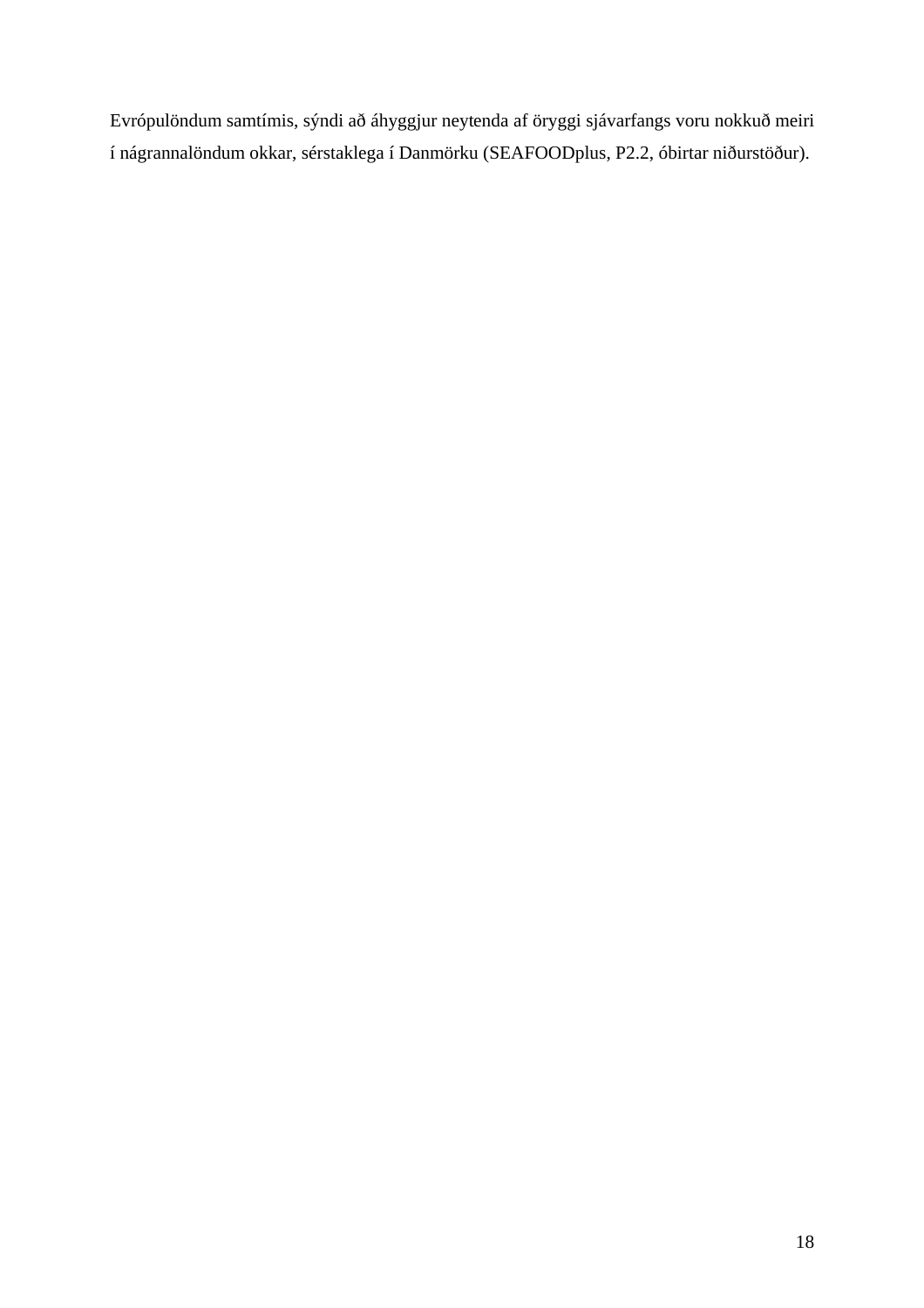Evrópulöndum samtímis, sýndi að áhyggjur neytenda af öryggi sjávarfangs voru nokkuð meiri í nágrannalöndum okkar, sérstaklega í Danmörku (SEAFOODplus, P2.2, óbirtar niðurstöður).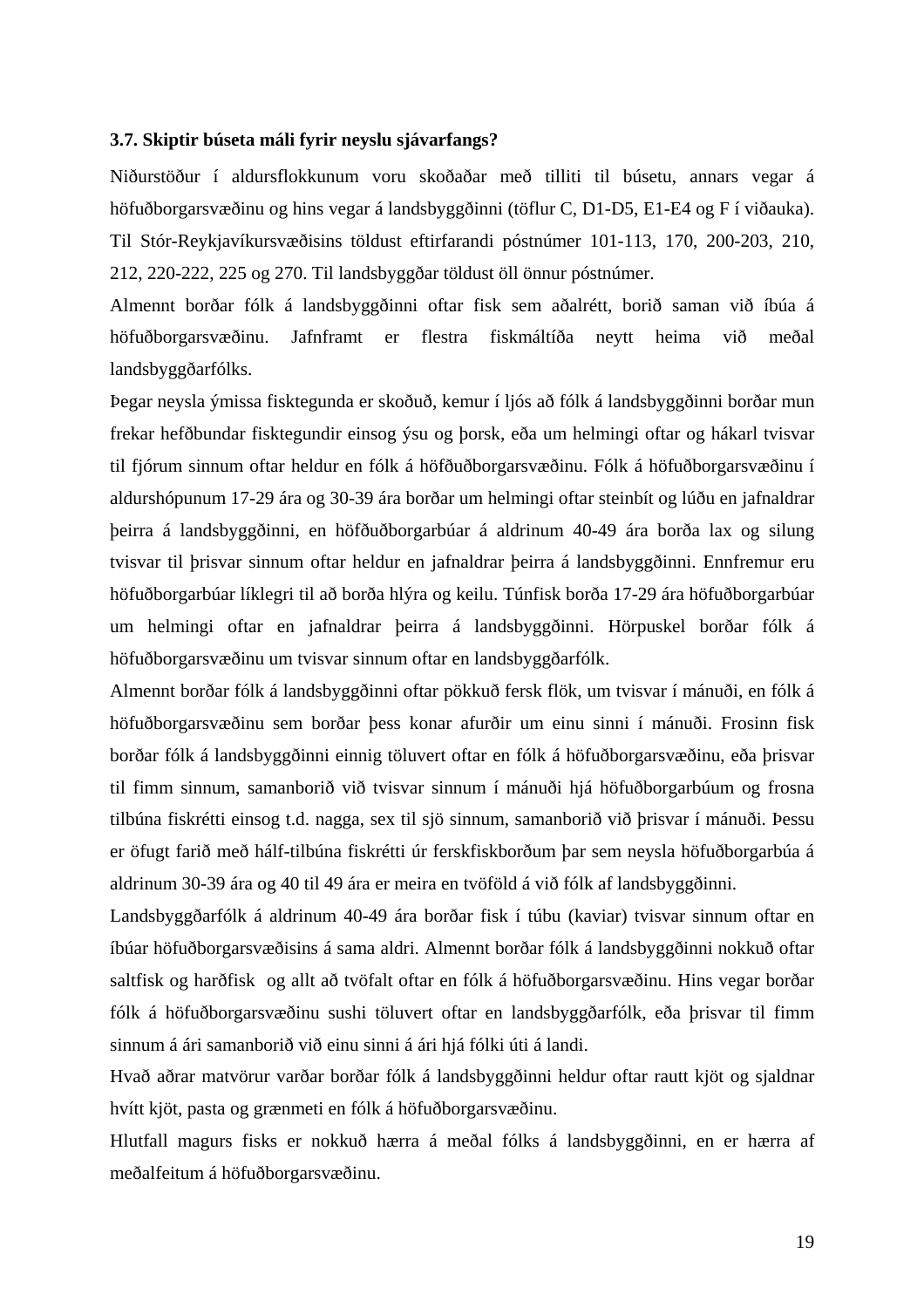#### <span id="page-22-0"></span>**3.7. Skiptir búseta máli fyrir neyslu sjávarfangs?**

Niðurstöður í aldursflokkunum voru skoðaðar með tilliti til búsetu, annars vegar á höfuðborgarsvæðinu og hins vegar á landsbyggðinni (töflur C, D1-D5, E1-E4 og F í viðauka). Til Stór-Reykjavíkursvæðisins töldust eftirfarandi póstnúmer 101-113, 170, 200-203, 210, 212, 220-222, 225 og 270. Til landsbyggðar töldust öll önnur póstnúmer.

Almennt borðar fólk á landsbyggðinni oftar fisk sem aðalrétt, borið saman við íbúa á höfuðborgarsvæðinu. Jafnframt er flestra fiskmáltíða neytt heima við meðal landsbyggðarfólks.

Þegar neysla ýmissa fisktegunda er skoðuð, kemur í ljós að fólk á landsbyggðinni borðar mun frekar hefðbundar fisktegundir einsog ýsu og þorsk, eða um helmingi oftar og hákarl tvisvar til fjórum sinnum oftar heldur en fólk á höfðuðborgarsvæðinu. Fólk á höfuðborgarsvæðinu í aldurshópunum 17-29 ára og 30-39 ára borðar um helmingi oftar steinbít og lúðu en jafnaldrar þeirra á landsbyggðinni, en höfðuðborgarbúar á aldrinum 40-49 ára borða lax og silung tvisvar til þrisvar sinnum oftar heldur en jafnaldrar þeirra á landsbyggðinni. Ennfremur eru höfuðborgarbúar líklegri til að borða hlýra og keilu. Túnfisk borða 17-29 ára höfuðborgarbúar um helmingi oftar en jafnaldrar þeirra á landsbyggðinni. Hörpuskel borðar fólk á höfuðborgarsvæðinu um tvisvar sinnum oftar en landsbyggðarfólk.

Almennt borðar fólk á landsbyggðinni oftar pökkuð fersk flök, um tvisvar í mánuði, en fólk á höfuðborgarsvæðinu sem borðar þess konar afurðir um einu sinni í mánuði. Frosinn fisk borðar fólk á landsbyggðinni einnig töluvert oftar en fólk á höfuðborgarsvæðinu, eða þrisvar til fimm sinnum, samanborið við tvisvar sinnum í mánuði hjá höfuðborgarbúum og frosna tilbúna fiskrétti einsog t.d. nagga, sex til sjö sinnum, samanborið við þrisvar í mánuði. Þessu er öfugt farið með hálf-tilbúna fiskrétti úr ferskfiskborðum þar sem neysla höfuðborgarbúa á aldrinum 30-39 ára og 40 til 49 ára er meira en tvöföld á við fólk af landsbyggðinni.

Landsbyggðarfólk á aldrinum 40-49 ára borðar fisk í túbu (kaviar) tvisvar sinnum oftar en íbúar höfuðborgarsvæðisins á sama aldri. Almennt borðar fólk á landsbyggðinni nokkuð oftar saltfisk og harðfisk og allt að tvöfalt oftar en fólk á höfuðborgarsvæðinu. Hins vegar borðar fólk á höfuðborgarsvæðinu sushi töluvert oftar en landsbyggðarfólk, eða þrisvar til fimm sinnum á ári samanborið við einu sinni á ári hjá fólki úti á landi.

Hvað aðrar matvörur varðar borðar fólk á landsbyggðinni heldur oftar rautt kjöt og sjaldnar hvítt kjöt, pasta og grænmeti en fólk á höfuðborgarsvæðinu.

Hlutfall magurs fisks er nokkuð hærra á meðal fólks á landsbyggðinni, en er hærra af meðalfeitum á höfuðborgarsvæðinu.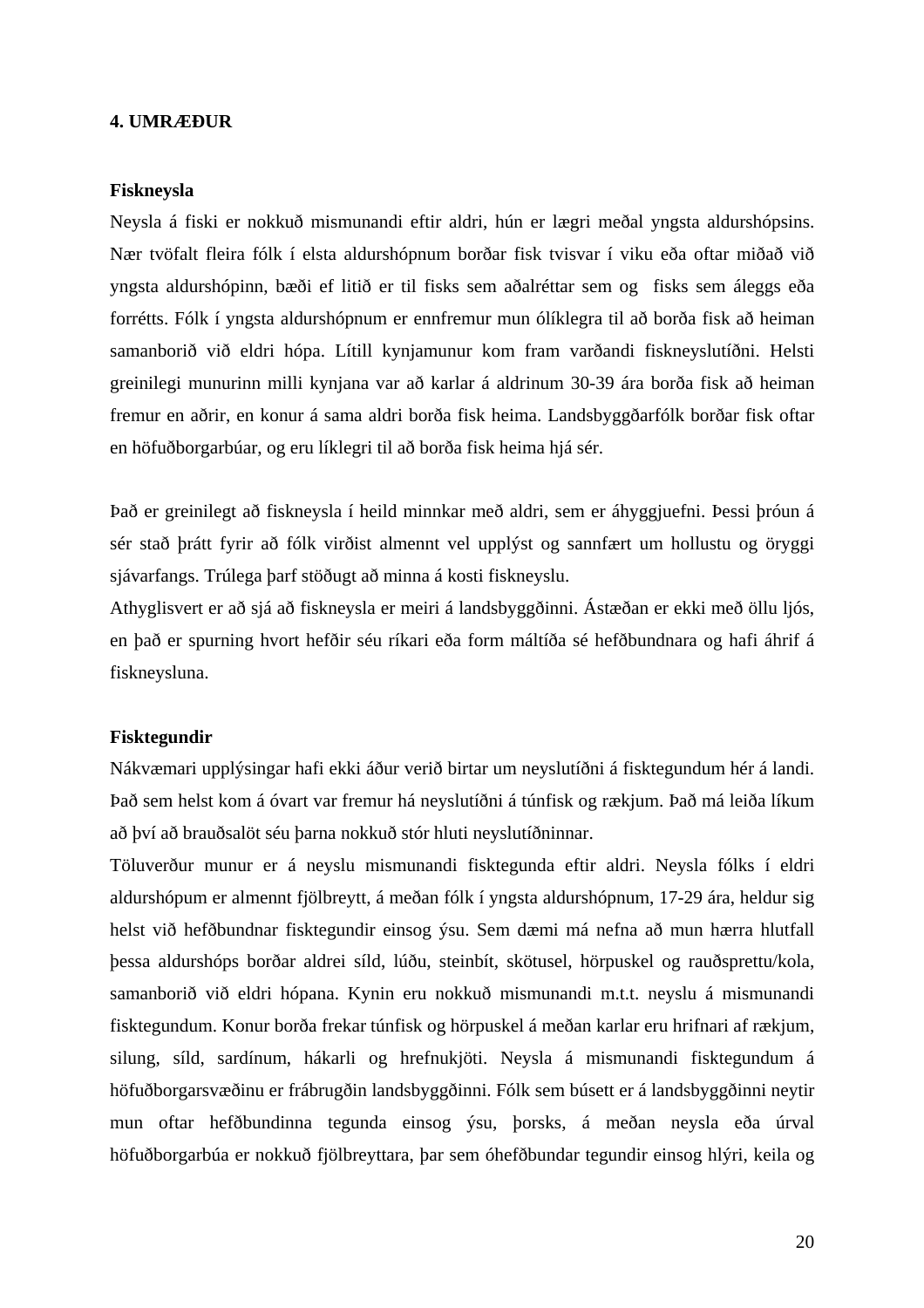#### <span id="page-23-0"></span>**4. UMRÆÐUR**

#### **Fiskneysla**

Neysla á fiski er nokkuð mismunandi eftir aldri, hún er lægri meðal yngsta aldurshópsins. Nær tvöfalt fleira fólk í elsta aldurshópnum borðar fisk tvisvar í viku eða oftar miðað við yngsta aldurshópinn, bæði ef litið er til fisks sem aðalréttar sem og fisks sem áleggs eða forrétts. Fólk í yngsta aldurshópnum er ennfremur mun ólíklegra til að borða fisk að heiman samanborið við eldri hópa. Lítill kynjamunur kom fram varðandi fiskneyslutíðni. Helsti greinilegi munurinn milli kynjana var að karlar á aldrinum 30-39 ára borða fisk að heiman fremur en aðrir, en konur á sama aldri borða fisk heima. Landsbyggðarfólk borðar fisk oftar en höfuðborgarbúar, og eru líklegri til að borða fisk heima hjá sér.

Það er greinilegt að fiskneysla í heild minnkar með aldri, sem er áhyggjuefni. Þessi þróun á sér stað þrátt fyrir að fólk virðist almennt vel upplýst og sannfært um hollustu og öryggi sjávarfangs. Trúlega þarf stöðugt að minna á kosti fiskneyslu.

Athyglisvert er að sjá að fiskneysla er meiri á landsbyggðinni. Ástæðan er ekki með öllu ljós, en það er spurning hvort hefðir séu ríkari eða form máltíða sé hefðbundnara og hafi áhrif á fiskneysluna.

#### **Fisktegundir**

Nákvæmari upplýsingar hafi ekki áður verið birtar um neyslutíðni á fisktegundum hér á landi. Það sem helst kom á óvart var fremur há neyslutíðni á túnfisk og rækjum. Það má leiða líkum að því að brauðsalöt séu þarna nokkuð stór hluti neyslutíðninnar.

Töluverður munur er á neyslu mismunandi fisktegunda eftir aldri. Neysla fólks í eldri aldurshópum er almennt fjölbreytt, á meðan fólk í yngsta aldurshópnum, 17-29 ára, heldur sig helst við hefðbundnar fisktegundir einsog ýsu. Sem dæmi má nefna að mun hærra hlutfall þessa aldurshóps borðar aldrei síld, lúðu, steinbít, skötusel, hörpuskel og rauðsprettu/kola, samanborið við eldri hópana. Kynin eru nokkuð mismunandi m.t.t. neyslu á mismunandi fisktegundum. Konur borða frekar túnfisk og hörpuskel á meðan karlar eru hrifnari af rækjum, silung, síld, sardínum, hákarli og hrefnukjöti. Neysla á mismunandi fisktegundum á höfuðborgarsvæðinu er frábrugðin landsbyggðinni. Fólk sem búsett er á landsbyggðinni neytir mun oftar hefðbundinna tegunda einsog ýsu, þorsks, á meðan neysla eða úrval höfuðborgarbúa er nokkuð fjölbreyttara, þar sem óhefðbundar tegundir einsog hlýri, keila og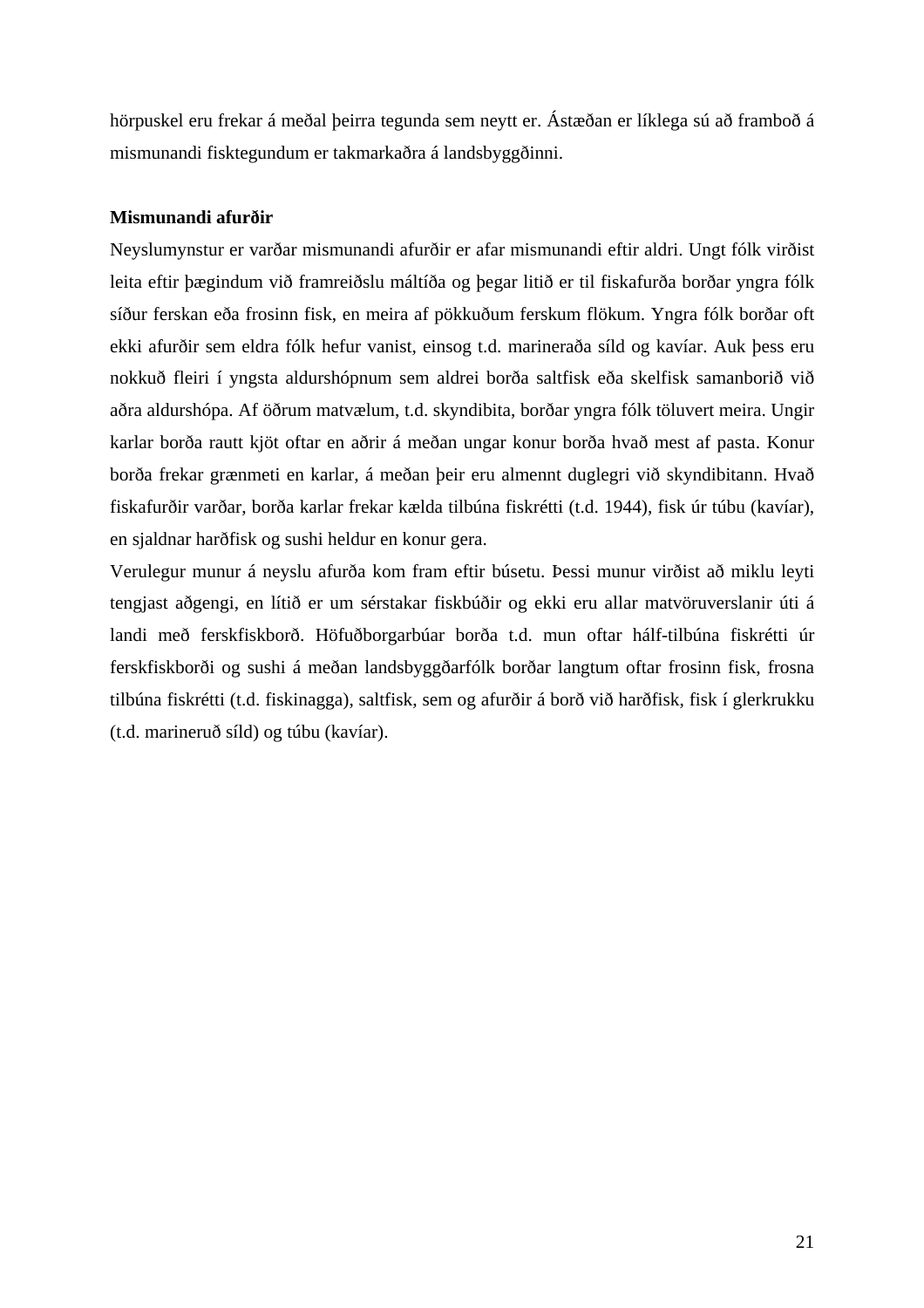hörpuskel eru frekar á meðal þeirra tegunda sem neytt er. Ástæðan er líklega sú að framboð á mismunandi fisktegundum er takmarkaðra á landsbyggðinni.

#### **Mismunandi afurðir**

Neyslumynstur er varðar mismunandi afurðir er afar mismunandi eftir aldri. Ungt fólk virðist leita eftir þægindum við framreiðslu máltíða og þegar litið er til fiskafurða borðar yngra fólk síður ferskan eða frosinn fisk, en meira af pökkuðum ferskum flökum. Yngra fólk borðar oft ekki afurðir sem eldra fólk hefur vanist, einsog t.d. marineraða síld og kavíar. Auk þess eru nokkuð fleiri í yngsta aldurshópnum sem aldrei borða saltfisk eða skelfisk samanborið við aðra aldurshópa. Af öðrum matvælum, t.d. skyndibita, borðar yngra fólk töluvert meira. Ungir karlar borða rautt kjöt oftar en aðrir á meðan ungar konur borða hvað mest af pasta. Konur borða frekar grænmeti en karlar, á meðan þeir eru almennt duglegri við skyndibitann. Hvað fiskafurðir varðar, borða karlar frekar kælda tilbúna fiskrétti (t.d. 1944), fisk úr túbu (kavíar), en sjaldnar harðfisk og sushi heldur en konur gera.

Verulegur munur á neyslu afurða kom fram eftir búsetu. Þessi munur virðist að miklu leyti tengjast aðgengi, en lítið er um sérstakar fiskbúðir og ekki eru allar matvöruverslanir úti á landi með ferskfiskborð. Höfuðborgarbúar borða t.d. mun oftar hálf-tilbúna fiskrétti úr ferskfiskborði og sushi á meðan landsbyggðarfólk borðar langtum oftar frosinn fisk, frosna tilbúna fiskrétti (t.d. fiskinagga), saltfisk, sem og afurðir á borð við harðfisk, fisk í glerkrukku (t.d. marineruð síld) og túbu (kavíar).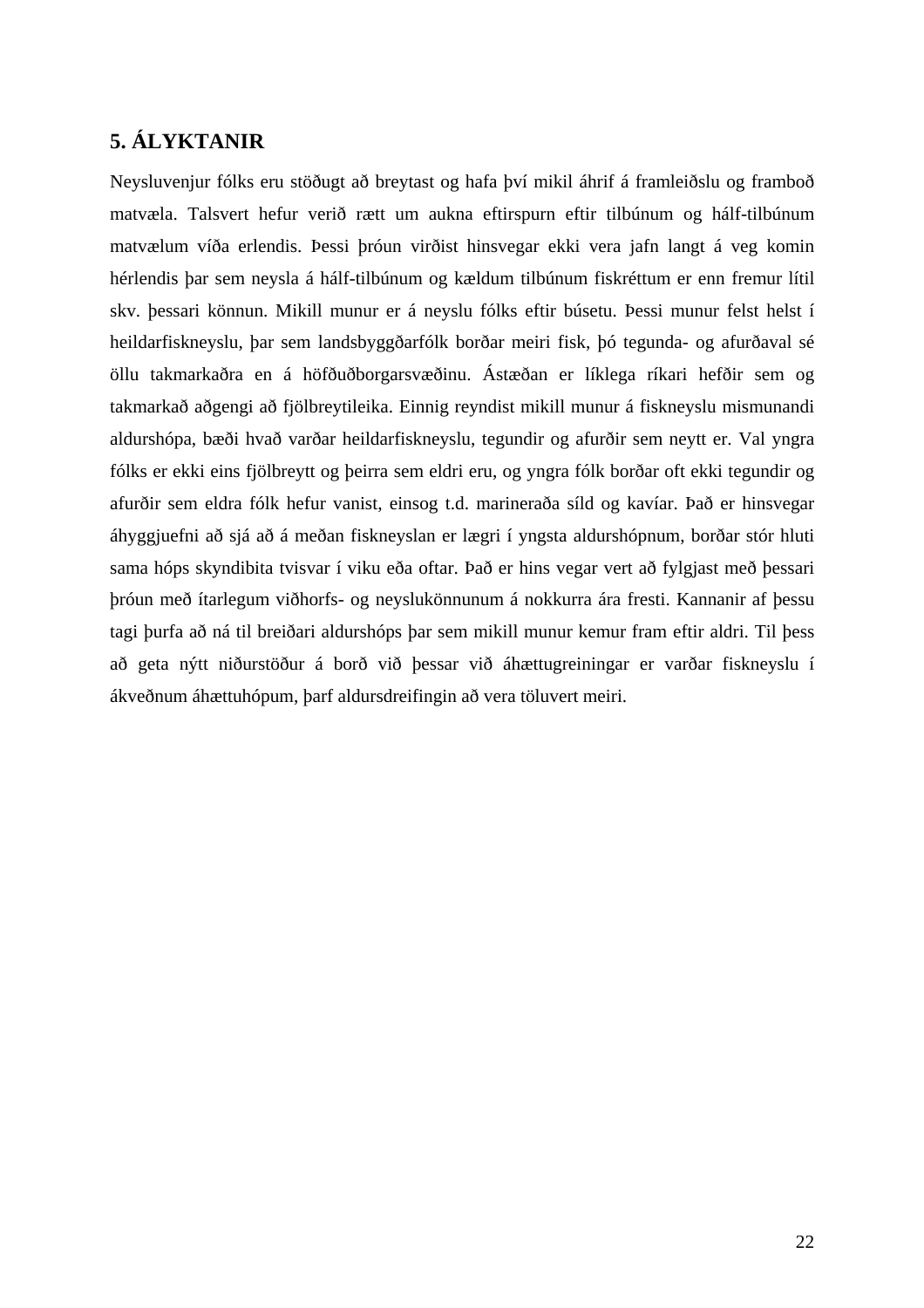### <span id="page-25-0"></span>**5. ÁLYKTANIR**

Neysluvenjur fólks eru stöðugt að breytast og hafa því mikil áhrif á framleiðslu og framboð matvæla. Talsvert hefur verið rætt um aukna eftirspurn eftir tilbúnum og hálf-tilbúnum matvælum víða erlendis. Þessi þróun virðist hinsvegar ekki vera jafn langt á veg komin hérlendis þar sem neysla á hálf-tilbúnum og kældum tilbúnum fiskréttum er enn fremur lítil skv. þessari könnun. Mikill munur er á neyslu fólks eftir búsetu. Þessi munur felst helst í heildarfiskneyslu, þar sem landsbyggðarfólk borðar meiri fisk, þó tegunda- og afurðaval sé öllu takmarkaðra en á höfðuðborgarsvæðinu. Ástæðan er líklega ríkari hefðir sem og takmarkað aðgengi að fjölbreytileika. Einnig reyndist mikill munur á fiskneyslu mismunandi aldurshópa, bæði hvað varðar heildarfiskneyslu, tegundir og afurðir sem neytt er. Val yngra fólks er ekki eins fjölbreytt og þeirra sem eldri eru, og yngra fólk borðar oft ekki tegundir og afurðir sem eldra fólk hefur vanist, einsog t.d. marineraða síld og kavíar. Það er hinsvegar áhyggjuefni að sjá að á meðan fiskneyslan er lægri í yngsta aldurshópnum, borðar stór hluti sama hóps skyndibita tvisvar í viku eða oftar. Það er hins vegar vert að fylgjast með þessari þróun með ítarlegum viðhorfs- og neyslukönnunum á nokkurra ára fresti. Kannanir af þessu tagi þurfa að ná til breiðari aldurshóps þar sem mikill munur kemur fram eftir aldri. Til þess að geta nýtt niðurstöður á borð við þessar við áhættugreiningar er varðar fiskneyslu í ákveðnum áhættuhópum, þarf aldursdreifingin að vera töluvert meiri.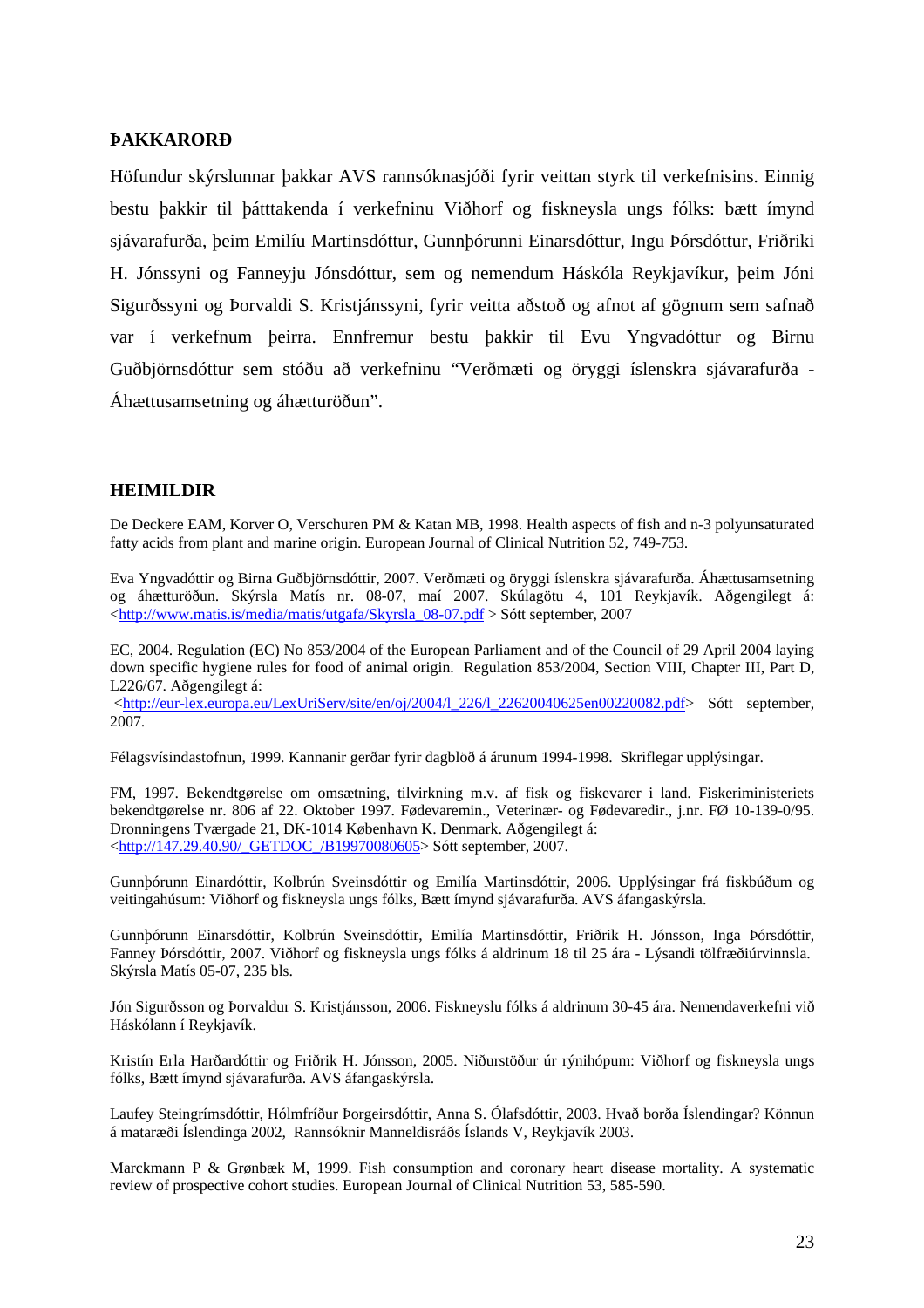#### <span id="page-26-0"></span>**ÞAKKARORÐ**

Höfundur skýrslunnar þakkar AVS rannsóknasjóði fyrir veittan styrk til verkefnisins. Einnig bestu þakkir til þátttakenda í verkefninu Viðhorf og fiskneysla ungs fólks: bætt ímynd sjávarafurða, þeim Emilíu Martinsdóttur, Gunnþórunni Einarsdóttur, Ingu Þórsdóttur, Friðriki H. Jónssyni og Fanneyju Jónsdóttur, sem og nemendum Háskóla Reykjavíkur, þeim Jóni Sigurðssyni og Þorvaldi S. Kristjánssyni, fyrir veitta aðstoð og afnot af gögnum sem safnað var í verkefnum þeirra. Ennfremur bestu þakkir til Evu Yngvadóttur og Birnu Guðbjörnsdóttur sem stóðu að verkefninu "Verðmæti og öryggi íslenskra sjávarafurða - Áhættusamsetning og áhætturöðun".

#### **HEIMILDIR**

De Deckere EAM, Korver O, Verschuren PM & Katan MB, 1998. Health aspects of fish and n-3 polyunsaturated fatty acids from plant and marine origin. European Journal of Clinical Nutrition 52, 749-753.

Eva Yngvadóttir og Birna Guðbjörnsdóttir, 2007. Verðmæti og öryggi íslenskra sjávarafurða. Áhættusamsetning og áhætturöðun. Skýrsla Matís nr. 08-07, maí 2007. Skúlagötu 4, 101 Reykjavík. Aðgengilegt á: [<http://www.matis.is/media/matis/utgafa/Skyrsla\\_08-07.pdf](http://www.matis.is/media/matis/utgafa/Skyrsla_08-07.pdf) > Sótt september, 2007

EC, 2004. Regulation (EC) No 853/2004 of the European Parliament and of the Council of 29 April 2004 laying down specific hygiene rules for food of animal origin. Regulation 853/2004, Section VIII, Chapter III, Part D, L226/67. Aðgengilegt á:

 [<http://eur-lex.europa.eu/LexUriServ/site/en/oj/2004/l\\_226/l\\_22620040625en00220082.pdf](http://eur-lex.europa.eu/LexUriServ/site/en/oj/2004/l_226/l_22620040625en00220082.pdf)> Sótt september, 2007.

Félagsvísindastofnun, 1999. Kannanir gerðar fyrir dagblöð á árunum 1994-1998. Skriflegar upplýsingar.

FM, 1997. Bekendtgørelse om omsætning, tilvirkning m.v. af fisk og fiskevarer i land. Fiskeriministeriets bekendtgørelse nr. 806 af 22. Oktober 1997. Fødevaremin., Veterinær- og Fødevaredir., j.nr. FØ 10-139-0/95. Dronningens Tværgade 21, DK-1014 København K. Denmark. Aðgengilegt á: [<http://147.29.40.90/\\_GETDOC\\_/B19970080605>](http://147.29.40.90/_GETDOC_/B19970080605) Sótt september, 2007.

Gunnþórunn Einardóttir, Kolbrún Sveinsdóttir og Emilía Martinsdóttir, 2006. Upplýsingar frá fiskbúðum og veitingahúsum: Viðhorf og fiskneysla ungs fólks, Bætt ímynd sjávarafurða. AVS áfangaskýrsla.

Gunnþórunn Einarsdóttir, Kolbrún Sveinsdóttir, Emilía Martinsdóttir, Friðrik H. Jónsson, Inga Þórsdóttir, Fanney Þórsdóttir, 2007. Viðhorf og fiskneysla ungs fólks á aldrinum 18 til 25 ára - Lýsandi tölfræðiúrvinnsla. Skýrsla Matís 05-07, 235 bls.

Jón Sigurðsson og Þorvaldur S. Kristjánsson, 2006. Fiskneyslu fólks á aldrinum 30-45 ára. Nemendaverkefni við Háskólann í Reykjavík.

Kristín Erla Harðardóttir og Friðrik H. Jónsson, 2005. Niðurstöður úr rýnihópum: Viðhorf og fiskneysla ungs fólks, Bætt ímynd sjávarafurða. AVS áfangaskýrsla.

Laufey Steingrímsdóttir, Hólmfríður Þorgeirsdóttir, Anna S. Ólafsdóttir, 2003. Hvað borða Íslendingar? Könnun á mataræði Íslendinga 2002, Rannsóknir Manneldisráðs Íslands V, Reykjavík 2003.

Marckmann P & Grønbæk M, 1999. Fish consumption and coronary heart disease mortality. A systematic review of prospective cohort studies. European Journal of Clinical Nutrition 53, 585-590.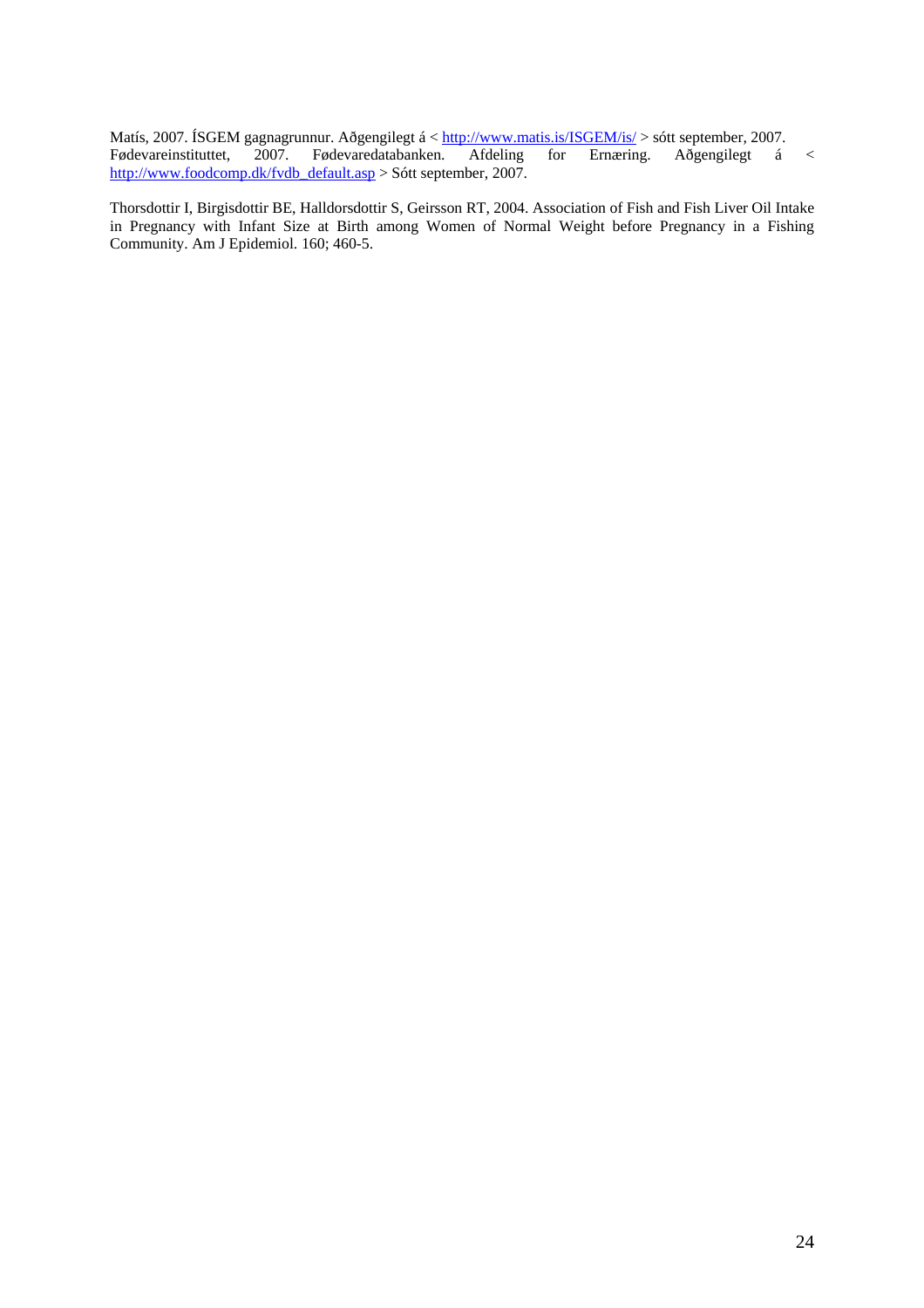Matís, 2007. ÍSGEM gagnagrunnur. Aðgengilegt á < <http://www.matis.is/ISGEM/is/>> sótt september, 2007. Fødevareinstituttet, 2007. Fødevaredatabanken. Afdeling for Ernæring. Aðgengilegt á Fødevaredatabanken. Afdeling for Ernæring. Aðgengilegt á < [http://www.foodcomp.dk/fvdb\\_default.asp](http://www.foodcomp.dk/fvdb_default.asp) > Sótt september, 2007.

Thorsdottir I, Birgisdottir BE, Halldorsdottir S, Geirsson RT, 2004. Association of Fish and Fish Liver Oil Intake in Pregnancy with Infant Size at Birth among Women of Normal Weight before Pregnancy in a Fishing Community. Am J Epidemiol. 160; 460-5.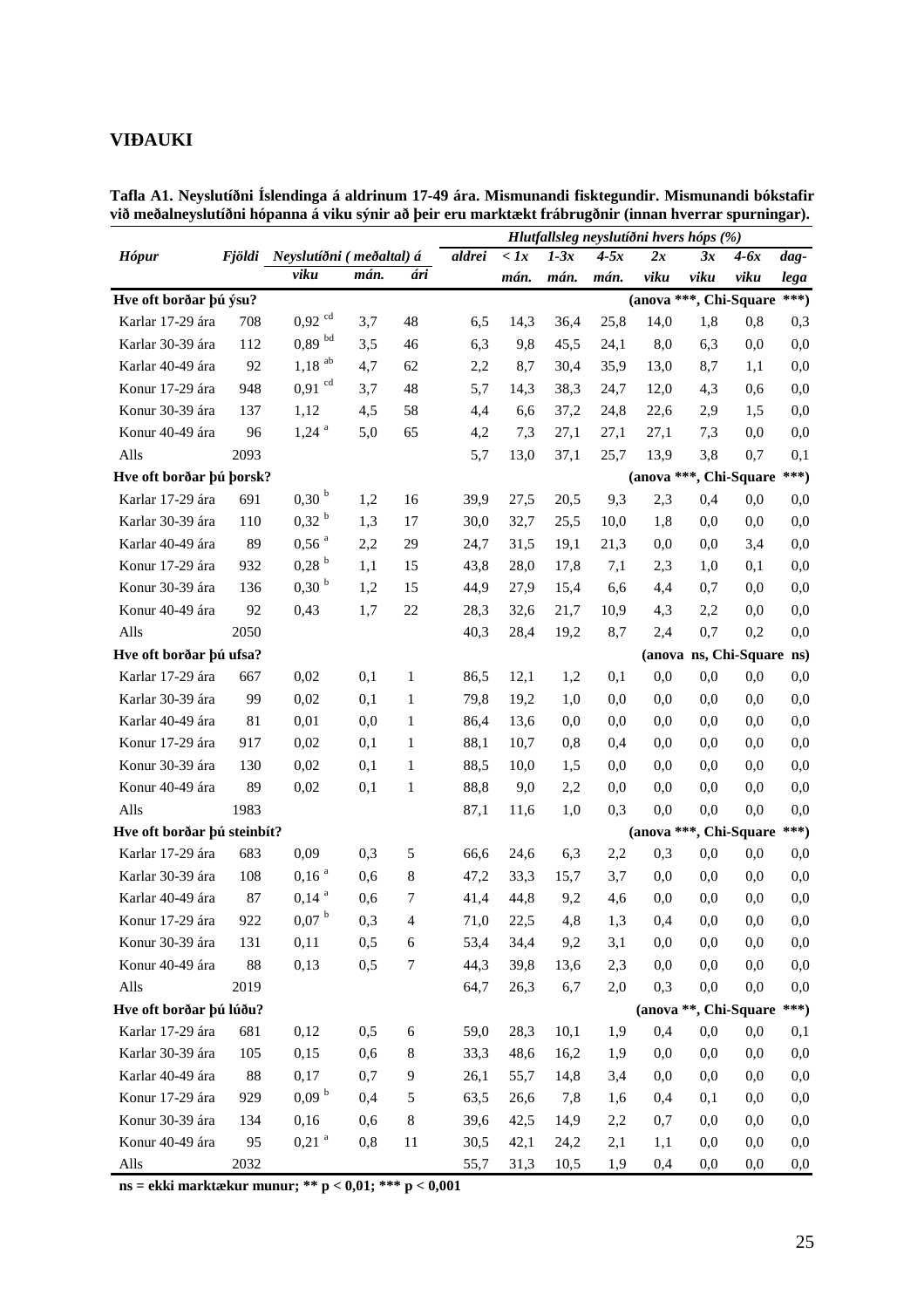#### <span id="page-28-0"></span>**VIÐAUKI**

|                             |          |                                 |      |              |        |              |        |        | Hlutfallsleg neyslutíðni hvers hóps (%) |          |                           |          |
|-----------------------------|----------|---------------------------------|------|--------------|--------|--------------|--------|--------|-----------------------------------------|----------|---------------------------|----------|
| <b>Hópur</b>                |          | Fjöldi Neyslutíðni (meðaltal) á |      |              | aldrei | $\langle$ 1x | $1-3x$ | $4-5x$ | 2x                                      | 3x       | $4-6x$                    | dag-     |
|                             |          | viku                            | mán. | ári          |        | mán.         | mán.   | mán.   | viku                                    | viku     | viku                      | lega     |
| Hve oft borðar þú ýsu?      |          |                                 |      |              |        |              |        |        | (anova ***, Chi-Square                  |          |                           | $***)$   |
| Karlar 17-29 ára            | 708      | $0,92$ cd                       | 3,7  | 48           | 6,5    | 14,3         | 36,4   | 25,8   | 14,0                                    | 1,8      | 0,8                       | 0,3      |
| Karlar 30-39 ára            | 112      | $0,89$ bd                       | 3,5  | 46           | 6,3    | 9,8          | 45,5   | 24,1   | 8,0                                     | 6,3      | 0,0                       | 0,0      |
| Karlar 40-49 ára            | 92       | $1,18$ <sup>ab</sup>            | 4,7  | 62           | 2,2    | 8,7          | 30,4   | 35,9   | 13,0                                    | 8,7      | 1,1                       | 0,0      |
| Konur 17-29 ára             | 948      | $0,91$ <sup>cd</sup>            | 3,7  | 48           | 5,7    | 14,3         | 38,3   | 24,7   | 12,0                                    | 4,3      | 0,6                       | 0,0      |
| Konur 30-39 ára             | 137      | 1,12                            | 4,5  | 58           | 4,4    | 6,6          | 37,2   | 24,8   | 22,6                                    | 2,9      | 1,5                       | 0,0      |
| Konur 40-49 ára             | 96       | $1,24$ <sup>a</sup>             | 5,0  | 65           | 4,2    | 7,3          | 27,1   | 27,1   | 27,1                                    | 7,3      | 0,0                       | 0,0      |
| Alls                        | 2093     |                                 |      |              | 5,7    | 13,0         | 37,1   | 25,7   | 13,9                                    | 3,8      | 0,7                       | 0,1      |
| Hve oft borðar þú þorsk?    |          |                                 |      |              |        |              |        |        | (anova ***, Chi-Square                  |          |                           | ***)     |
| Karlar 17-29 ára            | 691      | 0,30 <sup>b</sup>               | 1,2  | 16           | 39,9   | 27,5         | 20,5   | 9,3    | 2,3                                     | 0,4      | 0,0                       | 0,0      |
| Karlar 30-39 ára            | 110      | $0,32^{b}$                      | 1,3  | 17           | 30,0   | 32,7         | 25,5   | 10,0   | 1,8                                     | 0,0      | 0,0                       | 0,0      |
| Karlar 40-49 ára            | 89       | $0,56$ <sup>a</sup>             | 2,2  | 29           | 24,7   | 31,5         | 19,1   | 21,3   | 0,0                                     | 0,0      | 3,4                       | 0,0      |
| Konur 17-29 ára             | 932      | $0,28$ <sup>b</sup>             | 1,1  | 15           | 43,8   | 28,0         | 17,8   | 7,1    | 2,3                                     | 1,0      | 0,1                       | 0,0      |
| Konur 30-39 ára             | 136      | 0,30 <sup>b</sup>               | 1,2  | 15           | 44,9   | 27,9         | 15,4   | 6,6    | 4,4                                     | 0,7      | 0,0                       | 0,0      |
| Konur 40-49 ára             | 92       | 0,43                            | 1,7  | 22           | 28,3   | 32,6         | 21,7   | 10,9   | 4,3                                     | 2,2      | 0,0                       | 0,0      |
| Alls                        | 2050     |                                 |      |              | 40,3   | 28,4         | 19,2   | 8,7    | 2,4                                     | 0,7      | 0,2                       | 0,0      |
| Hve oft borðar þú ufsa?     |          |                                 |      |              |        |              |        |        |                                         |          | (anova ns, Chi-Square ns) |          |
| Karlar 17-29 ára            | 667      | 0,02                            | 0,1  | 1            | 86,5   | 12,1         | 1,2    | 0,1    | 0,0                                     | 0,0      | 0,0                       | 0,0      |
| Karlar 30-39 ára            | 99       | 0,02                            | 0,1  | 1            | 79,8   | 19,2         | 1,0    | 0,0    | 0,0                                     | 0,0      | 0,0                       | 0,0      |
| Karlar 40-49 ára            | 81       | 0,01                            | 0,0  | 1            | 86,4   | 13,6         | 0,0    | 0,0    | 0,0                                     | 0,0      | 0,0                       | 0,0      |
| Konur 17-29 ára             | 917      | 0,02                            | 0,1  | 1            | 88,1   | 10,7         | 0,8    | 0,4    | 0,0                                     | 0,0      | 0,0                       | 0,0      |
| Konur 30-39 ára             | 130      | 0,02                            | 0,1  | 1            | 88,5   | 10,0         | 1,5    | 0,0    | 0,0                                     | 0,0      | 0,0                       | 0,0      |
| Konur 40-49 ára             | 89       | 0,02                            | 0,1  | $\mathbf{1}$ | 88,8   | 9,0          | 2,2    | 0,0    | 0,0                                     | 0,0      | 0,0                       | 0,0      |
| Alls                        | 1983     |                                 |      |              | 87,1   | 11,6         | 1,0    | 0,3    | 0,0                                     | 0,0      | 0,0                       | 0,0      |
| Hve oft borðar þú steinbít? |          |                                 |      |              |        |              |        |        | (anova ***, Chi-Square                  |          |                           | $***)$   |
| Karlar 17-29 ára            | 683      | 0,09                            | 0,3  | 5            | 66,6   | 24,6         | 6,3    | 2,2    | 0,3                                     | 0,0      | 0,0                       | 0,0      |
| Karlar 30-39 ára            | 108      | 0,16 <sup>a</sup>               | 0,6  | 8            | 47,2   | 33,3         | 15,7   | 3,7    | 0,0                                     | 0,0      | 0,0                       | 0,0      |
| Karlar 40-49 ára            | 87       | $0,14^{a}$                      | 0,6  | 7            | 41,4   | 44,8         | 9,2    | 4,6    | 0,0                                     | 0,0      | 0,0                       | 0,0      |
| Konur 17-29 ára             | 922      | $0,\!07$ $^{\rm b}$             | 0,3  | 4            | 71,0   | 22,5         | 4,8    | 1,3    | 0,4                                     | 0,0      | $_{0,0}$                  | 0,0      |
| Konur 30-39 ára             | 131      | 0,11                            | 0,5  | 6            | 53,4   | 34,4         | 9,2    | 3,1    | 0,0                                     | 0,0      | 0,0                       | 0,0      |
| Konur 40-49 ára             | $\bf 88$ | 0,13                            | 0,5  | 7            | 44,3   | 39,8         | 13,6   | 2,3    | 0,0                                     | 0,0      | 0,0                       | 0,0      |
| Alls                        | 2019     |                                 |      |              | 64,7   | 26,3         | 6,7    | 2,0    | 0,3                                     | 0,0      | 0,0                       | 0,0      |
| Hve oft borðar þú lúðu?     |          |                                 |      |              |        |              |        |        |                                         |          | (anova **, Chi-Square     | ***)     |
| Karlar 17-29 ára            | 681      | 0,12                            | 0,5  | $\sqrt{6}$   | 59,0   | 28,3         | 10,1   | 1,9    | 0,4                                     | 0,0      | 0,0                       | 0,1      |
| Karlar 30-39 ára            | 105      | 0,15                            | 0,6  | 8            | 33,3   | 48,6         | 16,2   | 1,9    | 0,0                                     | 0,0      | 0,0                       | 0,0      |
| Karlar 40-49 ára            | $88\,$   | 0,17                            | 0,7  | 9            | 26,1   | 55,7         | 14,8   | 3,4    | 0,0                                     | 0,0      | 0,0                       | 0,0      |
| Konur 17-29 ára             | 929      | 0,09 <sup>b</sup>               | 0,4  | 5            | 63,5   | 26,6         | 7,8    | 1,6    | 0,4                                     | 0,1      | 0,0                       | 0,0      |
| Konur 30-39 ára             | 134      | 0,16                            | 0,6  | $\,8\,$      | 39,6   | 42,5         | 14,9   | 2,2    | 0,7                                     | 0,0      | 0,0                       | 0,0      |
| Konur 40-49 ára             | 95       | $0,\!21$ $^{\rm a}$             | 0,8  | 11           | 30,5   | 42,1         | 24,2   | 2,1    | 1,1                                     | 0,0      | 0,0                       | 0,0      |
| Alls                        | 2032     |                                 |      |              | 55,7   | 31,3         | 10,5   | 1,9    | 0,4                                     | $_{0,0}$ | $_{0,0}$                  | $_{0,0}$ |

**Tafla A1. Neyslutíðni Íslendinga á aldrinum 17-49 ára. Mismunandi fisktegundir. Mismunandi bókstafir við meðalneyslutíðni hópanna á viku sýnir að þeir eru marktækt frábrugðnir (innan hverrar spurningar).**

**ns = ekki marktækur munur; \*\* p < 0,01; \*\*\* p < 0,001**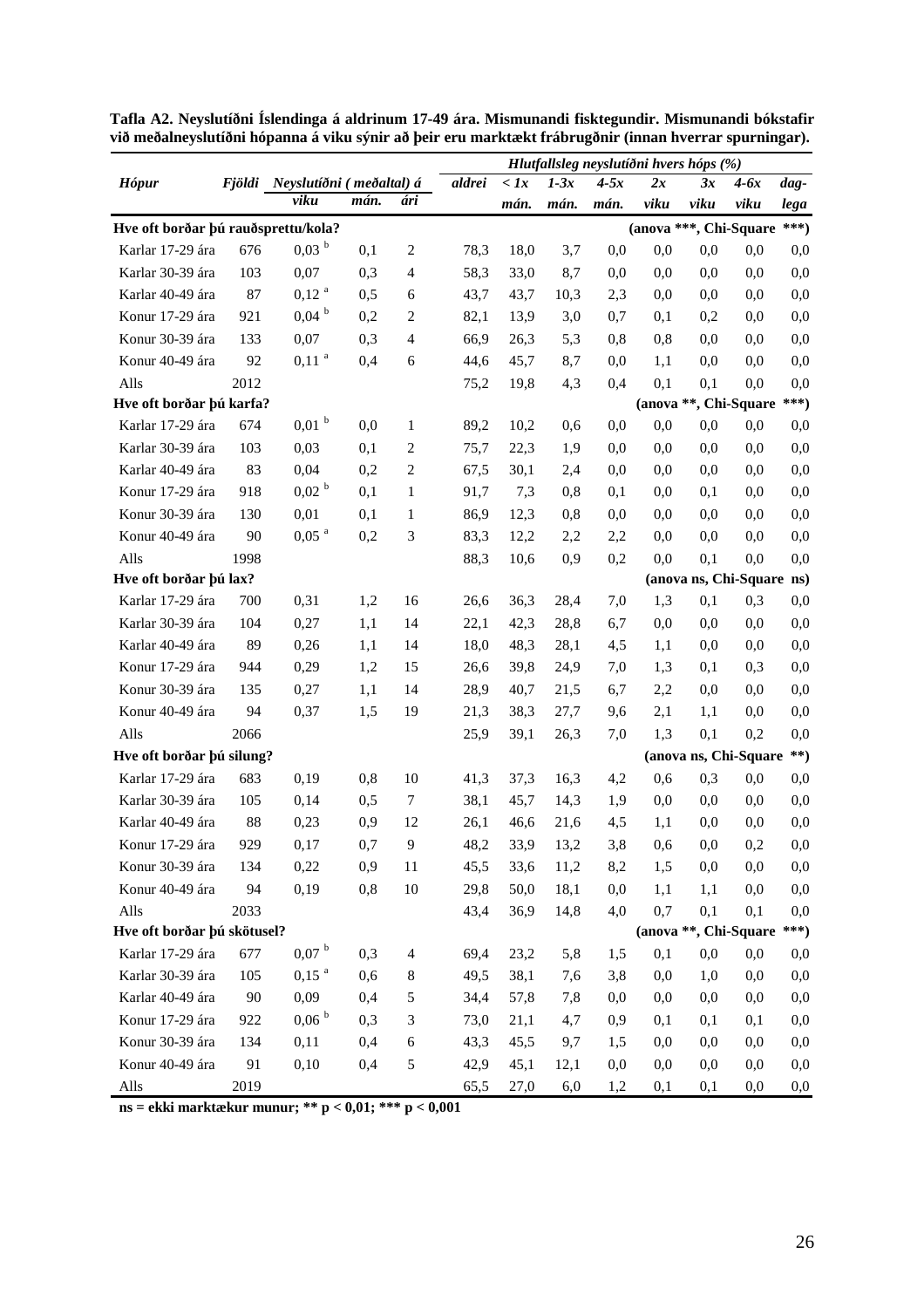|                                     |      |                                 |      |                          |        |              |        | Hlutfallsleg neyslutíðni hvers hóps (%) |                        |          |                           |          |
|-------------------------------------|------|---------------------------------|------|--------------------------|--------|--------------|--------|-----------------------------------------|------------------------|----------|---------------------------|----------|
| <b>Hópur</b>                        |      | Fjöldi Neyslutíðni (meðaltal) á |      |                          | aldrei | $\langle$ 1x | $1-3x$ | $4-5x$                                  | 2x                     | 3x       | $4-6x$                    | $dag-$   |
|                                     |      | viku                            | mán. | ári                      |        | mán.         | mán.   | mán.                                    | viku                   | viku     | viku                      | lega     |
| Hve oft borðar þú rauðsprettu/kola? |      |                                 |      |                          |        |              |        |                                         | (anova ***, Chi-Square |          |                           | $***)$   |
| Karlar 17-29 ára                    | 676  | 0.03 <sup>b</sup>               | 0,1  | $\sqrt{2}$               | 78,3   | 18,0         | 3,7    | 0,0                                     | 0,0                    | 0,0      | 0,0                       | 0,0      |
| Karlar 30-39 ára                    | 103  | 0,07                            | 0,3  | $\overline{\mathcal{L}}$ | 58,3   | 33,0         | 8,7    | 0,0                                     | 0,0                    | 0,0      | 0,0                       | 0,0      |
| Karlar 40-49 ára                    | 87   | $0,12$ <sup>a</sup>             | 0,5  | 6                        | 43,7   | 43,7         | 10,3   | 2,3                                     | 0,0                    | 0,0      | 0,0                       | 0,0      |
| Konur 17-29 ára                     | 921  | $0,04$ <sup>b</sup>             | 0,2  | 2                        | 82,1   | 13,9         | 3,0    | 0,7                                     | 0,1                    | 0,2      | 0,0                       | 0,0      |
| Konur 30-39 ára                     | 133  | 0,07                            | 0,3  | $\overline{\mathcal{L}}$ | 66,9   | 26,3         | 5,3    | 0,8                                     | 0,8                    | 0,0      | 0,0                       | 0,0      |
| Konur 40-49 ára                     | 92   | $0,11^{a}$                      | 0,4  | 6                        | 44,6   | 45,7         | 8,7    | 0,0                                     | 1,1                    | 0,0      | 0,0                       | 0,0      |
| Alls                                | 2012 |                                 |      |                          | 75,2   | 19,8         | 4,3    | 0,4                                     | 0,1                    | 0,1      | 0,0                       | 0,0      |
| Hve oft borðar þú karfa?            |      |                                 |      |                          |        |              |        |                                         |                        |          | (anova **, Chi-Square     | ***)     |
| Karlar 17-29 ára                    | 674  | $0,01$ <sup>b</sup>             | 0,0  | 1                        | 89,2   | 10,2         | 0,6    | 0,0                                     | 0,0                    | 0,0      | 0,0                       | 0,0      |
| Karlar 30-39 ára                    | 103  | 0,03                            | 0,1  | 2                        | 75,7   | 22,3         | 1,9    | 0,0                                     | 0,0                    | 0,0      | 0,0                       | 0,0      |
| Karlar 40-49 ára                    | 83   | 0,04                            | 0,2  | $\boldsymbol{2}$         | 67,5   | 30,1         | 2,4    | 0,0                                     | 0,0                    | 0,0      | 0,0                       | 0,0      |
| Konur 17-29 ára                     | 918  | 0,02 <sup>b</sup>               | 0,1  | 1                        | 91,7   | 7,3          | 0,8    | 0,1                                     | 0,0                    | 0,1      | 0,0                       | 0,0      |
| Konur 30-39 ára                     | 130  | 0,01                            | 0,1  | $\mathbf{1}$             | 86,9   | 12,3         | 0,8    | 0,0                                     | 0,0                    | 0.0      | 0,0                       | 0,0      |
| Konur 40-49 ára                     | 90   | $0,05$ <sup>a</sup>             | 0,2  | 3                        | 83,3   | 12,2         | 2,2    | 2,2                                     | 0,0                    | 0,0      | 0,0                       | 0,0      |
| Alls                                | 1998 |                                 |      |                          | 88,3   | 10,6         | 0,9    | 0,2                                     | 0,0                    | 0,1      | 0,0                       | 0,0      |
| Hve oft borðar þú lax?              |      |                                 |      |                          |        |              |        |                                         |                        |          | (anova ns, Chi-Square ns) |          |
| Karlar 17-29 ára                    | 700  | 0,31                            | 1,2  | 16                       | 26,6   | 36,3         | 28,4   | 7,0                                     | 1,3                    | 0,1      | 0,3                       | 0,0      |
| Karlar 30-39 ára                    | 104  | 0,27                            | 1,1  | 14                       | 22,1   | 42,3         | 28,8   | 6,7                                     | 0,0                    | 0,0      | 0,0                       | 0,0      |
| Karlar 40-49 ára                    | 89   | 0,26                            | 1,1  | 14                       | 18,0   | 48,3         | 28,1   | 4,5                                     | 1,1                    | 0.0      | 0,0                       | 0,0      |
| Konur 17-29 ára                     | 944  | 0,29                            | 1,2  | 15                       | 26,6   | 39,8         | 24,9   | 7,0                                     | 1,3                    | 0,1      | 0,3                       | 0,0      |
| Konur 30-39 ára                     | 135  | 0,27                            | 1,1  | 14                       | 28,9   | 40,7         | 21,5   | 6,7                                     | 2,2                    | 0,0      | 0,0                       | 0,0      |
| Konur 40-49 ára                     | 94   | 0,37                            | 1,5  | 19                       | 21,3   | 38,3         | 27,7   | 9,6                                     | 2,1                    | 1,1      | 0,0                       | 0,0      |
| Alls                                | 2066 |                                 |      |                          | 25,9   | 39,1         | 26,3   | 7,0                                     | 1.3                    | 0,1      | 0,2                       | 0,0      |
| Hve oft borðar þú silung?           |      |                                 |      |                          |        |              |        |                                         |                        |          | (anova ns, Chi-Square     | $***)$   |
| Karlar 17-29 ára                    | 683  | 0,19                            | 0,8  | 10                       | 41,3   | 37,3         | 16,3   | 4,2                                     | 0,6                    | 0,3      | 0,0                       | 0,0      |
| Karlar 30-39 ára                    | 105  | 0,14                            | 0,5  | $\boldsymbol{7}$         | 38,1   | 45,7         | 14,3   | 1,9                                     | 0,0                    | 0,0      | 0,0                       | 0,0      |
| Karlar 40-49 ára                    | 88   | 0,23                            | 0,9  | 12                       | 26,1   | 46,6         | 21,6   | 4,5                                     | 1,1                    | 0,0      | 0,0                       | 0,0      |
| Konur 17-29 ára                     | 929  | 0,17                            | 0,7  | 9                        | 48,2   | 33,9         | 13,2   | 3,8                                     | 0,6                    | $_{0,0}$ | 0,2                       | $_{0,0}$ |
| Konur 30-39 ára                     | 134  | 0,22                            | 0,9  | 11                       | 45,5   | 33,6         | 11,2   | 8,2                                     | 1,5                    | 0,0      | 0,0                       | 0,0      |
| Konur 40-49 ára                     | 94   | 0,19                            | 0,8  | 10                       | 29,8   | 50,0         | 18,1   | 0,0                                     | 1,1                    | 1,1      | 0,0                       | 0,0      |
| Alls                                | 2033 |                                 |      |                          | 43,4   | 36,9         | 14,8   | 4,0                                     | 0,7                    | 0,1      | 0,1                       | 0,0      |
| Hve oft borðar þú skötusel?         |      |                                 |      |                          |        |              |        |                                         |                        |          | (anova **, Chi-Square     | ***)     |
| Karlar 17-29 ára                    | 677  | $0,07$ b                        | 0,3  | 4                        | 69,4   | 23,2         | 5,8    | 1,5                                     | 0,1                    | 0,0      | 0,0                       | $_{0,0}$ |
| Karlar 30-39 ára                    | 105  | $0,15^{a}$                      | 0,6  | 8                        | 49,5   | 38,1         | 7,6    | 3,8                                     | 0,0                    | 1,0      | 0,0                       | $_{0,0}$ |
| Karlar 40-49 ára                    | 90   | 0,09                            | 0,4  | 5                        | 34,4   | 57,8         | 7,8    | 0,0                                     | 0,0                    | 0,0      | 0,0                       | 0,0      |
| Konur 17-29 ára                     | 922  | 0,06 <sup>b</sup>               | 0,3  | 3                        | 73,0   | 21,1         | 4,7    | 0,9                                     | 0,1                    | 0,1      | 0,1                       | 0,0      |
| Konur 30-39 ára                     | 134  | 0,11                            | 0,4  | 6                        | 43,3   | 45,5         | 9,7    | 1,5                                     | 0,0                    | 0,0      | 0,0                       | 0,0      |
| Konur 40-49 ára                     | 91   | 0,10                            | 0,4  | $\mathfrak s$            | 42,9   | 45,1         | 12,1   | 0,0                                     | 0,0                    | 0,0      | 0,0                       | 0,0      |
| Alls                                | 2019 |                                 |      |                          | 65,5   | 27,0         | 6,0    | 1,2                                     | 0,1                    | 0,1      | 0,0                       | $_{0,0}$ |

**Tafla A2. Neyslutíðni Íslendinga á aldrinum 17-49 ára. Mismunandi fisktegundir. Mismunandi bókstafir við meðalneyslutíðni hópanna á viku sýnir að þeir eru marktækt frábrugðnir (innan hverrar spurningar).** 

**ns = ekki marktækur munur; \*\* p < 0,01; \*\*\* p < 0,001**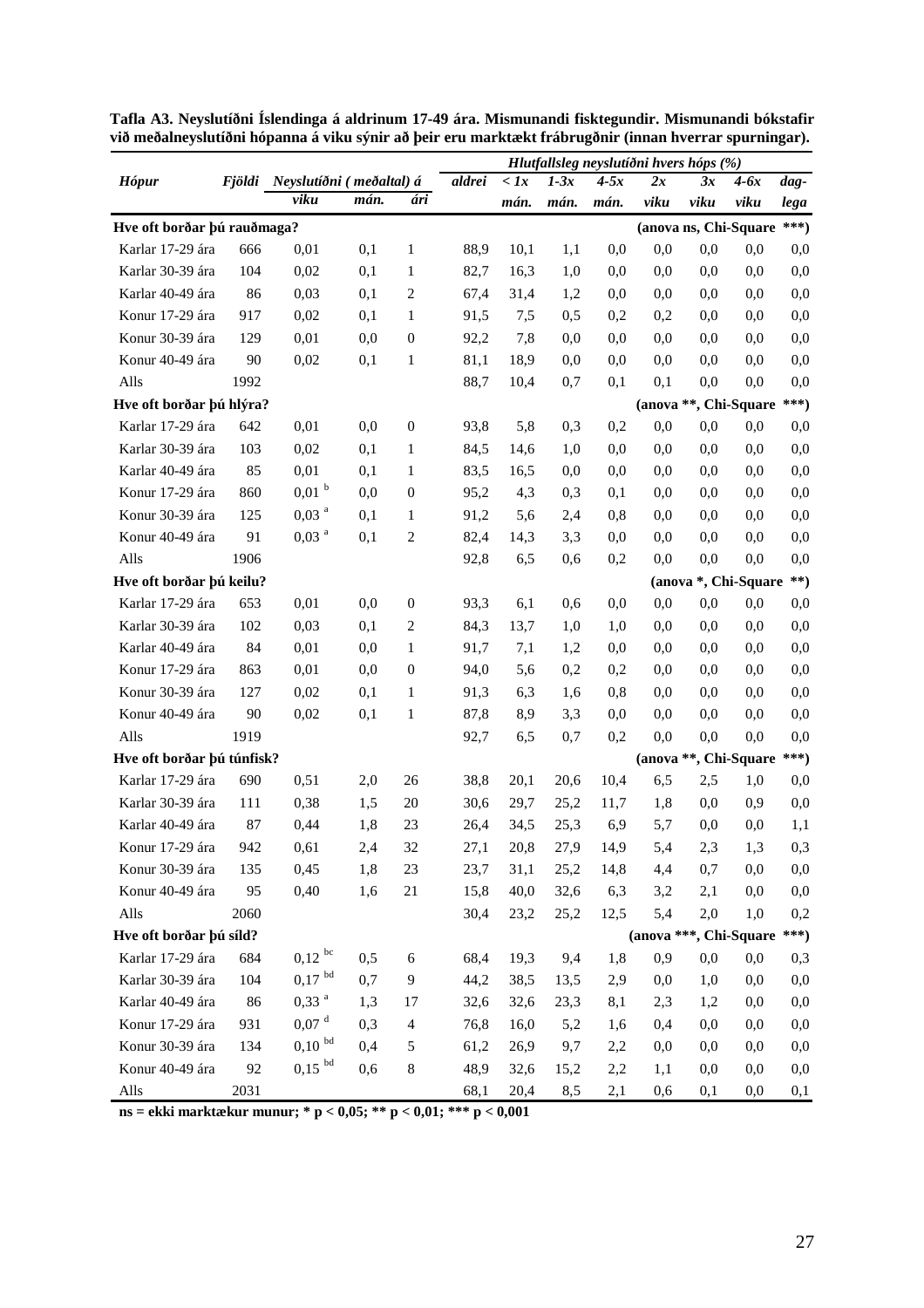|                             |      |                                 |      |                  |        |              |        |        |      | Hlutfallsleg neyslutíðni hvers hóps (%) |        |          |
|-----------------------------|------|---------------------------------|------|------------------|--------|--------------|--------|--------|------|-----------------------------------------|--------|----------|
| <b>Hópur</b>                |      | Fjöldi Neyslutíðni (meðaltal) á |      |                  | aldrei | $\langle$ 1x | $1-3x$ | $4-5x$ | 2x   | 3x                                      | $4-6x$ | dag-     |
|                             |      | viku                            | mán. | ári              |        | mán.         | mán.   | mán.   | viku | viku                                    | viku   | lega     |
| Hve oft borðar þú rauðmaga? |      |                                 |      |                  |        |              |        |        |      | (anova ns, Chi-Square                   |        | $***)$   |
| Karlar 17-29 ára            | 666  | 0,01                            | 0,1  | 1                | 88,9   | 10,1         | 1,1    | 0,0    | 0,0  | 0,0                                     | 0,0    | 0,0      |
| Karlar 30-39 ára            | 104  | 0,02                            | 0,1  | 1                | 82,7   | 16,3         | 1,0    | 0,0    | 0,0  | 0,0                                     | 0,0    | 0,0      |
| Karlar 40-49 ára            | 86   | 0,03                            | 0,1  | 2                | 67,4   | 31,4         | 1,2    | 0,0    | 0,0  | 0.0                                     | 0,0    | 0,0      |
| Konur 17-29 ára             | 917  | 0,02                            | 0,1  | 1                | 91,5   | 7,5          | 0,5    | 0,2    | 0,2  | 0.0                                     | 0,0    | 0,0      |
| Konur 30-39 ára             | 129  | 0,01                            | 0,0  | $\boldsymbol{0}$ | 92,2   | 7,8          | 0,0    | 0,0    | 0,0  | 0.0                                     | 0,0    | 0,0      |
| Konur 40-49 ára             | 90   | 0,02                            | 0,1  | 1                | 81,1   | 18,9         | 0,0    | 0,0    | 0,0  | 0,0                                     | 0,0    | 0,0      |
| Alls                        | 1992 |                                 |      |                  | 88,7   | 10,4         | 0,7    | 0,1    | 0,1  | 0,0                                     | 0,0    | 0,0      |
| Hve oft borðar þú hlýra?    |      |                                 |      |                  |        |              |        |        |      | (anova **, Chi-Square                   |        | ***)     |
| Karlar 17-29 ára            | 642  | 0,01                            | 0,0  | $\boldsymbol{0}$ | 93,8   | 5,8          | 0,3    | 0,2    | 0,0  | 0,0                                     | 0,0    | 0,0      |
| Karlar 30-39 ára            | 103  | 0,02                            | 0,1  | 1                | 84,5   | 14,6         | 1,0    | 0,0    | 0,0  | 0,0                                     | 0,0    | 0,0      |
| Karlar 40-49 ára            | 85   | 0,01                            | 0,1  | 1                | 83,5   | 16,5         | 0,0    | 0,0    | 0,0  | 0.0                                     | 0,0    | 0,0      |
| Konur 17-29 ára             | 860  | $0,01$ <sup>b</sup>             | 0,0  | $\boldsymbol{0}$ | 95,2   | 4,3          | 0,3    | 0,1    | 0,0  | 0.0                                     | 0,0    | 0,0      |
| Konur 30-39 ára             | 125  | $0,03$ <sup>a</sup>             | 0,1  | 1                | 91,2   | 5,6          | 2,4    | 0,8    | 0,0  | 0.0                                     | 0,0    | 0,0      |
| Konur 40-49 ára             | 91   | $0,03$ <sup>a</sup>             | 0,1  | $\boldsymbol{2}$ | 82,4   | 14,3         | 3,3    | 0,0    | 0,0  | 0,0                                     | 0,0    | 0,0      |
| Alls                        | 1906 |                                 |      |                  | 92,8   | 6,5          | 0,6    | 0,2    | 0,0  | 0,0                                     | 0,0    | 0,0      |
| Hve oft borðar þú keilu?    |      |                                 |      |                  |        |              |        |        |      | (anova *, Chi-Square                    |        | $**)$    |
| Karlar 17-29 ára            | 653  | 0,01                            | 0,0  | $\boldsymbol{0}$ | 93,3   | 6,1          | 0,6    | 0,0    | 0,0  | 0,0                                     | 0,0    | 0,0      |
| Karlar 30-39 ára            | 102  | 0,03                            | 0,1  | $\mathbf{2}$     | 84,3   | 13,7         | 1,0    | 1,0    | 0,0  | 0,0                                     | 0,0    | 0,0      |
| Karlar 40-49 ára            | 84   | 0,01                            | 0,0  | 1                | 91,7   | 7,1          | 1,2    | 0,0    | 0,0  | 0.0                                     | 0,0    | 0,0      |
| Konur 17-29 ára             | 863  | 0,01                            | 0,0  | $\boldsymbol{0}$ | 94,0   | 5,6          | 0,2    | 0,2    | 0,0  | 0.0                                     | 0,0    | 0,0      |
| Konur 30-39 ára             | 127  | 0,02                            | 0,1  | 1                | 91,3   | 6,3          | 1,6    | 0,8    | 0,0  | 0.0                                     | 0,0    | 0,0      |
| Konur 40-49 ára             | 90   | 0,02                            | 0,1  | 1                | 87,8   | 8,9          | 3,3    | 0,0    | 0,0  | 0,0                                     | 0,0    | 0,0      |
| Alls                        | 1919 |                                 |      |                  | 92,7   | 6,5          | 0.7    | 0,2    | 0,0  | 0,0                                     | 0,0    | 0,0      |
| Hve oft borðar þú túnfisk?  |      |                                 |      |                  |        |              |        |        |      | (anova **, Chi-Square                   |        | ***)     |
| Karlar 17-29 ára            | 690  | 0,51                            | 2,0  | 26               | 38,8   | 20,1         | 20,6   | 10,4   | 6,5  | 2,5                                     | 1,0    | 0,0      |
| Karlar 30-39 ára            | 111  | 0,38                            | 1,5  | 20               | 30,6   | 29,7         | 25,2   | 11,7   | 1,8  | 0,0                                     | 0,9    | 0,0      |
| Karlar 40-49 ára            | 87   | 0,44                            | 1,8  | 23               | 26,4   | 34,5         | 25,3   | 6,9    | 5,7  | 0,0                                     | 0,0    | 1,1      |
| Konur 17-29 ára             | 942  | 0,61                            | 2,4  | 32               | 27,1   | 20,8         | 27,9   | 14,9   | 5,4  | 2,3                                     | 1,3    | 0,3      |
| Konur 30-39 ára             | 135  | 0,45                            | 1,8  | 23               | 23,7   | 31,1         | 25,2   | 14,8   | 4,4  | 0,7                                     | 0,0    | $_{0,0}$ |
| Konur 40-49 ára             | 95   | 0,40                            | 1,6  | 21               | 15,8   | 40,0         | 32,6   | 6,3    | 3,2  | 2,1                                     | 0,0    | $_{0,0}$ |
| Alls                        | 2060 |                                 |      |                  | 30,4   | 23,2         | 25,2   | 12,5   | 5,4  | 2,0                                     | 1,0    | 0,2      |
| Hve oft borðar þú síld?     |      |                                 |      |                  |        |              |        |        |      | (anova ***, Chi-Square                  |        | ***)     |
| Karlar 17-29 ára            | 684  | $0,12^{bc}$                     | 0,5  | 6                | 68,4   | 19,3         | 9,4    | 1,8    | 0,9  | 0,0                                     | 0,0    | 0,3      |
| Karlar 30-39 ára            | 104  | $0,17$ bd                       | 0,7  | 9                | 44,2   | 38,5         | 13,5   | 2,9    | 0,0  | 1,0                                     | 0,0    | 0,0      |
| Karlar 40-49 ára            | 86   | $0,33$ <sup>a</sup>             | 1,3  | 17               | 32,6   | 32,6         | 23,3   | 8,1    | 2,3  | 1,2                                     | 0,0    | 0,0      |
| Konur 17-29 ára             | 931  | 0,07 <sup>d</sup>               | 0,3  | $\overline{4}$   | 76,8   | 16,0         | 5,2    | 1,6    | 0,4  | 0,0                                     | 0,0    | 0,0      |
| Konur 30-39 ára             | 134  | $0,10^{bd}$                     | 0,4  | 5                | 61,2   | 26,9         | 9,7    | 2,2    | 0,0  | 0,0                                     | 0,0    | $_{0,0}$ |
| Konur 40-49 ára             | 92   | $0,15$ bd                       | 0,6  | 8                | 48,9   | 32,6         | 15,2   | 2,2    | 1,1  | 0,0                                     | 0,0    | $_{0,0}$ |
| Alls                        | 2031 |                                 |      |                  | 68,1   | 20,4         | 8,5    | 2,1    | 0,6  | 0,1                                     | 0,0    | 0,1      |

**Tafla A3. Neyslutíðni Íslendinga á aldrinum 17-49 ára. Mismunandi fisktegundir. Mismunandi bókstafir við meðalneyslutíðni hópanna á viku sýnir að þeir eru marktækt frábrugðnir (innan hverrar spurningar).** 

**ns = ekki marktækur munur; \* p < 0,05; \*\* p < 0,01; \*\*\* p < 0,001**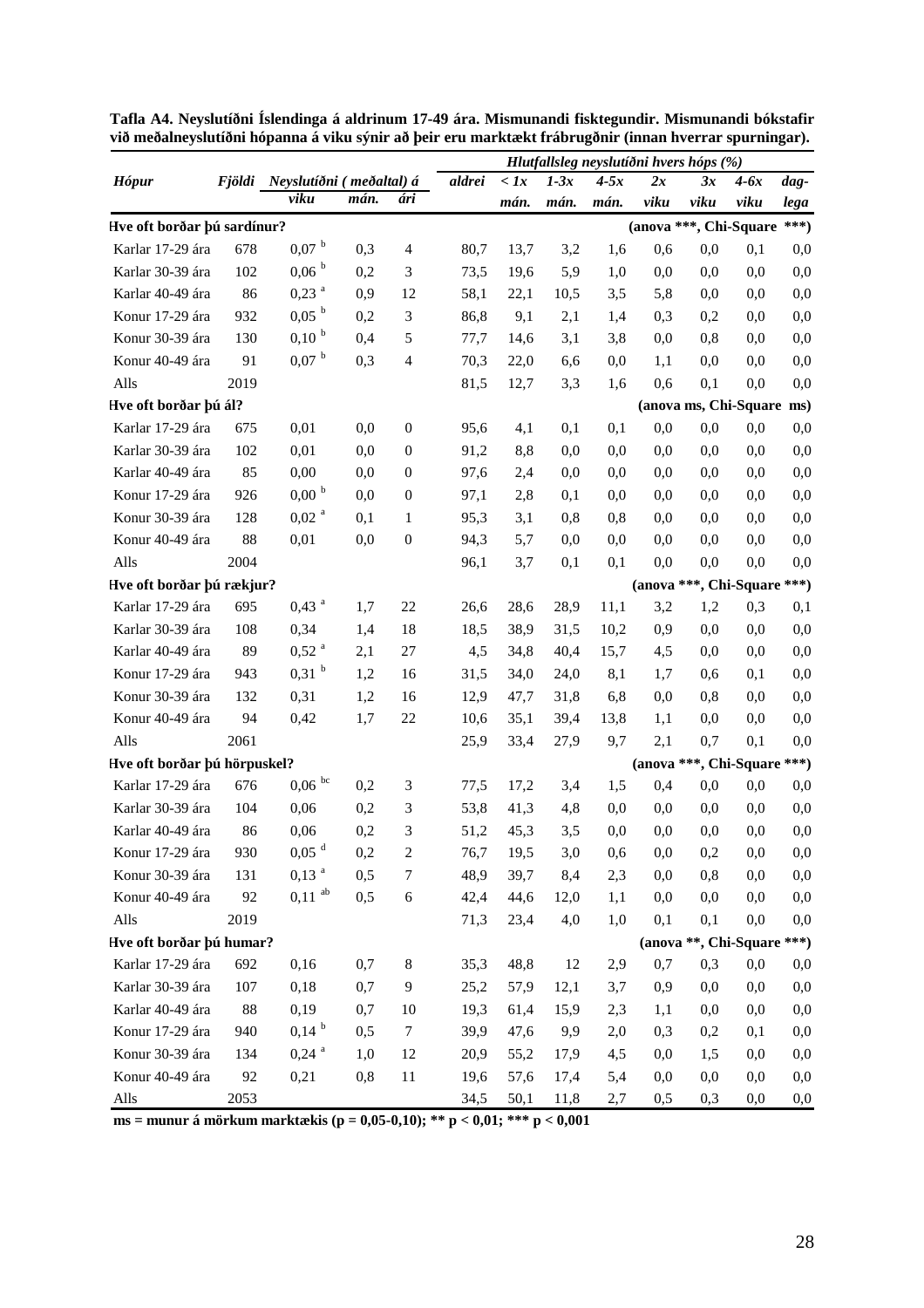|                              |      |                                 |      |                  |        | Hlutfallsleg neyslutíðni hvers hóps (%) |        |        |                        |      |                            |        |  |  |
|------------------------------|------|---------------------------------|------|------------------|--------|-----------------------------------------|--------|--------|------------------------|------|----------------------------|--------|--|--|
| <b>Hópur</b>                 |      | Fjöldi Neyslutíðni (meðaltal) á |      |                  | aldrei | $\langle \, Ix \,$                      | $1-3x$ | $4-5x$ | 2x                     | 3x   | $4-6x$                     | dag-   |  |  |
|                              |      | viku                            | mán. | ári              |        | mán.                                    | mán.   | mán.   | viku                   | viku | viku                       | lega   |  |  |
| Hve oft borðar þú sardínur?  |      |                                 |      |                  |        |                                         |        |        | (anova ***, Chi-Square |      |                            | ***)   |  |  |
| Karlar 17-29 ára             | 678  | $0,07$ b                        | 0,3  | $\overline{4}$   | 80,7   | 13,7                                    | 3,2    | 1,6    | 0,6                    | 0,0  | 0,1                        | 0,0    |  |  |
| Karlar 30-39 ára             | 102  | $0,06^{b}$                      | 0,2  | 3                | 73,5   | 19,6                                    | 5,9    | 1,0    | 0,0                    | 0,0  | 0,0                        | 0,0    |  |  |
| Karlar 40-49 ára             | 86   | $0,23$ <sup>a</sup>             | 0,9  | 12               | 58,1   | 22,1                                    | 10,5   | 3,5    | 5,8                    | 0,0  | 0,0                        | 0,0    |  |  |
| Konur 17-29 ára              | 932  | 0,05 <sup>b</sup>               | 0,2  | $\mathfrak 3$    | 86,8   | 9,1                                     | 2,1    | 1,4    | 0,3                    | 0,2  | 0,0                        | 0,0    |  |  |
| Konur 30-39 ára              | 130  | $0,10^{b}$                      | 0,4  | 5                | 77,7   | 14,6                                    | 3,1    | 3,8    | 0,0                    | 0,8  | 0,0                        | 0,0    |  |  |
| Konur 40-49 ára              | 91   | $0,07$ b                        | 0,3  | $\overline{4}$   | 70,3   | 22,0                                    | 6,6    | 0,0    | 1,1                    | 0,0  | 0,0                        | 0,0    |  |  |
| Alls                         | 2019 |                                 |      |                  | 81,5   | 12,7                                    | 3,3    | 1,6    | 0,6                    | 0,1  | 0,0                        | 0,0    |  |  |
| Hve oft borðar þú ál?        |      |                                 |      |                  |        |                                         |        |        |                        |      | (anova ms, Chi-Square ms)  |        |  |  |
| Karlar 17-29 ára             | 675  | 0,01                            | 0,0  | $\boldsymbol{0}$ | 95,6   | 4,1                                     | 0,1    | 0,1    | 0,0                    | 0,0  | 0,0                        | 0,0    |  |  |
| Karlar 30-39 ára             | 102  | 0,01                            | 0,0  | $\mathbf{0}$     | 91,2   | 8,8                                     | 0,0    | 0,0    | 0,0                    | 0.0  | 0,0                        | 0,0    |  |  |
| Karlar 40-49 ára             | 85   | 0,00                            | 0,0  | $\boldsymbol{0}$ | 97,6   | 2,4                                     | 0,0    | 0,0    | 0,0                    | 0.0  | 0,0                        | 0,0    |  |  |
| Konur 17-29 ára              | 926  | $0,00^{b}$                      | 0,0  | $\mathbf{0}$     | 97,1   | 2,8                                     | 0,1    | 0,0    | 0,0                    | 0.0  | 0,0                        | 0,0    |  |  |
| Konur 30-39 ára              | 128  | 0,02 <sup>a</sup>               | 0,1  | 1                | 95,3   | 3,1                                     | 0,8    | 0,8    | 0,0                    | 0,0  | 0,0                        | 0,0    |  |  |
| Konur 40-49 ára              | 88   | 0,01                            | 0,0  | $\boldsymbol{0}$ | 94,3   | 5,7                                     | 0,0    | 0,0    | 0,0                    | 0.0  | 0,0                        | 0,0    |  |  |
| Alls                         | 2004 |                                 |      |                  | 96,1   | 3,7                                     | 0,1    | 0,1    | 0,0                    | 0,0  | 0,0                        | 0,0    |  |  |
| Hve oft borðar þú rækjur?    |      |                                 |      |                  |        |                                         |        |        | (anova ***, Chi-Square |      |                            | $***)$ |  |  |
| Karlar 17-29 ára             | 695  | $0,43$ <sup>a</sup>             | 1,7  | 22               | 26,6   | 28,6                                    | 28,9   | 11,1   | 3,2                    | 1,2  | 0,3                        | 0,1    |  |  |
| Karlar 30-39 ára             | 108  | 0,34                            | 1,4  | 18               | 18,5   | 38,9                                    | 31,5   | 10,2   | 0,9                    | 0,0  | 0,0                        | 0,0    |  |  |
| Karlar 40-49 ára             | 89   | $0,52$ <sup>a</sup>             | 2,1  | $27\,$           | 4,5    | 34,8                                    | 40,4   | 15,7   | 4,5                    | 0,0  | 0,0                        | 0,0    |  |  |
| Konur 17-29 ára              | 943  | $0,31$ <sup>b</sup>             | 1,2  | 16               | 31,5   | 34,0                                    | 24,0   | 8,1    | 1,7                    | 0,6  | 0,1                        | 0,0    |  |  |
| Konur 30-39 ára              | 132  | 0,31                            | 1,2  | 16               | 12,9   | 47,7                                    | 31,8   | 6,8    | 0,0                    | 0,8  | 0,0                        | 0,0    |  |  |
| Konur 40-49 ára              | 94   | 0,42                            | 1,7  | 22               | 10,6   | 35,1                                    | 39,4   | 13,8   | 1,1                    | 0,0  | 0,0                        | 0,0    |  |  |
| Alls                         | 2061 |                                 |      |                  | 25,9   | 33,4                                    | 27,9   | 9,7    | 2,1                    | 0,7  | 0,1                        | 0,0    |  |  |
| Hve oft borðar þú hörpuskel? |      |                                 |      |                  |        |                                         |        |        | (anova                 |      | ***, Chi-Square            | $***)$ |  |  |
| Karlar 17-29 ára             | 676  | $0.06$ $^{\rm bc}$              | 0,2  | 3                | 77,5   | 17,2                                    | 3,4    | 1,5    | 0,4                    | 0,0  | 0,0                        | 0,0    |  |  |
| Karlar 30-39 ára             | 104  | 0,06                            | 0,2  | 3                | 53,8   | 41,3                                    | 4,8    | 0,0    | 0,0                    | 0,0  | 0,0                        | 0,0    |  |  |
| Karlar 40-49 ára             | 86   | 0,06                            | 0,2  | 3                | 51,2   | 45,3                                    | 3,5    | 0,0    | 0,0                    | 0,0  | 0,0                        | 0,0    |  |  |
| Konur 17-29 ára              | 930  | 0,05 <sup>d</sup>               | 0,2  | $\sqrt{2}$       | 76,7   | 19,5                                    | 3,0    | 0,6    | 0,0                    | 0,2  | 0,0                        | 0,0    |  |  |
| Konur 30-39 ára              | 131  | $0,13$ <sup>a</sup>             | 0,5  | $\boldsymbol{7}$ | 48,9   | 39,7                                    | 8,4    | 2,3    | 0,0                    | 0,8  | 0,0                        | 0,0    |  |  |
| Konur 40-49 ára              | 92   | $0,\!11$ $^{\rm ab}$            | 0,5  | $\sqrt{6}$       | 42,4   | 44,6                                    | 12,0   | 1,1    | 0,0                    | 0,0  | 0,0                        | 0,0    |  |  |
| Alls                         | 2019 |                                 |      |                  | 71,3   | 23,4                                    | 4,0    | 1,0    | 0,1                    | 0,1  | 0,0                        | 0,0    |  |  |
| Hve oft borðar þú humar?     |      |                                 |      |                  |        |                                         |        |        |                        |      | (anova **, Chi-Square ***) |        |  |  |
| Karlar 17-29 ára             | 692  | 0,16                            | 0,7  | $\,8\,$          | 35,3   | 48,8                                    | 12     | 2,9    | 0,7                    | 0,3  | 0,0                        | 0,0    |  |  |
| Karlar 30-39 ára             | 107  | 0,18                            | 0,7  | $\overline{9}$   | 25,2   | 57,9                                    | 12,1   | 3,7    | 0,9                    | 0,0  | 0,0                        | 0,0    |  |  |
| Karlar 40-49 ára             | 88   | 0,19                            | 0,7  | 10               | 19,3   | 61,4                                    | 15,9   | 2,3    | 1,1                    | 0,0  | 0,0                        | 0,0    |  |  |
| Konur 17-29 ára              | 940  | $0,14^{b}$                      | 0,5  | $\tau$           | 39,9   | 47,6                                    | 9,9    | 2,0    | 0,3                    | 0,2  | 0,1                        | 0,0    |  |  |
| Konur 30-39 ára              | 134  | $0,24$ <sup>a</sup>             | 1,0  | 12               | 20,9   | 55,2                                    | 17,9   | 4,5    | 0,0                    | 1,5  | 0,0                        | 0,0    |  |  |
| Konur 40-49 ára              | 92   | 0,21                            | 0,8  | 11               | 19,6   | 57,6                                    | 17,4   | 5,4    | 0,0                    | 0,0  | 0,0                        | 0,0    |  |  |
| Alls                         | 2053 |                                 |      |                  | 34,5   | 50,1                                    | 11,8   | 2,7    | 0,5                    | 0,3  | 0,0                        | 0,0    |  |  |

**Tafla A4. Neyslutíðni Íslendinga á aldrinum 17-49 ára. Mismunandi fisktegundir. Mismunandi bókstafir við meðalneyslutíðni hópanna á viku sýnir að þeir eru marktækt frábrugðnir (innan hverrar spurningar).** 

**ms = munur á mörkum marktækis (p = 0,05-0,10); \*\* p < 0,01; \*\*\* p < 0,001**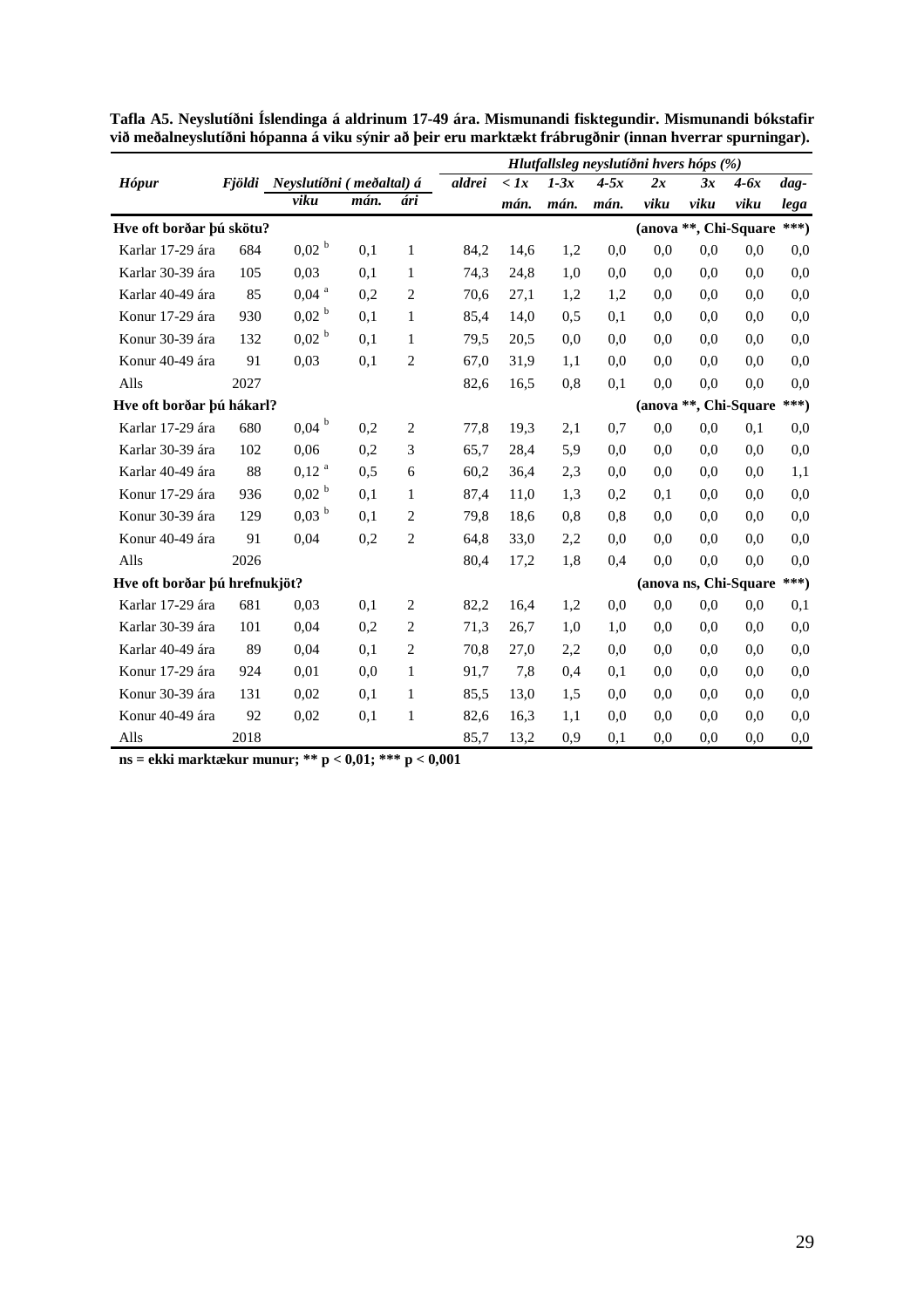|                               |        |                          |      |                | Hlutfallsleg neyslutíðni hvers hóps (%) |               |        |        |      |                       |        |        |
|-------------------------------|--------|--------------------------|------|----------------|-----------------------------------------|---------------|--------|--------|------|-----------------------|--------|--------|
| Hópur                         | Fiöldi | Neyslutíðni (meðaltal) á |      |                | aldrei                                  | $\langle l x$ | $1-3x$ | $4-5x$ | 2x   | 3x                    | $4-6x$ | $dag-$ |
|                               |        | viku                     | mán. | ári            |                                         | mán.          | mán.   | mán.   | viku | viku                  | viku   | lega   |
| Hve oft borðar þú skötu?      |        |                          |      |                |                                         |               |        |        |      | (anova **, Chi-Square |        | ***)   |
| Karlar 17-29 ára              | 684    | 0,02 <sup>b</sup>        | 0,1  | $\mathbf{1}$   | 84,2                                    | 14,6          | 1,2    | 0,0    | 0.0  | 0.0                   | 0.0    | 0.0    |
| Karlar 30-39 ára              | 105    | 0,03                     | 0,1  | $\mathbf{1}$   | 74,3                                    | 24,8          | 1,0    | 0,0    | 0.0  | 0.0                   | 0.0    | 0,0    |
| Karlar 40-49 ára              | 85     | $0,04$ <sup>a</sup>      | 0,2  | $\overline{2}$ | 70,6                                    | 27,1          | 1,2    | 1,2    | 0.0  | 0.0                   | 0.0    | 0,0    |
| Konur 17-29 ára               | 930    | 0,02 <sup>b</sup>        | 0,1  | 1              | 85,4                                    | 14,0          | 0.5    | 0,1    | 0.0  | 0.0                   | 0.0    | 0,0    |
| Konur 30-39 ára               | 132    | $0,02^{b}$               | 0,1  | 1              | 79.5                                    | 20,5          | 0,0    | 0,0    | 0.0  | 0.0                   | 0.0    | 0,0    |
| Konur 40-49 ára               | 91     | 0,03                     | 0,1  | $\overline{c}$ | 67,0                                    | 31,9          | 1.1    | 0,0    | 0.0  | 0.0                   | 0.0    | 0,0    |
| Alls                          | 2027   |                          |      |                | 82,6                                    | 16.5          | 0,8    | 0,1    | 0,0  | 0,0                   | 0.0    | 0,0    |
| Hve oft borðar þú hákarl?     |        |                          |      |                |                                         |               |        |        |      | (anova **, Chi-Square |        | ***)   |
| Karlar 17-29 ára              | 680    | $0,04$ <sup>b</sup>      | 0,2  | 2              | 77,8                                    | 19.3          | 2,1    | 0,7    | 0.0  | 0,0                   | 0,1    | 0,0    |
| Karlar 30-39 ára              | 102    | 0,06                     | 0,2  | 3              | 65,7                                    | 28,4          | 5,9    | 0.0    | 0.0  | 0.0                   | 0,0    | 0,0    |
| Karlar 40-49 ára              | 88     | $0,12^{a}$               | 0,5  | 6              | 60,2                                    | 36,4          | 2,3    | 0,0    | 0,0  | 0.0                   | 0.0    | 1,1    |
| Konur 17-29 ára               | 936    | 0,02 <sup>b</sup>        | 0,1  | 1              | 87,4                                    | 11,0          | 1.3    | 0,2    | 0,1  | 0.0                   | 0.0    | 0,0    |
| Konur 30-39 ára               | 129    | $0.03~^{\rm b}$          | 0,1  | 2              | 79.8                                    | 18,6          | 0,8    | 0.8    | 0,0  | 0.0                   | 0.0    | 0,0    |
| Konur 40-49 ára               | 91     | 0,04                     | 0,2  | $\overline{2}$ | 64,8                                    | 33,0          | 2,2    | 0,0    | 0,0  | 0.0                   | 0,0    | 0,0    |
| Alls                          | 2026   |                          |      |                | 80,4                                    | 17,2          | 1,8    | 0.4    | 0,0  | 0,0                   | 0,0    | 0,0    |
| Hve oft borðar þú hrefnukjöt? |        |                          |      |                |                                         |               |        |        |      | (anova ns, Chi-Square |        | ***)   |
| Karlar 17-29 ára              | 681    | 0,03                     | 0,1  | 2              | 82,2                                    | 16.4          | 1,2    | 0,0    | 0,0  | 0,0                   | 0.0    | 0,1    |
| Karlar 30-39 ára              | 101    | 0,04                     | 0,2  | 2              | 71,3                                    | 26,7          | 1,0    | 1,0    | 0,0  | 0.0                   | 0.0    | 0,0    |
| Karlar 40-49 ára              | 89     | 0,04                     | 0,1  | $\overline{c}$ | 70,8                                    | 27,0          | 2,2    | 0,0    | 0.0  | 0.0                   | 0.0    | 0,0    |
| Konur 17-29 ára               | 924    | 0,01                     | 0,0  | $\mathbf{1}$   | 91,7                                    | 7,8           | 0.4    | 0,1    | 0,0  | 0.0                   | 0,0    | 0,0    |
| Konur 30-39 ára               | 131    | 0,02                     | 0,1  | 1              | 85,5                                    | 13,0          | 1.5    | 0.0    | 0.0  | 0.0                   | 0.0    | 0,0    |
| Konur 40-49 ára               | 92     | 0,02                     | 0,1  | $\mathbf{1}$   | 82,6                                    | 16,3          | 1,1    | 0.0    | 0,0  | 0,0                   | 0,0    | 0,0    |
| Alls                          | 2018   |                          |      |                | 85,7                                    | 13,2          | 0.9    | 0,1    | 0.0  | 0.0                   | 0.0    | 0,0    |

**Tafla A5. Neyslutíðni Íslendinga á aldrinum 17-49 ára. Mismunandi fisktegundir. Mismunandi bókstafir við meðalneyslutíðni hópanna á viku sýnir að þeir eru marktækt frábrugðnir (innan hverrar spurningar).** 

**ns = ekki marktækur munur; \*\* p < 0,01; \*\*\* p < 0,001**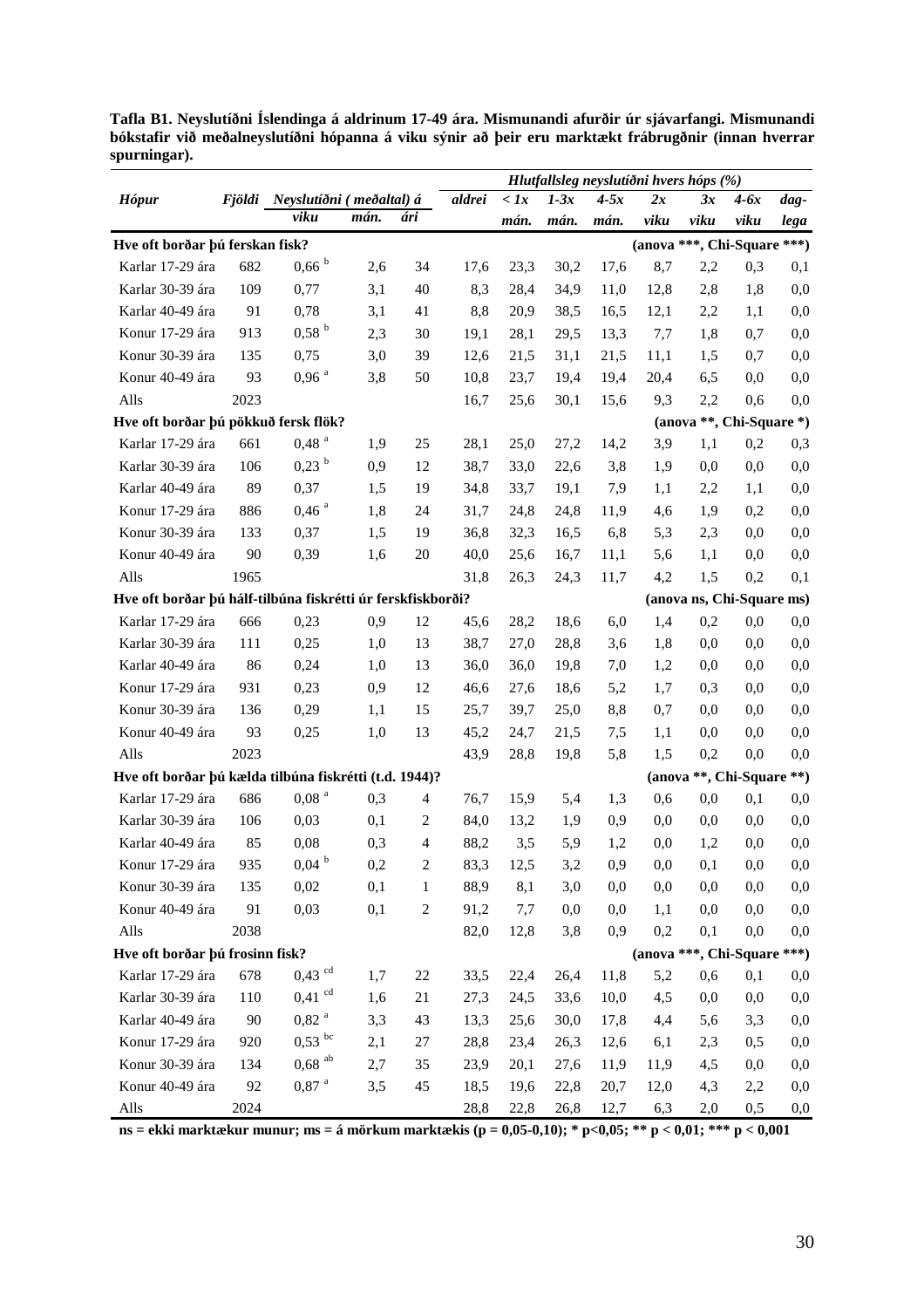|                                                             |      |                                 |      |                |        |               |        |        |          | Hlutfallsleg neyslutíðni hvers hóps (%) |          |          |
|-------------------------------------------------------------|------|---------------------------------|------|----------------|--------|---------------|--------|--------|----------|-----------------------------------------|----------|----------|
| <b>Hópur</b>                                                |      | Fjöldi Neyslutíðni (meðaltal) á |      |                | aldrei | $\langle l x$ | $1-3x$ | $4-5x$ | 2x       | 3x                                      | $4-6x$   | dag-     |
|                                                             |      | viku                            | mán. | ári            |        | mán.          | mán.   | mán.   | viku     | viku                                    | viku     | lega     |
| Hve oft borðar þú ferskan fisk?                             |      |                                 |      |                |        |               |        |        |          | (anova ***, Chi-Square ***)             |          |          |
| Karlar 17-29 ára                                            | 682  | $0,66$ $^{\rm b}$               | 2,6  | 34             | 17,6   | 23,3          | 30,2   | 17,6   | 8,7      | 2,2                                     | 0,3      | 0,1      |
| Karlar 30-39 ára                                            | 109  | 0,77                            | 3,1  | 40             | 8,3    | 28,4          | 34,9   | 11,0   | 12,8     | 2,8                                     | 1,8      | 0,0      |
| Karlar 40-49 ára                                            | 91   | 0,78                            | 3,1  | 41             | 8,8    | 20,9          | 38,5   | 16,5   | 12,1     | 2,2                                     | 1,1      | 0,0      |
| Konur 17-29 ára                                             | 913  | 0,58 <sup>b</sup>               | 2,3  | 30             | 19,1   | 28,1          | 29,5   | 13,3   | 7,7      | 1,8                                     | 0,7      | 0,0      |
| Konur 30-39 ára                                             | 135  | 0,75                            | 3,0  | 39             | 12,6   | 21,5          | 31,1   | 21,5   | 11,1     | 1,5                                     | 0,7      | 0,0      |
| Konur 40-49 ára                                             | 93   | $0,96$ $^{\rm a}$               | 3,8  | 50             | 10,8   | 23,7          | 19,4   | 19,4   | 20,4     | 6,5                                     | 0,0      | 0,0      |
| Alls                                                        | 2023 |                                 |      |                | 16,7   | 25,6          | 30,1   | 15,6   | 9,3      | 2,2                                     | 0,6      | 0,0      |
| Hve oft borðar þú pökkuð fersk flök?                        |      |                                 |      |                |        |               |        |        |          | (anova **, Chi-Square *)                |          |          |
| Karlar 17-29 ára                                            | 661  | 0,48 <sup>a</sup>               | 1,9  | 25             | 28,1   | 25,0          | 27,2   | 14,2   | 3,9      | 1,1                                     | 0,2      | 0,3      |
| Karlar 30-39 ára                                            | 106  | $0,23$ <sup>b</sup>             | 0,9  | 12             | 38,7   | 33,0          | 22,6   | 3,8    | 1,9      | 0,0                                     | 0,0      | 0,0      |
| Karlar 40-49 ára                                            | 89   | 0,37                            | 1,5  | 19             | 34,8   | 33,7          | 19,1   | 7,9    | 1,1      | 2,2                                     | 1,1      | 0,0      |
| Konur 17-29 ára                                             | 886  | $0,46$ <sup>a</sup>             | 1,8  | 24             | 31,7   | 24,8          | 24,8   | 11,9   | 4,6      | 1,9                                     | 0,2      | 0,0      |
| Konur 30-39 ára                                             | 133  | 0,37                            | 1,5  | 19             | 36,8   | 32,3          | 16,5   | 6,8    | 5,3      | 2,3                                     | 0,0      | 0,0      |
| Konur 40-49 ára                                             | 90   | 0,39                            | 1,6  | 20             | 40,0   | 25,6          | 16,7   | 11,1   | 5,6      | 1,1                                     | 0,0      | 0,0      |
| Alls                                                        | 1965 |                                 |      |                | 31,8   | 26,3          | 24,3   | 11,7   | 4,2      | 1,5                                     | 0,2      | 0,1      |
| Hve oft borðar þú hálf-tilbúna fiskrétti úr ferskfiskborði? |      |                                 |      |                |        |               |        |        |          | (anova ns, Chi-Square ms)               |          |          |
| Karlar 17-29 ára                                            | 666  | 0,23                            | 0,9  | 12             | 45,6   | 28,2          | 18,6   | 6,0    | 1,4      | 0,2                                     | 0,0      | 0,0      |
| Karlar 30-39 ára                                            | 111  | 0,25                            | 1,0  | 13             | 38,7   | 27,0          | 28,8   | 3,6    | 1,8      | 0,0                                     | 0,0      | 0,0      |
| Karlar 40-49 ára                                            | 86   | 0,24                            | 1,0  | 13             | 36,0   | 36,0          | 19,8   | 7,0    | 1,2      | 0,0                                     | 0,0      | 0,0      |
| Konur 17-29 ára                                             | 931  | 0,23                            | 0,9  | 12             | 46,6   | 27,6          | 18,6   | 5,2    | 1,7      | 0,3                                     | 0,0      | 0,0      |
| Konur 30-39 ára                                             | 136  | 0,29                            | 1,1  | 15             | 25,7   | 39,7          | 25,0   | 8,8    | 0,7      | 0,0                                     | 0,0      | 0,0      |
| Konur 40-49 ára                                             | 93   | 0,25                            | 1,0  | 13             | 45,2   | 24,7          | 21,5   | 7,5    | 1,1      | 0,0                                     | 0,0      | 0,0      |
| Alls                                                        | 2023 |                                 |      |                | 43,9   | 28,8          | 19,8   | 5,8    | 1,5      | 0,2                                     | 0,0      | 0,0      |
| Hve oft borðar þú kælda tilbúna fiskrétti (t.d. 1944)?      |      |                                 |      |                |        |               |        |        |          | (anova **, Chi-Square **)               |          |          |
| Karlar 17-29 ára                                            | 686  | $0,08$ <sup>a</sup>             | 0,3  | 4              | 76,7   | 15,9          | 5,4    | 1,3    | 0,6      | 0,0                                     | 0,1      | 0,0      |
| Karlar 30-39 ára                                            | 106  | 0,03                            | 0,1  | $\overline{2}$ | 84,0   | 13,2          | 1,9    | 0,9    | 0,0      | 0,0                                     | 0,0      | 0,0      |
| Karlar 40-49 ára                                            | 85   | 0,08                            | 0,3  | $\overline{4}$ | 88,2   | 3,5           | 5,9    | 1,2    | 0,0      | 1,2                                     | 0,0      | 0,0      |
| Konur 17-29 ára                                             | 935  | $0,\!04$ $^{\rm b}$             | 0,2  | $\overline{2}$ | 83,3   | 12,5          | 3,2    | 0,9    | $_{0,0}$ | 0,1                                     | $_{0,0}$ | $_{0,0}$ |
| Konur 30-39 ára                                             | 135  | 0,02                            | 0,1  | 1              | 88,9   | 8,1           | 3,0    | 0,0    | $_{0,0}$ | 0,0                                     | 0,0      | 0,0      |
| Konur 40-49 ára                                             | 91   | 0,03                            | 0,1  | $\sqrt{2}$     | 91,2   | 7,7           | 0,0    | 0,0    | 1,1      | 0,0                                     | 0,0      | 0,0      |
| Alls                                                        | 2038 |                                 |      |                | 82,0   | 12,8          | 3,8    | 0,9    | 0,2      | 0,1                                     | 0,0      | 0,0      |
| Hve oft borðar þú frosinn fisk?                             |      |                                 |      |                |        |               |        |        |          | (anova ***, Chi-Square ***)             |          |          |
| Karlar 17-29 ára                                            | 678  | $0,43$ <sup>cd</sup>            | 1,7  | 22             | 33,5   | 22,4          | 26,4   | 11,8   | 5,2      | 0,6                                     | 0,1      | $_{0,0}$ |
| Karlar 30-39 ára                                            | 110  | $0,41$ <sup>cd</sup>            | 1,6  | 21             | 27,3   | 24,5          | 33,6   | 10,0   | 4,5      | 0,0                                     | 0,0      | 0,0      |
| Karlar 40-49 ára                                            | 90   | $0,82$ <sup>a</sup>             | 3,3  | 43             | 13,3   | 25,6          | 30,0   | 17,8   | 4,4      | 5,6                                     | 3,3      | 0,0      |
| Konur 17-29 ára                                             | 920  | $0,53$ bc                       | 2,1  | 27             | 28,8   | 23,4          | 26,3   | 12,6   | 6,1      | 2,3                                     | 0,5      | 0,0      |
| Konur 30-39 ára                                             | 134  | $0,68$ <sup>ab</sup>            | 2,7  | 35             | 23,9   | 20,1          | 27,6   | 11,9   | 11,9     | 4,5                                     | 0,0      | 0,0      |
| Konur 40-49 ára                                             | 92   | $0.87$ $^{\rm a}$               | 3,5  | 45             | 18,5   | 19,6          | 22,8   | 20,7   | 12,0     | 4,3                                     | 2,2      | $_{0,0}$ |
| Alls                                                        | 2024 |                                 |      |                | 28,8   | 22,8          | 26,8   | 12,7   | 6,3      | 2,0                                     | 0,5      | $_{0,0}$ |

**Tafla B1. Neyslutíðni Íslendinga á aldrinum 17-49 ára. Mismunandi afurðir úr sjávarfangi. Mismunandi bókstafir við meðalneyslutíðni hópanna á viku sýnir að þeir eru marktækt frábrugðnir (innan hverrar spurningar).** 

**ns = ekki marktækur munur; ms = á mörkum marktækis (p = 0,05-0,10); \* p<0,05; \*\* p < 0,01; \*\*\* p < 0,001**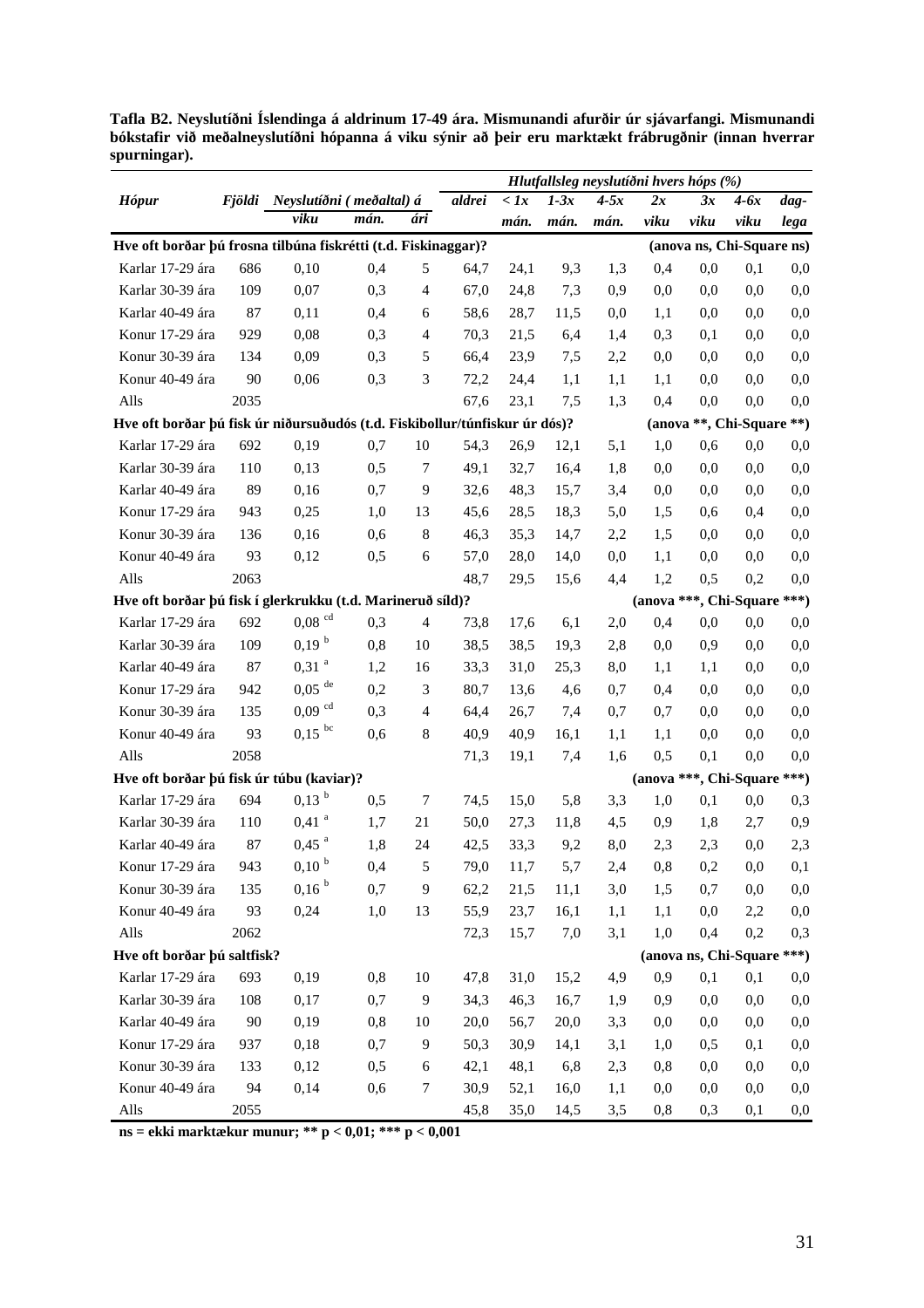**Tafla B2. Neyslutíðni Íslendinga á aldrinum 17-49 ára. Mismunandi afurðir úr sjávarfangi. Mismunandi bókstafir við meðalneyslutíðni hópanna á viku sýnir að þeir eru marktækt frábrugðnir (innan hverrar spurningar).** 

|                                                                             |      |                                 |      |                |        |              |        | Hlutfallsleg neyslutíðni hvers hóps (%) |      |                             |          |         |
|-----------------------------------------------------------------------------|------|---------------------------------|------|----------------|--------|--------------|--------|-----------------------------------------|------|-----------------------------|----------|---------|
| <b>Hópur</b>                                                                |      | Fjöldi Neyslutíðni (meðaltal) á |      |                | aldrei | $\langle$ 1x | $1-3x$ | $4-5x$                                  | 2x   | 3x                          | $4-6x$   | dag-    |
|                                                                             |      | viku                            | mán. | ári            |        | mán.         | mán.   | mán.                                    | viku | viku                        | viku     | lega    |
| Hve oft borðar þú frosna tilbúna fiskrétti (t.d. Fiskinaggar)?              |      |                                 |      |                |        |              |        |                                         |      | (anova ns, Chi-Square ns)   |          |         |
| Karlar 17-29 ára                                                            | 686  | 0,10                            | 0,4  | 5              | 64,7   | 24,1         | 9,3    | 1,3                                     | 0,4  | 0,0                         | 0,1      | 0,0     |
| Karlar 30-39 ára                                                            | 109  | 0,07                            | 0,3  | $\overline{4}$ | 67,0   | 24,8         | 7,3    | 0,9                                     | 0,0  | 0,0                         | 0,0      | 0,0     |
| Karlar 40-49 ára                                                            | 87   | 0,11                            | 0,4  | 6              | 58,6   | 28,7         | 11,5   | 0,0                                     | 1,1  | 0.0                         | 0,0      | 0,0     |
| Konur 17-29 ára                                                             | 929  | 0,08                            | 0,3  | $\overline{4}$ | 70,3   | 21,5         | 6,4    | 1,4                                     | 0,3  | 0,1                         | 0,0      | 0,0     |
| Konur 30-39 ára                                                             | 134  | 0,09                            | 0,3  | 5              | 66,4   | 23,9         | 7,5    | 2,2                                     | 0,0  | 0,0                         | 0,0      | 0,0     |
| Konur 40-49 ára                                                             | 90   | 0,06                            | 0,3  | 3              | 72,2   | 24,4         | 1,1    | 1,1                                     | 1,1  | 0,0                         | 0,0      | 0,0     |
| Alls                                                                        | 2035 |                                 |      |                | 67,6   | 23,1         | 7,5    | 1,3                                     | 0,4  | 0,0                         | 0,0      | 0,0     |
| Hve oft borðar þú fisk úr niðursuðudós (t.d. Fiskibollur/túnfiskur úr dós)? |      |                                 |      |                |        |              |        |                                         |      | (anova **, Chi-Square **)   |          |         |
| Karlar 17-29 ára                                                            | 692  | 0,19                            | 0,7  | 10             | 54,3   | 26,9         | 12,1   | 5,1                                     | 1,0  | 0,6                         | 0,0      | $0,\!0$ |
| Karlar 30-39 ára                                                            | 110  | 0,13                            | 0,5  | $\overline{7}$ | 49,1   | 32,7         | 16,4   | 1,8                                     | 0,0  | 0,0                         | 0,0      | 0,0     |
| Karlar 40-49 ára                                                            | 89   | 0,16                            | 0,7  | 9              | 32,6   | 48,3         | 15,7   | 3,4                                     | 0,0  | 0,0                         | 0,0      | 0,0     |
| Konur 17-29 ára                                                             | 943  | 0,25                            | 1,0  | 13             | 45,6   | 28,5         | 18,3   | 5,0                                     | 1,5  | 0,6                         | 0,4      | 0,0     |
| Konur 30-39 ára                                                             | 136  | 0,16                            | 0,6  | 8              | 46,3   | 35,3         | 14,7   | 2,2                                     | 1,5  | 0,0                         | 0,0      | 0,0     |
| Konur 40-49 ára                                                             | 93   | 0,12                            | 0,5  | 6              | 57,0   | 28,0         | 14,0   | 0,0                                     | 1,1  | 0,0                         | 0,0      | 0,0     |
| Alls                                                                        | 2063 |                                 |      |                | 48,7   | 29,5         | 15,6   | 4,4                                     | 1,2  | 0,5                         | 0,2      | 0,0     |
| Hve oft borðar þú fisk í glerkrukku (t.d. Marineruð síld)?                  |      |                                 |      |                |        |              |        |                                         |      | (anova ***, Chi-Square ***) |          |         |
| Karlar 17-29 ára                                                            | 692  | $0,08$ <sup>cd</sup>            | 0,3  | $\overline{4}$ | 73,8   | 17,6         | 6,1    | 2,0                                     | 0,4  | 0,0                         | 0,0      | 0,0     |
| Karlar 30-39 ára                                                            | 109  | 0,19 <sup>b</sup>               | 0,8  | 10             | 38,5   | 38,5         | 19,3   | 2,8                                     | 0,0  | 0,9                         | 0,0      | 0,0     |
| Karlar 40-49 ára                                                            | 87   | $0,31$ <sup>a</sup>             | 1,2  | 16             | 33,3   | 31,0         | 25,3   | 8,0                                     | 1,1  | 1,1                         | 0,0      | 0,0     |
| Konur 17-29 ára                                                             | 942  | $0,05$ <sup>de</sup>            | 0,2  | 3              | 80,7   | 13,6         | 4,6    | 0,7                                     | 0,4  | 0,0                         | 0,0      | 0,0     |
| Konur 30-39 ára                                                             | 135  | $0,09$ <sup>cd</sup>            | 0,3  | $\overline{4}$ | 64,4   | 26,7         | 7,4    | 0,7                                     | 0.7  | 0,0                         | 0,0      | 0,0     |
| Konur 40-49 ára                                                             | 93   | $0,15$ bc                       | 0,6  | 8              | 40,9   | 40,9         | 16,1   | 1,1                                     | 1,1  | 0,0                         | 0,0      | 0,0     |
| Alls                                                                        | 2058 |                                 |      |                | 71,3   | 19,1         | 7,4    | 1,6                                     | 0,5  | 0,1                         | 0,0      | 0,0     |
| Hve oft borðar þú fisk úr túbu (kaviar)?                                    |      |                                 |      |                |        |              |        |                                         |      | (anova ***, Chi-Square ***) |          |         |
| Karlar 17-29 ára                                                            | 694  | $0,13$ <sup>b</sup>             | 0,5  | 7              | 74,5   | 15,0         | 5,8    | 3,3                                     | 1,0  | 0,1                         | 0,0      | 0,3     |
| Karlar 30-39 ára                                                            | 110  | $0,41$ <sup>a</sup>             | 1,7  | 21             | 50,0   | 27,3         | 11,8   | 4,5                                     | 0,9  | 1,8                         | 2,7      | 0,9     |
| Karlar 40-49 ára                                                            | 87   | $0,45$ <sup>a</sup>             | 1,8  | 24             | 42,5   | 33,3         | 9,2    | 8,0                                     | 2,3  | 2,3                         | 0,0      | 2,3     |
| Konur 17-29 ára                                                             | 943  | $0,10~^{\rm b}$                 | 0,4  | 5              | 79,0   | 11,7         | 5,7    | 2,4                                     | 0,8  | 0,2                         | $_{0,0}$ | 0,1     |
| Konur 30-39 ára                                                             | 135  | 0,16 <sup>b</sup>               | 0,7  | 9              | 62,2   | 21,5         | 11,1   | 3,0                                     | 1,5  | 0,7                         | $_{0,0}$ | 0,0     |
| Konur 40-49 ára                                                             | 93   | 0,24                            | 1,0  | 13             | 55,9   | 23,7         | 16,1   | 1,1                                     | 1,1  | 0,0                         | 2,2      | 0,0     |
| Alls                                                                        | 2062 |                                 |      |                | 72,3   | 15,7         | 7,0    | 3,1                                     | 1,0  | 0,4                         | 0,2      | 0,3     |
| Hve oft borðar þú saltfisk?                                                 |      |                                 |      |                |        |              |        |                                         |      | (anova ns, Chi-Square ***)  |          |         |
| Karlar 17-29 ára                                                            | 693  | 0,19                            | 0,8  | 10             | 47,8   | 31,0         | 15,2   | 4,9                                     | 0,9  | 0,1                         | 0,1      | 0,0     |
| Karlar 30-39 ára                                                            | 108  | 0,17                            | 0,7  | $\overline{9}$ | 34,3   | 46,3         | 16,7   | 1,9                                     | 0,9  | 0,0                         | 0,0      | 0,0     |
| Karlar 40-49 ára                                                            | 90   | 0,19                            | 0,8  | 10             | 20,0   | 56,7         | 20,0   | 3,3                                     | 0,0  | 0,0                         | 0,0      | 0,0     |
| Konur 17-29 ára                                                             | 937  | 0,18                            | 0,7  | 9              | 50,3   | 30,9         | 14,1   | 3,1                                     | 1,0  | 0,5                         | 0,1      | 0,0     |
| Konur 30-39 ára                                                             | 133  | 0,12                            | 0,5  | $\sqrt{6}$     | 42,1   | 48,1         | 6,8    | 2,3                                     | 0,8  | 0,0                         | 0,0      | 0,0     |
| Konur 40-49 ára                                                             | 94   | 0,14                            | 0,6  | $\tau$         | 30,9   | 52,1         | 16,0   | 1,1                                     | 0,0  | 0,0                         | 0,0      | 0,0     |
| Alls                                                                        | 2055 |                                 |      |                | 45,8   | 35,0         | 14,5   | 3,5                                     | 0,8  | 0,3                         | 0,1      | 0,0     |

**ns = ekki marktækur munur; \*\* p < 0,01; \*\*\* p < 0,001**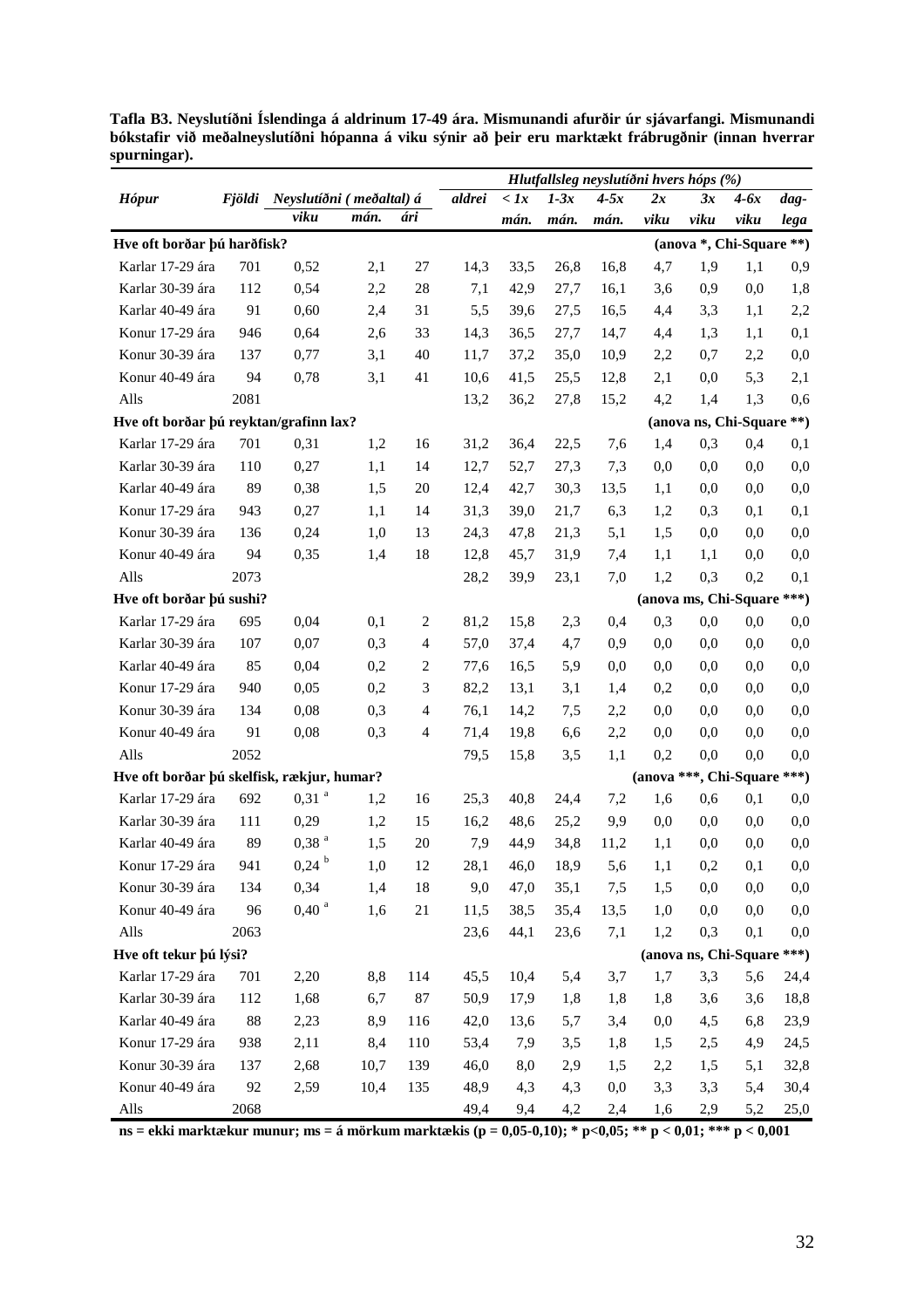|                                            |      |                                 |      |                |        |              |        | Hlutfallsleg neyslutíðni hvers hóps (%) |      |                             |        |          |
|--------------------------------------------|------|---------------------------------|------|----------------|--------|--------------|--------|-----------------------------------------|------|-----------------------------|--------|----------|
| <b>Hópur</b>                               |      | Fjöldi Neyslutíðni (meðaltal) á |      |                | aldrei | $\langle$ 1x | $1-3x$ | $4-5x$                                  | 2x   | 3x                          | $4-6x$ | dag-     |
|                                            |      | viku                            | mán. | ári            |        | mán.         | mán.   | mán.                                    | viku | viku                        | viku   | lega     |
| Hve oft borðar þú harðfisk?                |      |                                 |      |                |        |              |        |                                         |      | (anova *, Chi-Square **)    |        |          |
| Karlar 17-29 ára                           | 701  | 0,52                            | 2,1  | 27             | 14,3   | 33,5         | 26,8   | 16,8                                    | 4,7  | 1,9                         | 1,1    | 0,9      |
| Karlar 30-39 ára                           | 112  | 0,54                            | 2,2  | 28             | 7,1    | 42,9         | 27,7   | 16,1                                    | 3,6  | 0,9                         | 0,0    | 1,8      |
| Karlar 40-49 ára                           | 91   | 0,60                            | 2,4  | 31             | 5,5    | 39,6         | 27,5   | 16,5                                    | 4,4  | 3,3                         | 1,1    | 2,2      |
| Konur 17-29 ára                            | 946  | 0,64                            | 2,6  | 33             | 14,3   | 36,5         | 27,7   | 14,7                                    | 4,4  | 1,3                         | 1,1    | 0,1      |
| Konur 30-39 ára                            | 137  | 0,77                            | 3,1  | 40             | 11,7   | 37,2         | 35,0   | 10,9                                    | 2,2  | 0,7                         | 2,2    | 0,0      |
| Konur 40-49 ára                            | 94   | 0,78                            | 3,1  | 41             | 10,6   | 41,5         | 25,5   | 12,8                                    | 2,1  | 0,0                         | 5,3    | 2,1      |
| Alls                                       | 2081 |                                 |      |                | 13,2   | 36,2         | 27,8   | 15,2                                    | 4,2  | 1,4                         | 1,3    | 0,6      |
| Hve oft borðar þú reyktan/grafinn lax?     |      |                                 |      |                |        |              |        |                                         |      | (anova ns, Chi-Square **)   |        |          |
| Karlar 17-29 ára                           | 701  | 0,31                            | 1,2  | 16             | 31,2   | 36,4         | 22,5   | 7,6                                     | 1,4  | 0,3                         | 0,4    | 0,1      |
| Karlar 30-39 ára                           | 110  | 0,27                            | 1,1  | 14             | 12,7   | 52,7         | 27,3   | 7,3                                     | 0,0  | 0,0                         | 0,0    | 0,0      |
| Karlar 40-49 ára                           | 89   | 0,38                            | 1,5  | 20             | 12,4   | 42,7         | 30,3   | 13,5                                    | 1,1  | 0,0                         | 0,0    | 0,0      |
| Konur 17-29 ára                            | 943  | 0,27                            | 1,1  | 14             | 31,3   | 39,0         | 21,7   | 6,3                                     | 1,2  | 0,3                         | 0,1    | 0,1      |
| Konur 30-39 ára                            | 136  | 0,24                            | 1,0  | 13             | 24,3   | 47,8         | 21,3   | 5,1                                     | 1,5  | 0.0                         | 0,0    | 0,0      |
| Konur 40-49 ára                            | 94   | 0,35                            | 1,4  | 18             | 12,8   | 45,7         | 31,9   | 7,4                                     | 1,1  | 1,1                         | 0,0    | 0,0      |
| Alls                                       | 2073 |                                 |      |                | 28,2   | 39,9         | 23,1   | 7,0                                     | 1,2  | 0,3                         | 0,2    | 0,1      |
| Hve oft borðar þú sushi?                   |      |                                 |      |                |        |              |        |                                         |      | (anova ms, Chi-Square ***)  |        |          |
| Karlar 17-29 ára                           | 695  | 0,04                            | 0,1  | 2              | 81,2   | 15,8         | 2,3    | 0,4                                     | 0,3  | 0,0                         | 0,0    | 0,0      |
| Karlar 30-39 ára                           | 107  | 0,07                            | 0,3  | $\overline{4}$ | 57,0   | 37,4         | 4,7    | 0,9                                     | 0,0  | 0.0                         | 0,0    | 0,0      |
| Karlar 40-49 ára                           | 85   | 0,04                            | 0,2  | $\overline{2}$ | 77,6   | 16,5         | 5,9    | 0,0                                     | 0,0  | 0.0                         | 0,0    | 0,0      |
| Konur 17-29 ára                            | 940  | 0,05                            | 0,2  | 3              | 82,2   | 13,1         | 3,1    | 1,4                                     | 0,2  | 0.0                         | 0,0    | 0,0      |
| Konur 30-39 ára                            | 134  | 0,08                            | 0,3  | $\overline{4}$ | 76,1   | 14,2         | 7,5    | 2,2                                     | 0,0  | 0.0                         | 0,0    | 0,0      |
| Konur 40-49 ára                            | 91   | 0,08                            | 0,3  | $\overline{4}$ | 71,4   | 19,8         | 6,6    | 2,2                                     | 0,0  | 0,0                         | 0,0    | 0,0      |
| Alls                                       | 2052 |                                 |      |                | 79,5   | 15,8         | 3,5    | 1,1                                     | 0,2  | 0,0                         | 0,0    | 0,0      |
| Hve oft borðar þú skelfisk, rækjur, humar? |      |                                 |      |                |        |              |        |                                         |      | (anova ***, Chi-Square ***) |        |          |
| Karlar 17-29 ára                           | 692  | $0,31$ <sup>a</sup>             | 1,2  | 16             | 25,3   | 40,8         | 24,4   | 7,2                                     | 1,6  | 0,6                         | 0,1    | 0,0      |
| Karlar 30-39 ára                           | 111  | 0,29                            | 1,2  | 15             | 16,2   | 48,6         | 25,2   | 9,9                                     | 0,0  | 0,0                         | 0,0    | 0,0      |
| Karlar 40-49 ára                           | 89   | 0,38 <sup>a</sup>               | 1,5  | 20             | 7,9    | 44,9         | 34,8   | 11,2                                    | 1,1  | 0,0                         | 0,0    | 0,0      |
| Konur 17-29 ára                            | 941  | $0,24$ <sup>b</sup>             | 1,0  | 12             | 28,1   | 46,0         | 18,9   | 5,6                                     | 1,1  | 0,2                         | 0,1    | 0,0      |
| Konur 30-39 ára                            | 134  | 0,34                            | 1,4  | 18             | 9,0    | 47,0         | 35,1   | 7,5                                     | 1,5  | 0,0                         | 0,0    | $_{0,0}$ |
| Konur 40-49 ára                            | 96   | 0,40 <sup>a</sup>               | 1,6  | 21             | 11,5   | 38,5         | 35,4   | 13,5                                    | 1,0  | 0,0                         | 0,0    | 0,0      |
| Alls                                       | 2063 |                                 |      |                | 23,6   | 44,1         | 23,6   | 7,1                                     | 1,2  | 0,3                         | 0,1    | 0,0      |
| Hve oft tekur þú lýsi?                     |      |                                 |      |                |        |              |        |                                         |      | (anova ns, Chi-Square ***)  |        |          |
| Karlar 17-29 ára                           | 701  | 2,20                            | 8,8  | 114            | 45,5   | 10,4         | 5,4    | 3,7                                     | 1,7  | 3,3                         | 5,6    | 24,4     |
| Karlar 30-39 ára                           | 112  | 1,68                            | 6,7  | 87             | 50,9   | 17,9         | 1,8    | 1,8                                     | 1,8  | 3,6                         | 3,6    | 18,8     |
| Karlar 40-49 ára                           | 88   | 2,23                            | 8,9  | 116            | 42,0   | 13,6         | 5,7    | 3,4                                     | 0,0  | 4,5                         | 6,8    | 23,9     |
| Konur 17-29 ára                            | 938  | 2,11                            | 8,4  | 110            | 53,4   | 7,9          | 3,5    | 1,8                                     | 1,5  | 2,5                         | 4,9    | 24,5     |
| Konur 30-39 ára                            | 137  | 2,68                            | 10,7 | 139            | 46,0   | 8,0          | 2,9    | 1,5                                     | 2,2  | 1,5                         | 5,1    | 32,8     |
| Konur 40-49 ára                            | 92   | 2,59                            | 10,4 | 135            | 48,9   | 4,3          | 4,3    | 0,0                                     | 3,3  | 3,3                         | 5,4    | 30,4     |
| Alls                                       | 2068 |                                 |      |                | 49,4   | 9,4          | 4,2    | 2,4                                     | 1,6  | 2,9                         | 5,2    | 25,0     |

**Tafla B3. Neyslutíðni Íslendinga á aldrinum 17-49 ára. Mismunandi afurðir úr sjávarfangi. Mismunandi bókstafir við meðalneyslutíðni hópanna á viku sýnir að þeir eru marktækt frábrugðnir (innan hverrar spurningar).** 

**ns = ekki marktækur munur; ms = á mörkum marktækis (p = 0,05-0,10); \* p<0,05; \*\* p < 0,01; \*\*\* p < 0,001**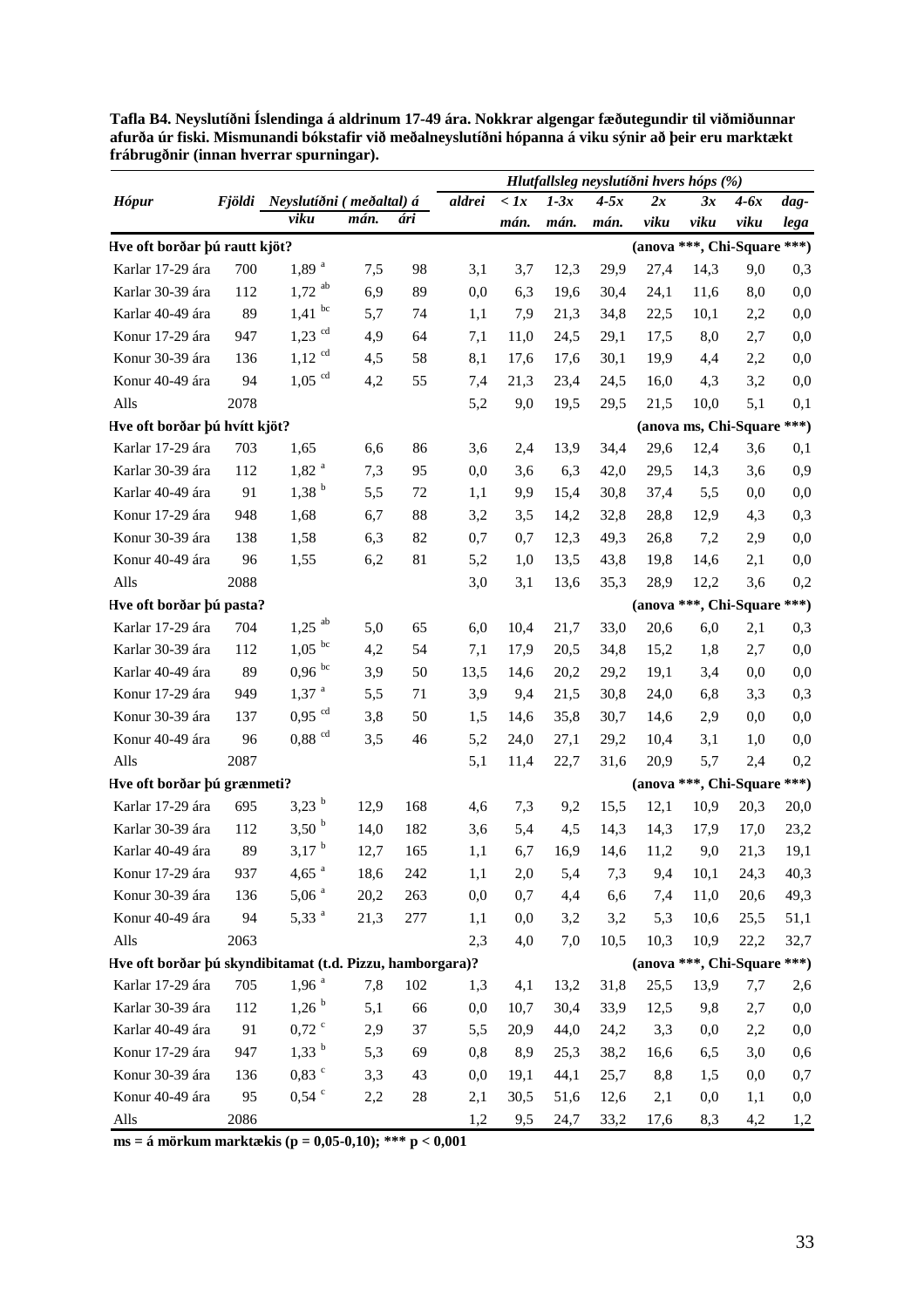|                                                           |      |                                 |      |     |          |                    |        | Hlutfallsleg neyslutíðni hvers hóps (%) |                             |                            |        |          |
|-----------------------------------------------------------|------|---------------------------------|------|-----|----------|--------------------|--------|-----------------------------------------|-----------------------------|----------------------------|--------|----------|
| <b>Hópur</b>                                              |      | Fjöldi Neyslutíðni (meðaltal) á |      |     | aldrei   | $\langle \, Ix \,$ | $1-3x$ | $4-5x$                                  | 2x                          | 3x                         | $4-6x$ | dag-     |
|                                                           |      | viku                            | mán. | ári |          | mán.               | mán.   | mán.                                    | viku                        | viku                       | viku   | lega     |
| Hve oft borðar þú rautt kjöt?                             |      |                                 |      |     |          |                    |        |                                         | (anova ***, Chi-Square ***) |                            |        |          |
| Karlar 17-29 ára                                          | 700  | $1,89$ <sup>a</sup>             | 7,5  | 98  | 3,1      | 3,7                | 12,3   | 29,9                                    | 27,4                        | 14,3                       | 9,0    | 0,3      |
| Karlar 30-39 ára                                          | 112  | $1,72$ <sup>ab</sup>            | 6,9  | 89  | 0,0      | 6,3                | 19,6   | 30,4                                    | 24,1                        | 11,6                       | 8,0    | 0,0      |
| Karlar 40-49 ára                                          | 89   | bc<br>1,41                      | 5,7  | 74  | 1,1      | 7,9                | 21,3   | 34,8                                    | 22,5                        | 10,1                       | 2,2    | 0,0      |
| Konur 17-29 ára                                           | 947  | $1,23$ <sup>cd</sup>            | 4,9  | 64  | 7,1      | 11,0               | 24,5   | 29,1                                    | 17,5                        | 8,0                        | 2,7    | 0,0      |
| Konur 30-39 ára                                           | 136  | $1,12$ <sup>cd</sup>            | 4,5  | 58  | 8,1      | 17,6               | 17,6   | 30,1                                    | 19,9                        | 4,4                        | 2,2    | 0,0      |
| Konur 40-49 ára                                           | 94   | $1,05$ <sup>cd</sup>            | 4,2  | 55  | 7,4      | 21,3               | 23,4   | 24,5                                    | 16,0                        | 4,3                        | 3,2    | 0,0      |
| Alls                                                      | 2078 |                                 |      |     | 5,2      | 9,0                | 19,5   | 29,5                                    | 21,5                        | 10,0                       | 5,1    | 0,1      |
| Hve oft borðar þú hvítt kjöt?                             |      |                                 |      |     |          |                    |        |                                         |                             | (anova ms, Chi-Square ***) |        |          |
| Karlar 17-29 ára                                          | 703  | 1,65                            | 6,6  | 86  | 3,6      | 2,4                | 13,9   | 34,4                                    | 29,6                        | 12,4                       | 3,6    | 0,1      |
| Karlar 30-39 ára                                          | 112  | $1,82$ <sup>a</sup>             | 7,3  | 95  | 0,0      | 3,6                | 6,3    | 42,0                                    | 29,5                        | 14,3                       | 3,6    | 0,9      |
| Karlar 40-49 ára                                          | 91   | 1,38 <sup>b</sup>               | 5,5  | 72  | 1,1      | 9,9                | 15,4   | 30,8                                    | 37,4                        | 5,5                        | 0,0    | 0,0      |
| Konur 17-29 ára                                           | 948  | 1,68                            | 6,7  | 88  | 3,2      | 3,5                | 14,2   | 32,8                                    | 28,8                        | 12,9                       | 4,3    | 0,3      |
| Konur 30-39 ára                                           | 138  | 1,58                            | 6,3  | 82  | 0,7      | 0,7                | 12,3   | 49,3                                    | 26,8                        | 7,2                        | 2,9    | 0,0      |
| Konur 40-49 ára                                           | 96   | 1,55                            | 6,2  | 81  | 5,2      | 1,0                | 13,5   | 43,8                                    | 19,8                        | 14,6                       | 2,1    | 0,0      |
| Alls                                                      | 2088 |                                 |      |     | 3,0      | 3,1                | 13,6   | 35,3                                    | 28,9                        | 12,2                       | 3,6    | 0,2      |
| Hve oft borðar þú pasta?                                  |      |                                 |      |     |          |                    |        |                                         | (anova ***, Chi-Square      |                            |        | $***)$   |
| Karlar 17-29 ára                                          | 704  | $1,25$ <sup>ab</sup>            | 5,0  | 65  | 6,0      | 10,4               | 21,7   | 33,0                                    | 20,6                        | 6,0                        | 2,1    | 0,3      |
| Karlar 30-39 ára                                          | 112  | $1,05$ <sup>bc</sup>            | 4,2  | 54  | 7,1      | 17,9               | 20,5   | 34,8                                    | 15,2                        | 1,8                        | 2,7    | 0,0      |
| Karlar 40-49 ára                                          | 89   | $0,96$ bc                       | 3,9  | 50  | 13,5     | 14,6               | 20,2   | 29,2                                    | 19,1                        | 3,4                        | 0,0    | 0,0      |
| Konur 17-29 ára                                           | 949  | $1,37$ <sup>a</sup>             | 5,5  | 71  | 3,9      | 9,4                | 21,5   | 30,8                                    | 24,0                        | 6,8                        | 3,3    | 0,3      |
| Konur 30-39 ára                                           | 137  | $0,95$ <sup>cd</sup>            | 3,8  | 50  | 1,5      | 14,6               | 35,8   | 30,7                                    | 14,6                        | 2,9                        | 0,0    | 0,0      |
| Konur 40-49 ára                                           | 96   | $0,88$ <sup>cd</sup>            | 3,5  | 46  | 5,2      | 24,0               | 27,1   | 29,2                                    | 10,4                        | 3,1                        | 1,0    | 0,0      |
| Alls                                                      | 2087 |                                 |      |     | 5,1      | 11,4               | 22,7   | 31,6                                    | 20,9                        | 5,7                        | 2,4    | 0,2      |
| Hve oft borðar þú grænmeti?                               |      |                                 |      |     |          |                    |        |                                         | (anova ***, Chi-Square      |                            |        | $***)$   |
| Karlar 17-29 ára                                          | 695  | $3,23^{b}$                      | 12,9 | 168 | 4,6      | 7,3                | 9,2    | 15,5                                    | 12,1                        | 10,9                       | 20,3   | 20,0     |
| Karlar 30-39 ára                                          | 112  | 3,50 <sup>b</sup>               | 14,0 | 182 | 3,6      | 5,4                | 4,5    | 14,3                                    | 14,3                        | 17,9                       | 17,0   | 23,2     |
| Karlar 40-49 ára                                          | 89   | $3,17^{b}$                      | 12,7 | 165 | 1,1      | 6,7                | 16,9   | 14,6                                    | 11,2                        | 9,0                        | 21,3   | 19,1     |
| Konur 17-29 ára                                           | 937  | $4,65$ <sup>a</sup>             | 18,6 | 242 | 1,1      | 2,0                | 5,4    | 7,3                                     | 9,4                         | 10,1                       | 24,3   | 40,3     |
| Konur 30-39 ára                                           | 136  | 5,06 <sup>a</sup>               | 20,2 | 263 | 0,0      | 0,7                | 4,4    | 6,6                                     | 7,4                         | 11,0                       | 20,6   | 49,3     |
| Konur 40-49 ára                                           | 94   | 5,33 <sup>a</sup>               | 21,3 | 277 | 1,1      | 0,0                | 3,2    | 3,2                                     | 5,3                         | 10,6                       | 25,5   | 51,1     |
| Alls                                                      | 2063 |                                 |      |     | 2,3      | 4,0                | 7,0    | 10,5                                    | 10,3                        | 10,9                       | 22,2   | 32,7     |
| Hve oft borðar þú skyndibitamat (t.d. Pizzu, hamborgara)? |      |                                 |      |     |          |                    |        |                                         | (anova ***, Chi-Square ***) |                            |        |          |
| Karlar 17-29 ára                                          | 705  | 1,96 <sup>a</sup>               | 7,8  | 102 | 1,3      | 4,1                | 13,2   | 31,8                                    | 25,5                        | 13,9                       | 7,7    | 2,6      |
| Karlar 30-39 ára                                          | 112  | 1,26 <sup>b</sup>               | 5,1  | 66  | 0,0      | 10,7               | 30,4   | 33,9                                    | 12,5                        | 9,8                        | 2,7    | 0,0      |
| Karlar 40-49 ára                                          | 91   | $0,72$ $\degree$                | 2,9  | 37  | 5,5      | 20,9               | 44,0   | 24,2                                    | 3,3                         | 0,0                        | 2,2    | 0,0      |
| Konur 17-29 ára                                           | 947  | $1,33^{b}$                      | 5,3  | 69  | 0,8      | 8,9                | 25,3   | 38,2                                    | 16,6                        | 6,5                        | 3,0    | 0,6      |
| Konur 30-39 ára                                           | 136  | $0,83$ $\degree$                | 3,3  | 43  | $_{0,0}$ | 19,1               | 44,1   | 25,7                                    | 8,8                         | 1,5                        | 0,0    | 0,7      |
| Konur 40-49 ára                                           | 95   | $0,54$ °                        | 2,2  | 28  | 2,1      | 30,5               | 51,6   | 12,6                                    | 2,1                         | 0,0                        | 1,1    | $_{0,0}$ |
| Alls                                                      | 2086 |                                 |      |     | 1,2      | 9,5                | 24,7   | 33,2                                    | 17,6                        | 8,3                        | 4,2    | 1,2      |

**Tafla B4. Neyslutíðni Íslendinga á aldrinum 17-49 ára. Nokkrar algengar fæðutegundir til viðmiðunnar afurða úr fiski. Mismunandi bókstafir við meðalneyslutíðni hópanna á viku sýnir að þeir eru marktækt frábrugðnir (innan hverrar spurningar).** 

**ms = á mörkum marktækis (p = 0,05-0,10); \*\*\* p < 0,001**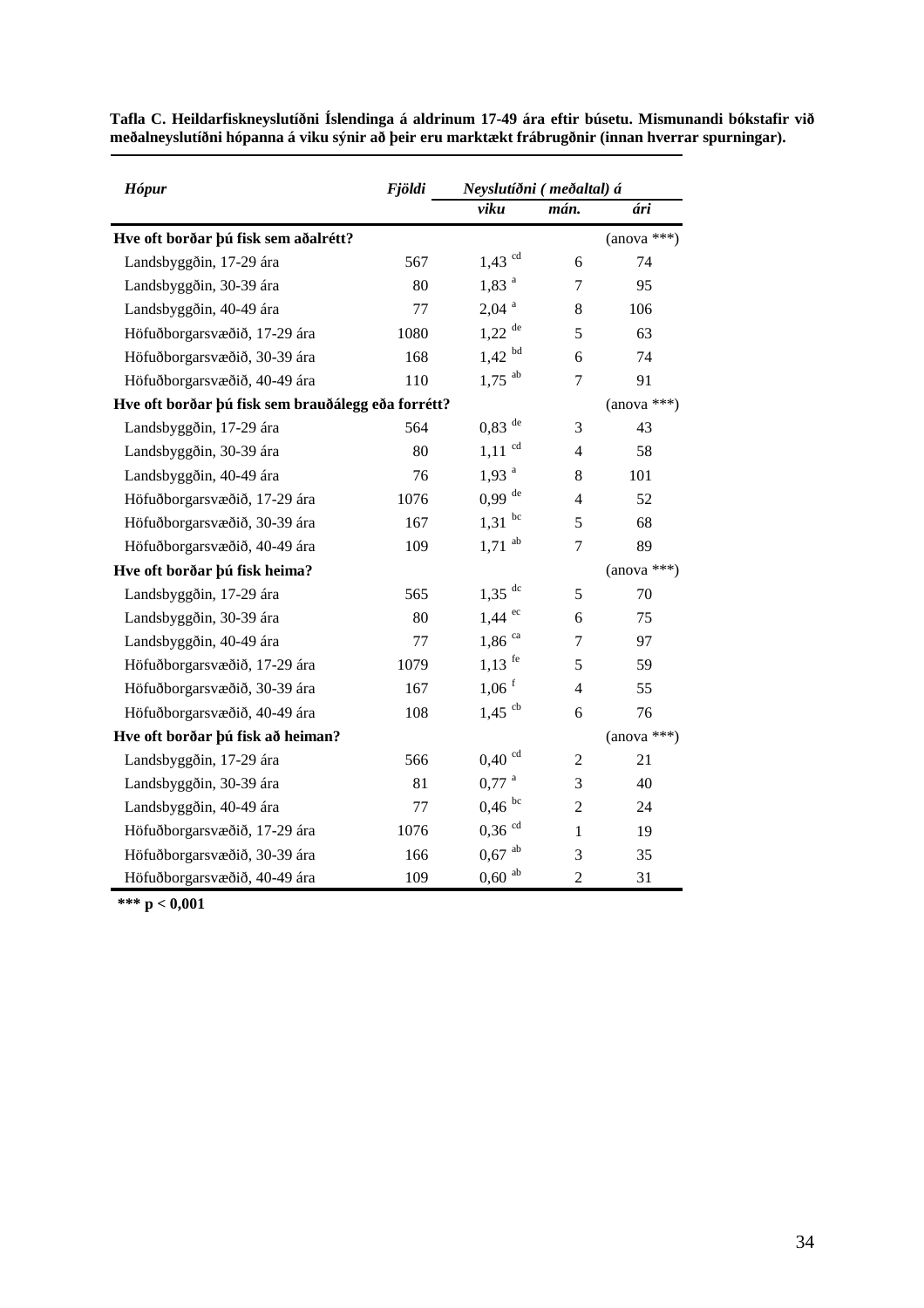| <b>Hópur</b>                         | <b>Fjöldi</b>                                      | Neyslutíðni (meðaltal) á |                |               |  |
|--------------------------------------|----------------------------------------------------|--------------------------|----------------|---------------|--|
|                                      |                                                    | viku                     | mán.           | ári           |  |
| Hve oft borðar þú fisk sem aðalrétt? |                                                    |                          |                | $(anova ***)$ |  |
| Landsbyggðin, 17-29 ára              | 567                                                | $1,43$ <sup>cd</sup>     | 6              | 74            |  |
| Landsbyggðin, 30-39 ára              | 80                                                 | $1,83$ <sup>a</sup>      | 7              | 95            |  |
| Landsbyggðin, 40-49 ára              | 77                                                 | $2,04$ <sup>a</sup>      | 8              | 106           |  |
| Höfuðborgarsvæðið, 17-29 ára         | 1080                                               | $1,22$ <sup>de</sup>     | 5              | 63            |  |
| Höfuðborgarsvæðið, 30-39 ára         | 168                                                | bd<br>1,42               | 6              | 74            |  |
| Höfuðborgarsvæðið, 40-49 ára         | 110                                                | $1,75$ <sup>ab</sup>     | $\overline{7}$ | 91            |  |
|                                      | Hve oft borðar þú fisk sem brauðálegg eða forrétt? |                          |                |               |  |
| Landsbyggðin, 17-29 ára              | 564                                                | $0,83$ <sup>de</sup>     | 3              | 43            |  |
| Landsbyggðin, 30-39 ára              | 80                                                 | cd<br>1,11               | $\overline{4}$ | 58            |  |
| Landsbyggðin, 40-49 ára              | 76                                                 | $1,93$ <sup>a</sup>      | 8              | 101           |  |
| Höfuðborgarsvæðið, 17-29 ára         | 1076                                               | $0,99$ <sup>de</sup>     | 4              | 52            |  |
| Höfuðborgarsvæðið, 30-39 ára         | 167                                                | bc<br>1,31               | 5              | 68            |  |
| Höfuðborgarsvæðið, 40-49 ára         | 109                                                | ab<br>1,71               | 7              | 89            |  |
| Hve oft borðar þú fisk heima?        |                                                    |                          |                | $(anova ***)$ |  |
| Landsbyggðin, 17-29 ára              | 565                                                | $1,35$ <sup>dc</sup>     | 5              | 70            |  |
| Landsbyggðin, 30-39 ára              | 80                                                 | ec<br>1,44               | 6              | 75            |  |
| Landsbyggðin, 40-49 ára              | 77                                                 | $1,86$ <sup>ca</sup>     | 7              | 97            |  |
| Höfuðborgarsvæðið, 17-29 ára         | 1079                                               | $1,13$ <sup>fe</sup>     | 5              | 59            |  |
| Höfuðborgarsvæðið, 30-39 ára         | 167                                                | $1,06$ <sup>f</sup>      | $\overline{4}$ | 55            |  |
| Höfuðborgarsvæðið, 40-49 ára         | 108                                                | $1,45$ <sup>cb</sup>     | 6              | 76            |  |
| Hve oft borðar þú fisk að heiman?    |                                                    |                          |                | $(anova ***)$ |  |
| Landsbyggðin, 17-29 ára              | 566                                                | $0,40$ <sup>cd</sup>     | $\overline{2}$ | 21            |  |
| Landsbyggðin, 30-39 ára              | 81                                                 | $0,77$ <sup>a</sup>      | 3              | 40            |  |
| Landsbyggðin, 40-49 ára              | 77                                                 | $0,46$ bc                | $\mathfrak{2}$ | 24            |  |
| Höfuðborgarsvæðið, 17-29 ára         | 1076                                               | $0,36$ <sup>cd</sup>     | 1              | 19            |  |
| Höfuðborgarsvæðið, 30-39 ára         | 166                                                | $0,67$ <sup>ab</sup>     | 3              | 35            |  |
| Höfuðborgarsvæðið, 40-49 ára         | 109                                                | ab<br>0,60               | $\overline{c}$ | 31            |  |

**Tafla C. Heildarfiskneyslutíðni Íslendinga á aldrinum 17-49 ára eftir búsetu. Mismunandi bókstafir við meðalneyslutíðni hópanna á viku sýnir að þeir eru marktækt frábrugðnir (innan hverrar spurningar).** 

 **\*\*\* p < 0,001**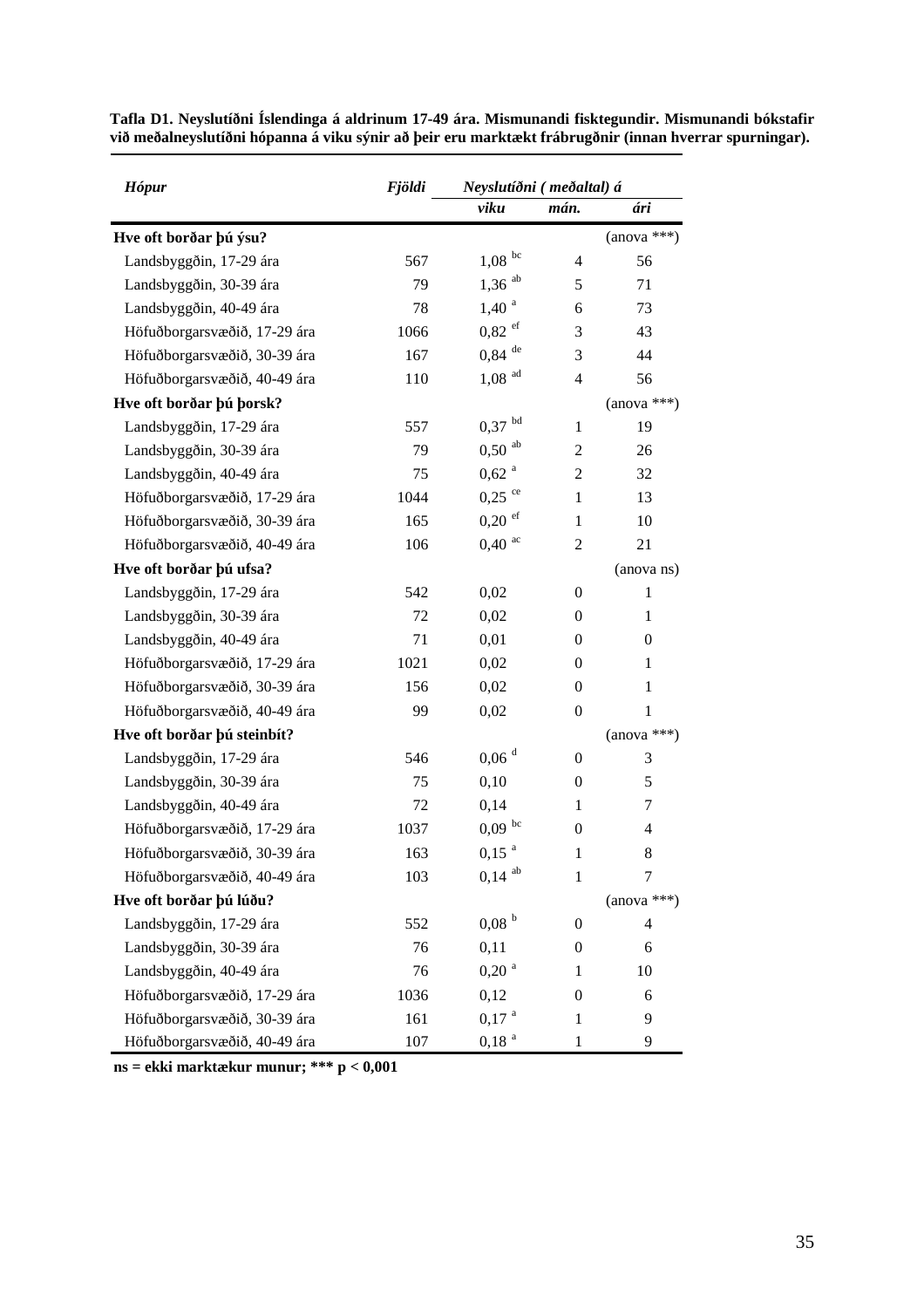| <b>Hópur</b>                 | <b>Fjöldi</b> | Neyslutíðni (meðaltal) á |                  |                  |  |
|------------------------------|---------------|--------------------------|------------------|------------------|--|
|                              |               | viku                     | mán.             | ári              |  |
| Hve oft borðar þú ýsu?       |               |                          |                  | $(anova ***)$    |  |
| Landsbyggðin, 17-29 ára      | 567           | $1,08$ bc                | 4                | 56               |  |
| Landsbyggðin, 30-39 ára      | 79            | $1,36$ <sup>ab</sup>     | 5                | 71               |  |
| Landsbyggðin, 40-49 ára      | 78            | 1,40 <sup>a</sup>        | 6                | 73               |  |
| Höfuðborgarsvæðið, 17-29 ára | 1066          | $0,82$ ef                | 3                | 43               |  |
| Höfuðborgarsvæðið, 30-39 ára | 167           | $0.84$ $^{\rm{de}}$      | 3                | 44               |  |
| Höfuðborgarsvæðið, 40-49 ára | 110           | $1,08$ <sup>ad</sup>     | $\overline{4}$   | 56               |  |
| Hve oft borðar þú þorsk?     |               |                          |                  | $(anova ***)$    |  |
| Landsbyggðin, 17-29 ára      | 557           | $0.37$ $^{\rm bd}$       | 1                | 19               |  |
| Landsbyggðin, 30-39 ára      | 79            | $0,50$ <sup>ab</sup>     | 2                | 26               |  |
| Landsbyggðin, 40-49 ára      | 75            | $0,62$ <sup>a</sup>      | 2                | 32               |  |
| Höfuðborgarsvæðið, 17-29 ára | 1044          | $0,25$ <sup>ce</sup>     | $\mathbf{1}$     | 13               |  |
| Höfuðborgarsvæðið, 30-39 ára | 165           | $0,20$ ef                | $\mathbf{1}$     | 10               |  |
| Höfuðborgarsvæðið, 40-49 ára | 106           | $0,40$ <sup>ac</sup>     | $\mathfrak{2}$   | 21               |  |
| Hve oft borðar þú ufsa?      |               |                          |                  | (anova ns)       |  |
| Landsbyggðin, 17-29 ára      | 542           | 0,02                     | $\mathbf{0}$     | $\mathbf{1}$     |  |
| Landsbyggðin, 30-39 ára      | 72            | 0,02                     | 0                | $\mathbf{1}$     |  |
| Landsbyggðin, 40-49 ára      | 71            | 0,01                     | 0                | $\boldsymbol{0}$ |  |
| Höfuðborgarsvæðið, 17-29 ára | 1021          | 0,02                     | 0                | $\mathbf{1}$     |  |
| Höfuðborgarsvæðið, 30-39 ára | 156           | 0,02                     | $\boldsymbol{0}$ | 1                |  |
| Höfuðborgarsvæðið, 40-49 ára | 99            | 0,02                     | $\mathbf{0}$     | $\mathbf{1}$     |  |
| Hve oft borðar þú steinbít?  |               |                          |                  | $(anova ***)$    |  |
| Landsbyggðin, 17-29 ára      | 546           | $0,06$ <sup>d</sup>      | $\mathbf{0}$     | 3                |  |
| Landsbyggðin, 30-39 ára      | 75            | 0,10                     | 0                | 5                |  |
| Landsbyggðin, 40-49 ára      | 72            | 0,14                     | 1                | 7                |  |
| Höfuðborgarsvæðið, 17-29 ára | 1037          | $0,09$ bc                | $\boldsymbol{0}$ | 4                |  |
| Höfuðborgarsvæðið, 30-39 ára | 163           | $0,15$ $^{\rm a}$        | 1                | 8                |  |
| Höfuðborgarsvæðið, 40-49 ára | 103           | $0,14$ <sup>ab</sup>     | $\mathbf{1}$     | 7                |  |
| Hve oft borðar þú lúðu?      |               |                          |                  | $(anova ***)$    |  |
| Landsbyggðin, 17-29 ára      | 552           | 0.08 <sup>b</sup>        | 0                | 4                |  |
| Landsbyggðin, 30-39 ára      | 76            | 0,11                     | 0                | 6                |  |
| Landsbyggðin, 40-49 ára      | 76            | $0,20$ <sup>a</sup>      | 1                | 10               |  |
| Höfuðborgarsvæðið, 17-29 ára | 1036          | 0,12                     | 0                | 6                |  |
| Höfuðborgarsvæðið, 30-39 ára | 161           | $0,17$ <sup>a</sup>      | 1                | 9                |  |
| Höfuðborgarsvæðið, 40-49 ára | 107           | 0,18 <sup>a</sup>        | 1                | 9                |  |

**Tafla D1. Neyslutíðni Íslendinga á aldrinum 17-49 ára. Mismunandi fisktegundir. Mismunandi bókstafir við meðalneyslutíðni hópanna á viku sýnir að þeir eru marktækt frábrugðnir (innan hverrar spurningar).** 

**ns = ekki marktækur munur; \*\*\* p < 0,001**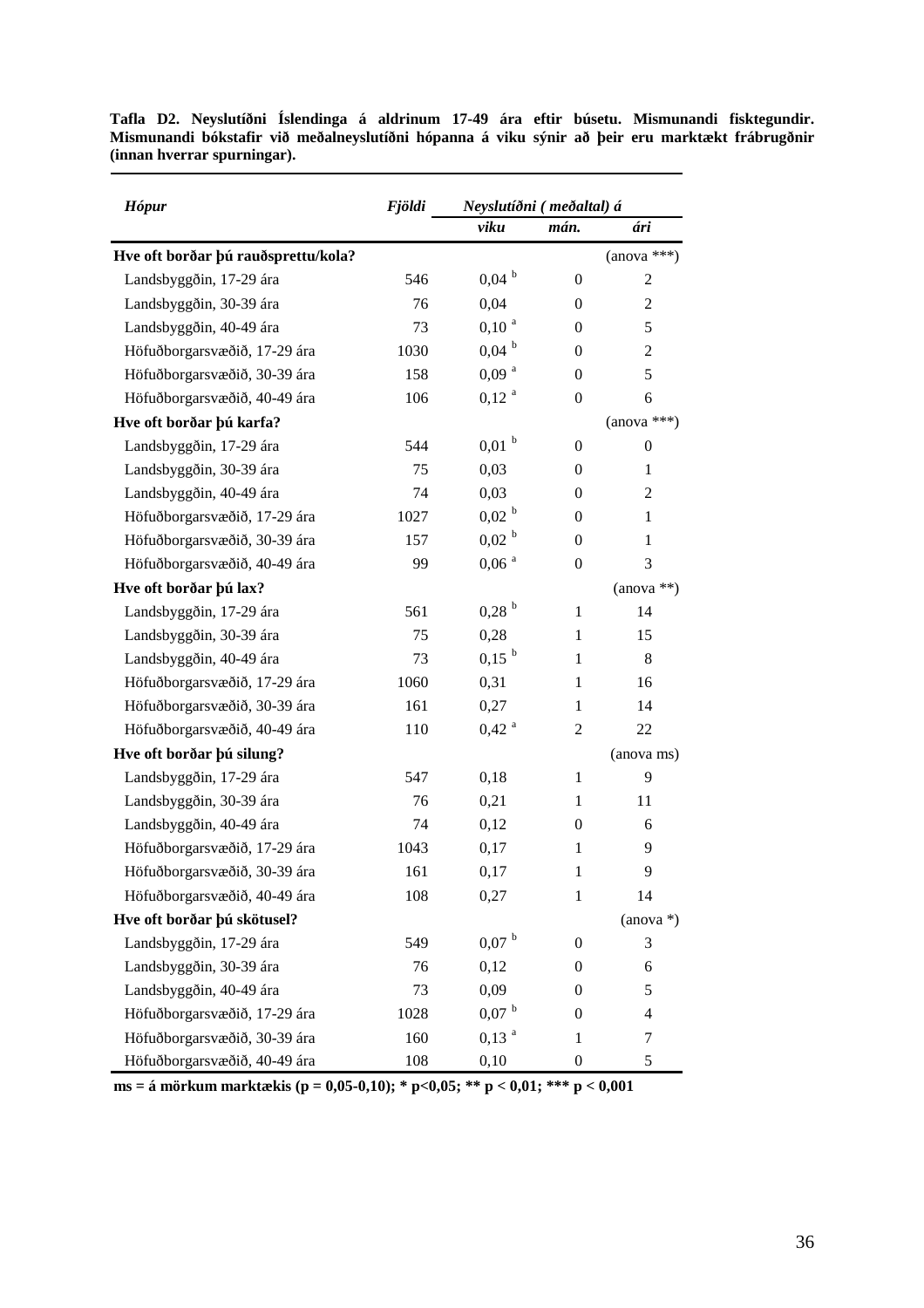| <b>Hópur</b>                        | <b>Fjöldi</b> |                     | Neyslutíðni (meðaltal) á |                  |  |  |
|-------------------------------------|---------------|---------------------|--------------------------|------------------|--|--|
|                                     |               | viku                | mán.                     | ári              |  |  |
| Hve oft borðar þú rauðsprettu/kola? |               |                     |                          | $(anova ***)$    |  |  |
| Landsbyggðin, 17-29 ára             | 546           | $0,04$ b            | $\boldsymbol{0}$         | $\mathfrak{2}$   |  |  |
| Landsbyggðin, 30-39 ára             | 76            | 0,04                | $\mathbf{0}$             | $\overline{2}$   |  |  |
| Landsbyggðin, 40-49 ára             | 73            | $0,10^{a}$          | 0                        | 5                |  |  |
| Höfuðborgarsvæðið, 17-29 ára        | 1030          | $0,04^{b}$          | 0                        | $\overline{2}$   |  |  |
| Höfuðborgarsvæðið, 30-39 ára        | 158           | 0,09 <sup>a</sup>   | $\mathbf{0}$             | 5                |  |  |
| Höfuðborgarsvæðið, 40-49 ára        | 106           | 0,12 <sup>a</sup>   | $\mathbf{0}$             | 6                |  |  |
| Hve oft borðar þú karfa?            |               |                     |                          | $(anova ***)$    |  |  |
| Landsbyggðin, 17-29 ára             | 544           | 0,01 <sup>b</sup>   | $\mathbf{0}$             | $\boldsymbol{0}$ |  |  |
| Landsbyggðin, 30-39 ára             | 75            | 0,03                | 0                        | 1                |  |  |
| Landsbyggðin, 40-49 ára             | 74            | 0,03                | 0                        | $\overline{c}$   |  |  |
| Höfuðborgarsvæðið, 17-29 ára        | 1027          | 0,02 <sup>b</sup>   | $\mathbf{0}$             | $\mathbf{1}$     |  |  |
| Höfuðborgarsvæðið, 30-39 ára        | 157           | 0,02 <sup>b</sup>   | $\mathbf{0}$             | 1                |  |  |
| Höfuðborgarsvæðið, 40-49 ára        | 99            | $0,06$ <sup>a</sup> | $\overline{0}$           | 3                |  |  |
| Hve oft borðar þú lax?              |               |                     |                          | $(anova **)$     |  |  |
| Landsbyggðin, 17-29 ára             | 561           | $0,28$ <sup>b</sup> | $\mathbf{1}$             | 14               |  |  |
| Landsbyggðin, 30-39 ára             | 75            | 0,28                | 1                        | 15               |  |  |
| Landsbyggðin, 40-49 ára             | 73            | $0,15^{b}$          | 1                        | 8                |  |  |
| Höfuðborgarsvæðið, 17-29 ára        | 1060          | 0,31                | 1                        | 16               |  |  |
| Höfuðborgarsvæðið, 30-39 ára        | 161           | 0,27                | $\mathbf{1}$             | 14               |  |  |
| Höfuðborgarsvæðið, 40-49 ára        | 110           | $0,42$ <sup>a</sup> | $\overline{2}$           | 22               |  |  |
| Hve oft borðar þú silung?           |               |                     |                          | (anova ms)       |  |  |
| Landsbyggðin, 17-29 ára             | 547           | 0,18                | $\mathbf{1}$             | 9                |  |  |
| Landsbyggðin, 30-39 ára             | 76            | 0,21                | 1                        | 11               |  |  |
| Landsbyggðin, 40-49 ára             | 74            | 0,12                | 0                        | 6                |  |  |
| Höfuðborgarsvæðið, 17-29 ára        | 1043          | 0,17                | 1                        | 9                |  |  |
| Höfuðborgarsvæðið, 30-39 ára        | 161           | 0,17                | $\mathbf{1}$             | 9                |  |  |
| Höfuðborgarsvæðið, 40-49 ára        | 108           | 0,27                | $\mathbf{1}$             | 14               |  |  |
| Hve oft borðar þú skötusel?         |               |                     |                          | $(anova*)$       |  |  |
| Landsbyggðin, 17-29 ára             | 549           | $0,07$ b            | $\boldsymbol{0}$         | 3                |  |  |
| Landsbyggðin, 30-39 ára             | 76            | 0,12                | 0                        | 6                |  |  |
| Landsbyggðin, 40-49 ára             | 73            | 0,09                | 0                        | 5                |  |  |
| Höfuðborgarsvæðið, 17-29 ára        | 1028          | $0,07$ <sup>b</sup> | 0                        | 4                |  |  |
| Höfuðborgarsvæðið, 30-39 ára        | 160           | $0,13$ <sup>a</sup> | $\mathbf{1}$             | 7                |  |  |
| Höfuðborgarsvæðið, 40-49 ára        | 108           | 0,10                | $\boldsymbol{0}$         | 5                |  |  |

**Tafla D2. Neyslutíðni Íslendinga á aldrinum 17-49 ára eftir búsetu. Mismunandi fisktegundir. Mismunandi bókstafir við meðalneyslutíðni hópanna á viku sýnir að þeir eru marktækt frábrugðnir (innan hverrar spurningar).** 

**ms = á mörkum marktækis (p = 0,05-0,10); \* p<0,05; \*\* p < 0,01; \*\*\* p < 0,001**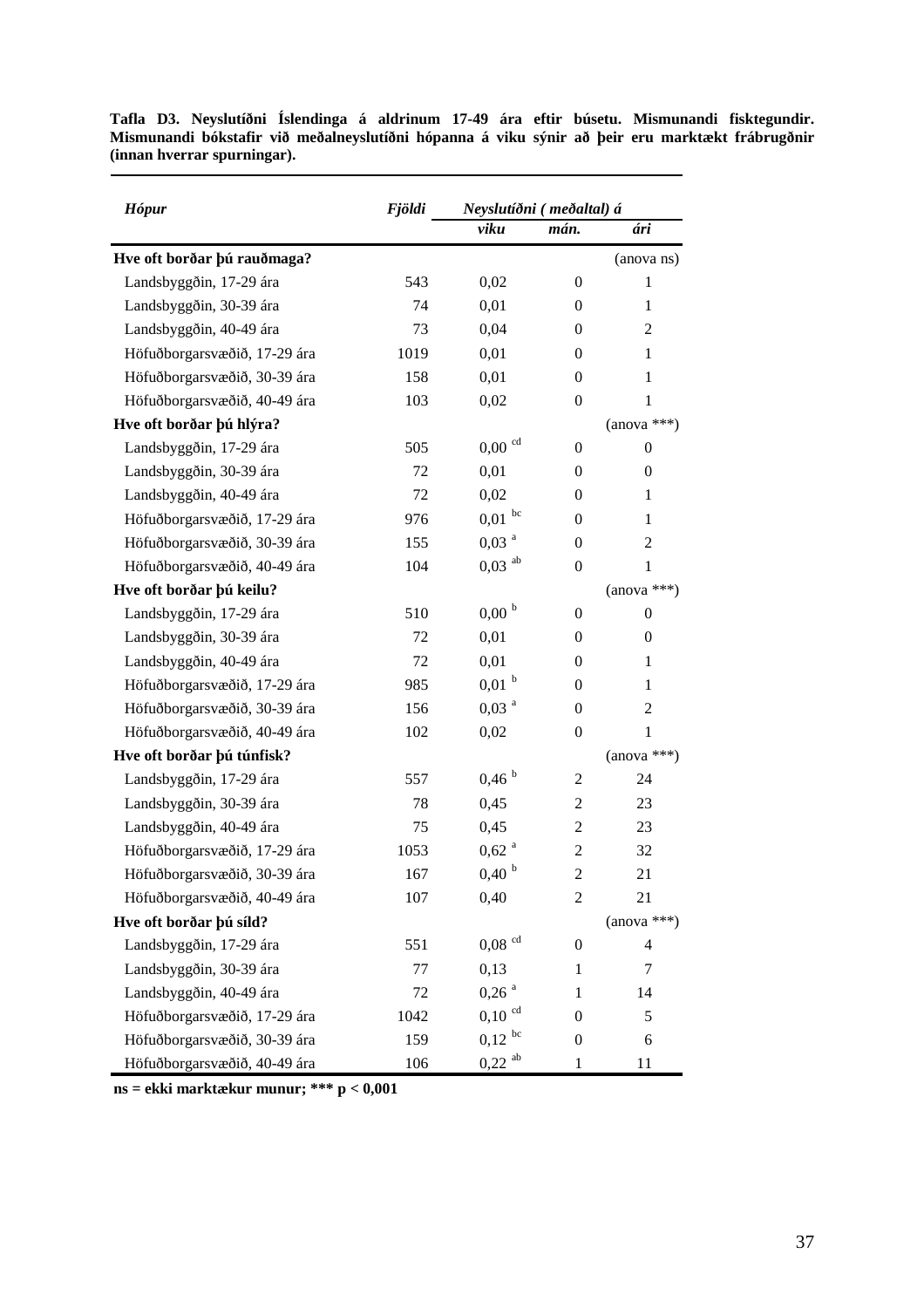| <b>Hópur</b>                 | <b>Fjöldi</b> | Neyslutíðni (meðaltal) á |                  |                  |
|------------------------------|---------------|--------------------------|------------------|------------------|
|                              |               | viku                     | mán.             | ári              |
| Hve oft borðar þú rauðmaga?  |               |                          |                  | (anova ns)       |
| Landsbyggðin, 17-29 ára      | 543           | 0,02                     | $\mathbf{0}$     | $\mathbf{1}$     |
| Landsbyggðin, 30-39 ára      | 74            | 0,01                     | $\mathbf{0}$     | $\mathbf{1}$     |
| Landsbyggðin, 40-49 ára      | 73            | 0,04                     | 0                | $\overline{c}$   |
| Höfuðborgarsvæðið, 17-29 ára | 1019          | 0,01                     | 0                | $\mathbf{1}$     |
| Höfuðborgarsvæðið, 30-39 ára | 158           | 0,01                     | $\theta$         | 1                |
| Höfuðborgarsvæðið, 40-49 ára | 103           | 0,02                     | $\mathbf{0}$     | $\mathbf{1}$     |
| Hve oft borðar þú hlýra?     |               |                          |                  | $(anova ***)$    |
| Landsbyggðin, 17-29 ára      | 505           | $0,00$ <sup>cd</sup>     | $\mathbf{0}$     | $\mathbf{0}$     |
| Landsbyggðin, 30-39 ára      | 72            | 0,01                     | 0                | $\boldsymbol{0}$ |
| Landsbyggðin, 40-49 ára      | 72            | 0,02                     | 0                | 1                |
| Höfuðborgarsvæðið, 17-29 ára | 976           | $0,01$ bc                | $\mathbf{0}$     | 1                |
| Höfuðborgarsvæðið, 30-39 ára | 155           | 0,03 <sup>a</sup>        | $\mathbf{0}$     | $\overline{2}$   |
| Höfuðborgarsvæðið, 40-49 ára | 104           | $0,03$ <sup>ab</sup>     | $\mathbf{0}$     | 1                |
| Hve oft borðar þú keilu?     |               |                          |                  | $(anova ***)$    |
| Landsbyggðin, 17-29 ára      | 510           | 0,00 <sup>b</sup>        | $\overline{0}$   | $\mathbf{0}$     |
| Landsbyggðin, 30-39 ára      | 72            | 0,01                     | 0                | 0                |
| Landsbyggðin, 40-49 ára      | 72            | 0,01                     | 0                | 1                |
| Höfuðborgarsvæðið, 17-29 ára | 985           | $0,01$ <sup>b</sup>      | 0                | 1                |
| Höfuðborgarsvæðið, 30-39 ára | 156           | $0,03$ <sup>a</sup>      | $\mathbf{0}$     | $\overline{2}$   |
| Höfuðborgarsvæðið, 40-49 ára | 102           | 0,02                     | 0                | 1                |
| Hve oft borðar þú túnfisk?   |               |                          |                  | $(anova ***)$    |
| Landsbyggðin, 17-29 ára      | 557           | 0,46 <sup>b</sup>        | $\overline{c}$   | 24               |
| Landsbyggðin, 30-39 ára      | 78            | 0,45                     | 2                | 23               |
| Landsbyggðin, 40-49 ára      | 75            | 0,45                     | 2                | 23               |
| Höfuðborgarsvæðið, 17-29 ára | 1053          | $0,62$ <sup>a</sup>      | $\overline{c}$   | 32               |
| Höfuðborgarsvæðið, 30-39 ára | 167           | 0,40 <sup>b</sup>        | $\overline{2}$   | 21               |
| Höfuðborgarsvæðið, 40-49 ára | 107           | 0,40                     | $\overline{c}$   | 21               |
| Hve oft borðar þú síld?      |               |                          |                  | $(anova ***)$    |
| Landsbyggðin, 17-29 ára      | 551           | $0{,}08\ ^{\rm cd}$      | $\boldsymbol{0}$ | 4                |
| Landsbyggðin, 30-39 ára      | 77            | 0,13                     | $\mathbf{1}$     | 7                |
| Landsbyggðin, 40-49 ára      | 72            | $0,26$ <sup>a</sup>      | 1                | 14               |
| Höfuðborgarsvæðið, 17-29 ára | 1042          | $0,10$ <sup>cd</sup>     | $\mathbf{0}$     | 5                |
| Höfuðborgarsvæðið, 30-39 ára | 159           | $0,12$ bc                | $\boldsymbol{0}$ | 6                |
| Höfuðborgarsvæðið, 40-49 ára | 106           | $0,22$ <sup>ab</sup>     | $\mathbf{1}$     | 11               |

**Tafla D3. Neyslutíðni Íslendinga á aldrinum 17-49 ára eftir búsetu. Mismunandi fisktegundir. Mismunandi bókstafir við meðalneyslutíðni hópanna á viku sýnir að þeir eru marktækt frábrugðnir (innan hverrar spurningar).** 

**ns = ekki marktækur munur; \*\*\* p < 0,001**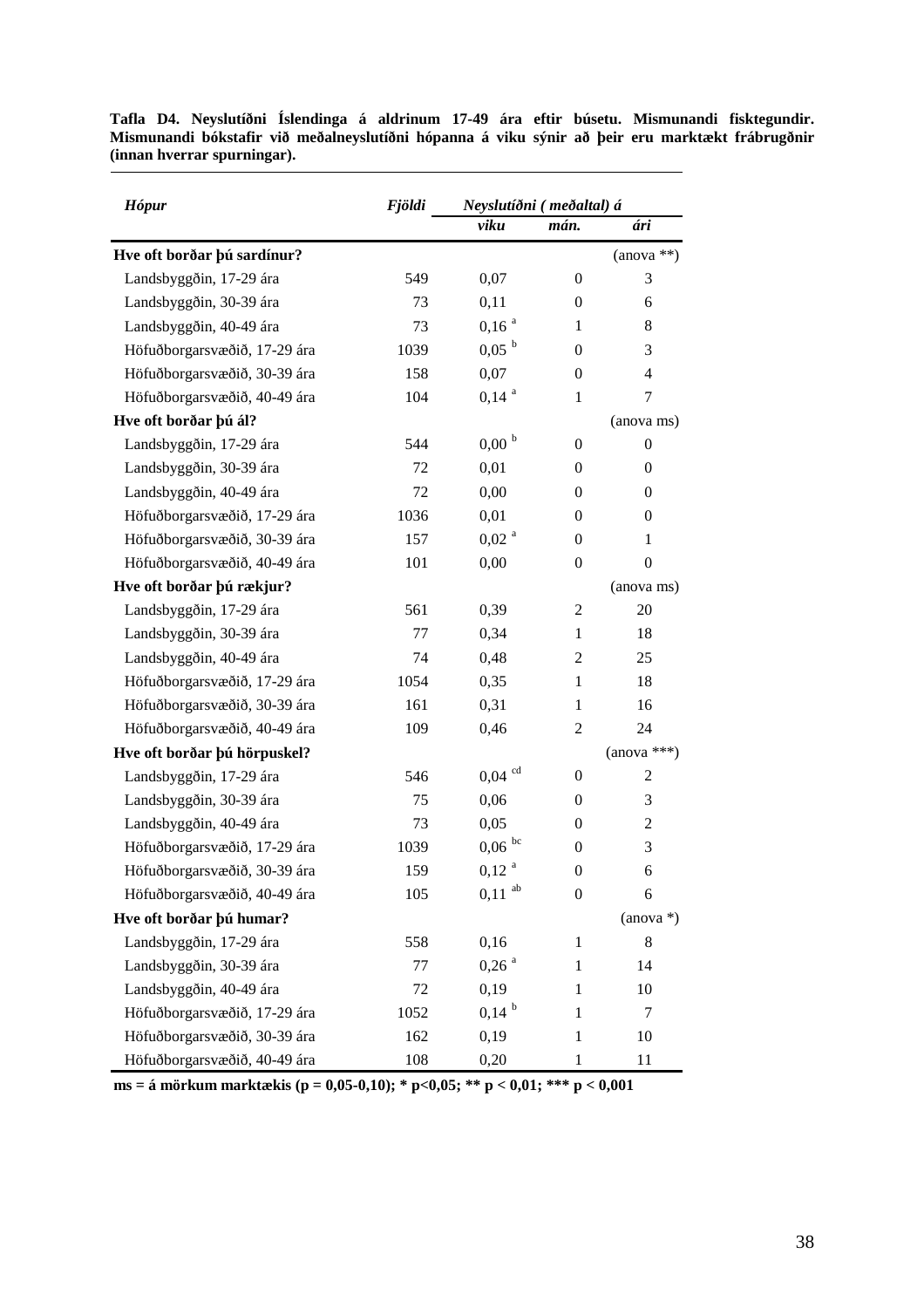| <b>Hópur</b>                 | <b>Fjöldi</b> | Neyslutíðni (meðaltal) á |                  |                  |
|------------------------------|---------------|--------------------------|------------------|------------------|
|                              |               | viku                     | mán.             | ári              |
| Hve oft borðar þú sardínur?  |               |                          |                  | $(anova **)$     |
| Landsbyggðin, 17-29 ára      | 549           | 0,07                     | $\boldsymbol{0}$ | 3                |
| Landsbyggðin, 30-39 ára      | 73            | 0,11                     | $\mathbf{0}$     | 6                |
| Landsbyggðin, 40-49 ára      | 73            | 0,16 <sup>a</sup>        | 1                | 8                |
| Höfuðborgarsvæðið, 17-29 ára | 1039          | $0,05^{b}$               | $\mathbf{0}$     | 3                |
| Höfuðborgarsvæðið, 30-39 ára | 158           | 0,07                     | $\mathbf{0}$     | $\overline{4}$   |
| Höfuðborgarsvæðið, 40-49 ára | 104           | $0,14^{a}$               | 1                | 7                |
| Hve oft borðar þú ál?        |               |                          |                  | (anova ms)       |
| Landsbyggðin, 17-29 ára      | 544           | 0,00 <sup>b</sup>        | $\mathbf{0}$     | $\boldsymbol{0}$ |
| Landsbyggðin, 30-39 ára      | 72            | 0,01                     | $\mathbf{0}$     | $\mathbf{0}$     |
| Landsbyggðin, 40-49 ára      | 72            | 0,00                     | 0                | $\mathbf{0}$     |
| Höfuðborgarsvæðið, 17-29 ára | 1036          | 0,01                     | $\mathbf{0}$     | $\mathbf{0}$     |
| Höfuðborgarsvæðið, 30-39 ára | 157           | 0,02 <sup>a</sup>        | 0                | 1                |
| Höfuðborgarsvæðið, 40-49 ára | 101           | 0,00                     | $\mathbf{0}$     | $\boldsymbol{0}$ |
| Hve oft borðar þú rækjur?    |               |                          |                  | (anova ms)       |
| Landsbyggðin, 17-29 ára      | 561           | 0,39                     | $\overline{2}$   | 20               |
| Landsbyggðin, 30-39 ára      | 77            | 0,34                     | 1                | 18               |
| Landsbyggðin, 40-49 ára      | 74            | 0,48                     | $\overline{2}$   | 25               |
| Höfuðborgarsvæðið, 17-29 ára | 1054          | 0,35                     | 1                | 18               |
| Höfuðborgarsvæðið, 30-39 ára | 161           | 0,31                     | 1                | 16               |
| Höfuðborgarsvæðið, 40-49 ára | 109           | 0,46                     | $\overline{c}$   | 24               |
| Hve oft borðar þú hörpuskel? |               |                          |                  | $(anova ***)$    |
| Landsbyggðin, 17-29 ára      | 546           | $0,04$ <sup>cd</sup>     | $\mathbf{0}$     | $\overline{c}$   |
| Landsbyggðin, 30-39 ára      | 75            | 0,06                     | 0                | 3                |
| Landsbyggðin, 40-49 ára      | 73            | 0,05                     | 0                | $\mathfrak{2}$   |
| Höfuðborgarsvæðið, 17-29 ára | 1039          | $0{,}06$ $^{\rm bc}$     | 0                | 3                |
| Höfuðborgarsvæðið, 30-39 ára | 159           | 0,12 <sup>a</sup>        | $\boldsymbol{0}$ | 6                |
| Höfuðborgarsvæðið, 40-49 ára | 105           | $0,\!11$ $^{\rm ab}$     | $\boldsymbol{0}$ | 6                |
| Hve oft borðar þú humar?     |               |                          |                  | $(anova*)$       |
| Landsbyggðin, 17-29 ára      | 558           | 0,16                     | 1                | 8                |
| Landsbyggðin, 30-39 ára      | 77            | $0,26$ <sup>a</sup>      | 1                | 14               |
| Landsbyggðin, 40-49 ára      | 72            | 0,19                     | 1                | 10               |
| Höfuðborgarsvæðið, 17-29 ára | 1052          | $0,14^{b}$               | 1                | 7                |
| Höfuðborgarsvæðið, 30-39 ára | 162           | 0,19                     | 1                | 10               |
| Höfuðborgarsvæðið, 40-49 ára | 108           | 0,20                     | 1                | 11               |

**Tafla D4. Neyslutíðni Íslendinga á aldrinum 17-49 ára eftir búsetu. Mismunandi fisktegundir. Mismunandi bókstafir við meðalneyslutíðni hópanna á viku sýnir að þeir eru marktækt frábrugðnir (innan hverrar spurningar).** 

**ms = á mörkum marktækis (p = 0,05-0,10); \* p<0,05; \*\* p < 0,01; \*\*\* p < 0,001**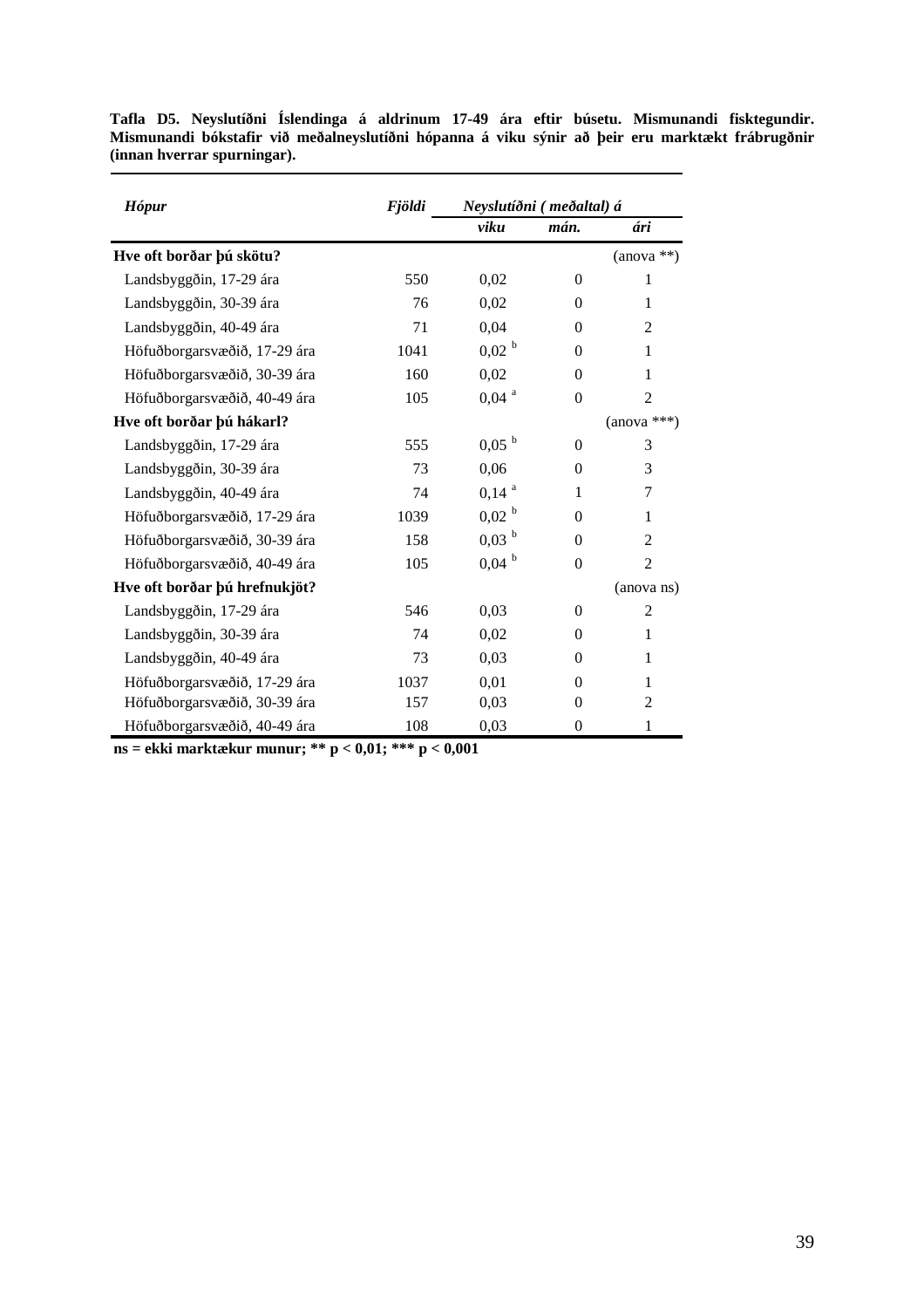| <b>Hópur</b>                  | <b>Fjöldi</b> | Neyslutíðni (meðaltal) á |                |                |
|-------------------------------|---------------|--------------------------|----------------|----------------|
|                               |               | viku                     | mán.           | ári            |
| Hve oft borðar þú skötu?      |               |                          |                | $(anova **)$   |
| Landsbyggðin, 17-29 ára       | 550           | 0,02                     | $\overline{0}$ | $\mathbf{1}$   |
| Landsbyggðin, 30-39 ára       | 76            | 0,02                     | $\Omega$       | 1              |
| Landsbyggðin, 40-49 ára       | 71            | 0,04                     | $\Omega$       | $\overline{2}$ |
| Höfuðborgarsvæðið, 17-29 ára  | 1041          | 0,02 <sup>b</sup>        | $\overline{0}$ | 1              |
| Höfuðborgarsvæðið, 30-39 ára  | 160           | 0,02                     | $\Omega$       | 1              |
| Höfuðborgarsvæðið, 40-49 ára  | 105           | $0,04$ <sup>a</sup>      | $\Omega$       | $\overline{2}$ |
| Hve oft borðar þú hákarl?     |               |                          |                | $(anova ***)$  |
| Landsbyggðin, 17-29 ára       | 555           | 0,05 <sup>b</sup>        | $\Omega$       | 3              |
| Landsbyggðin, 30-39 ára       | 73            | 0,06                     | $\Omega$       | 3              |
| Landsbyggðin, 40-49 ára       | 74            | $0,14$ <sup>a</sup>      | 1              | 7              |
| Höfuðborgarsvæðið, 17-29 ára  | 1039          | 0,02 <sup>b</sup>        | $\Omega$       | 1              |
| Höfuðborgarsvæðið, 30-39 ára  | 158           | 0,03 <sup>b</sup>        | $\mathbf{0}$   | $\overline{2}$ |
| Höfuðborgarsvæðið, 40-49 ára  | 105           | $0,04$ <sup>b</sup>      | $\Omega$       | $\overline{2}$ |
| Hve oft borðar þú hrefnukjöt? |               |                          |                | (anova ns)     |
| Landsbyggðin, 17-29 ára       | 546           | 0,03                     | $\theta$       | $\overline{2}$ |
| Landsbyggðin, 30-39 ára       | 74            | 0,02                     | $\Omega$       | 1              |
| Landsbyggðin, 40-49 ára       | 73            | 0,03                     | $\Omega$       | 1              |
| Höfuðborgarsvæðið, 17-29 ára  | 1037          | 0,01                     | $\Omega$       | 1              |
| Höfuðborgarsvæðið, 30-39 ára  | 157           | 0,03                     | $\theta$       | $\overline{2}$ |
| Höfuðborgarsvæðið, 40-49 ára  | 108           | 0,03                     | $\Omega$       | 1              |

**Tafla D5. Neyslutíðni Íslendinga á aldrinum 17-49 ára eftir búsetu. Mismunandi fisktegundir. Mismunandi bókstafir við meðalneyslutíðni hópanna á viku sýnir að þeir eru marktækt frábrugðnir (innan hverrar spurningar).** 

**ns = ekki marktækur munur; \*\* p < 0,01; \*\*\* p < 0,001**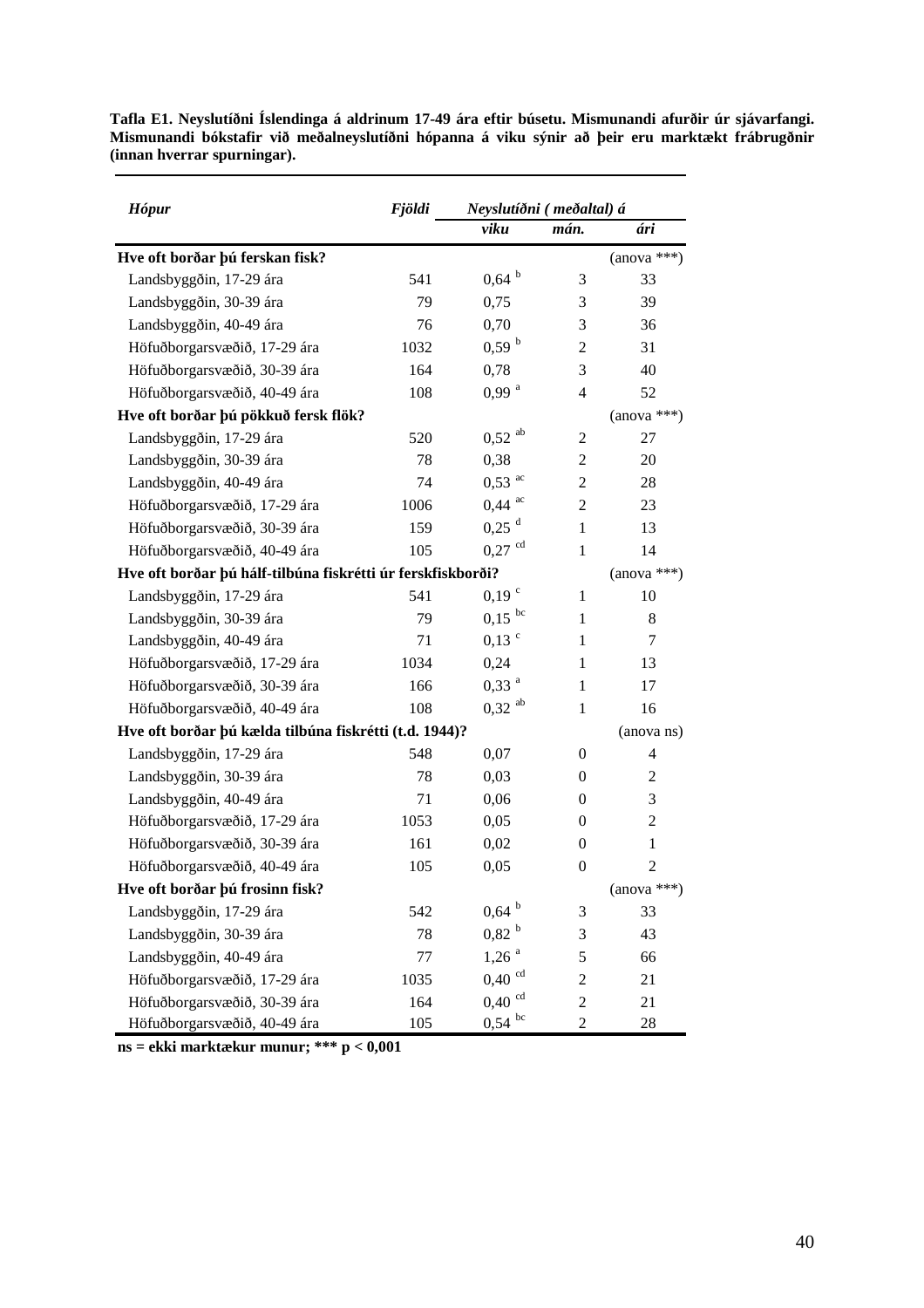| <b>Hópur</b>                                                | <b>Fjöldi</b> | Neyslutíðni (meðaltal) á |                |                |
|-------------------------------------------------------------|---------------|--------------------------|----------------|----------------|
|                                                             |               | viku                     | mán.           | ári            |
| Hve oft borðar þú ferskan fisk?                             |               |                          |                | $(anova ***)$  |
| Landsbyggðin, 17-29 ára                                     | 541           | $0,64$ <sup>b</sup>      | 3              | 33             |
| Landsbyggðin, 30-39 ára                                     | 79            | 0,75                     | 3              | 39             |
| Landsbyggðin, 40-49 ára                                     | 76            | 0,70                     | 3              | 36             |
| Höfuðborgarsvæðið, 17-29 ára                                | 1032          | 0,59 <sup>b</sup>        | 2              | 31             |
| Höfuðborgarsvæðið, 30-39 ára                                | 164           | 0,78                     | 3              | 40             |
| Höfuðborgarsvæðið, 40-49 ára                                | 108           | $0,99$ <sup>a</sup>      | 4              | 52             |
| Hve oft borðar þú pökkuð fersk flök?                        |               |                          |                | $(anova ***)$  |
| Landsbyggðin, 17-29 ára                                     | 520           | $0,52$ <sup>ab</sup>     | 2              | 27             |
| Landsbyggðin, 30-39 ára                                     | 78            | 0,38                     | 2              | 20             |
| Landsbyggðin, 40-49 ára                                     | 74            | $0,53$ <sup>ac</sup>     | 2              | 28             |
| Höfuðborgarsvæðið, 17-29 ára                                | 1006          | $0,44$ <sup>ac</sup>     | 2              | 23             |
| Höfuðborgarsvæðið, 30-39 ára                                | 159           | $0,25$ <sup>d</sup>      | $\mathbf{1}$   | 13             |
| Höfuðborgarsvæðið, 40-49 ára                                | 105           | $0,27$ <sup>cd</sup>     | $\mathbf{1}$   | 14             |
| Hve oft borðar þú hálf-tilbúna fiskrétti úr ferskfiskborði? |               |                          |                | $(anova ***)$  |
| Landsbyggðin, 17-29 ára                                     | 541           | $0,19$ $\degree$         | $\mathbf{1}$   | 10             |
| Landsbyggðin, 30-39 ára                                     | 79            | $0.15$ bc                | $\mathbf{1}$   | 8              |
| Landsbyggðin, 40-49 ára                                     | 71            | $0,13$ °                 | 1              | 7              |
| Höfuðborgarsvæðið, 17-29 ára                                | 1034          | 0,24                     | 1              | 13             |
| Höfuðborgarsvæðið, 30-39 ára                                | 166           | $0,33$ <sup>a</sup>      | 1              | 17             |
| Höfuðborgarsvæðið, 40-49 ára                                | 108           | $0,32$ <sup>ab</sup>     | $\mathbf{1}$   | 16             |
| Hve oft borðar þú kælda tilbúna fiskrétti (t.d. 1944)?      |               |                          |                | (anova ns)     |
| Landsbyggðin, 17-29 ára                                     | 548           | 0,07                     | 0              | 4              |
| Landsbyggðin, 30-39 ára                                     | 78            | 0,03                     | 0              | 2              |
| Landsbyggðin, 40-49 ára                                     | 71            | 0,06                     | 0              | 3              |
| Höfuðborgarsvæðið, 17-29 ára                                | 1053          | 0,05                     | 0              | $\overline{c}$ |
| Höfuðborgarsvæðið, 30-39 ára                                | 161           | 0,02                     | $\theta$       | $\mathbf{1}$   |
| Höfuðborgarsvæðið, 40-49 ára                                | 105           | 0,05                     | $\theta$       | $\overline{c}$ |
| Hve oft borðar þú frosinn fisk?                             |               |                          |                | $(anova ***)$  |
| Landsbyggðin, 17-29 ára                                     | 542           | $0,64$ b                 | 3              | 33             |
| Landsbyggðin, 30-39 ára                                     | 78            | 0,82 <sup>b</sup>        | 3              | 43             |
| Landsbyggðin, 40-49 ára                                     | 77            | $1,26$ <sup>a</sup>      | 5              | 66             |
| Höfuðborgarsvæðið, 17-29 ára                                | 1035          | $0,40$ <sup>cd</sup>     | $\overline{c}$ | 21             |
| Höfuðborgarsvæðið, 30-39 ára                                | 164           | $0,\!40$ $^{\rm cd}$     | $\mathfrak{2}$ | 21             |
| Höfuðborgarsvæðið, 40-49 ára                                | 105           | $0,54$ bc                | $\overline{2}$ | 28             |

**Tafla E1. Neyslutíðni Íslendinga á aldrinum 17-49 ára eftir búsetu. Mismunandi afurðir úr sjávarfangi. Mismunandi bókstafir við meðalneyslutíðni hópanna á viku sýnir að þeir eru marktækt frábrugðnir (innan hverrar spurningar).** 

**ns = ekki marktækur munur; \*\*\* p < 0,001**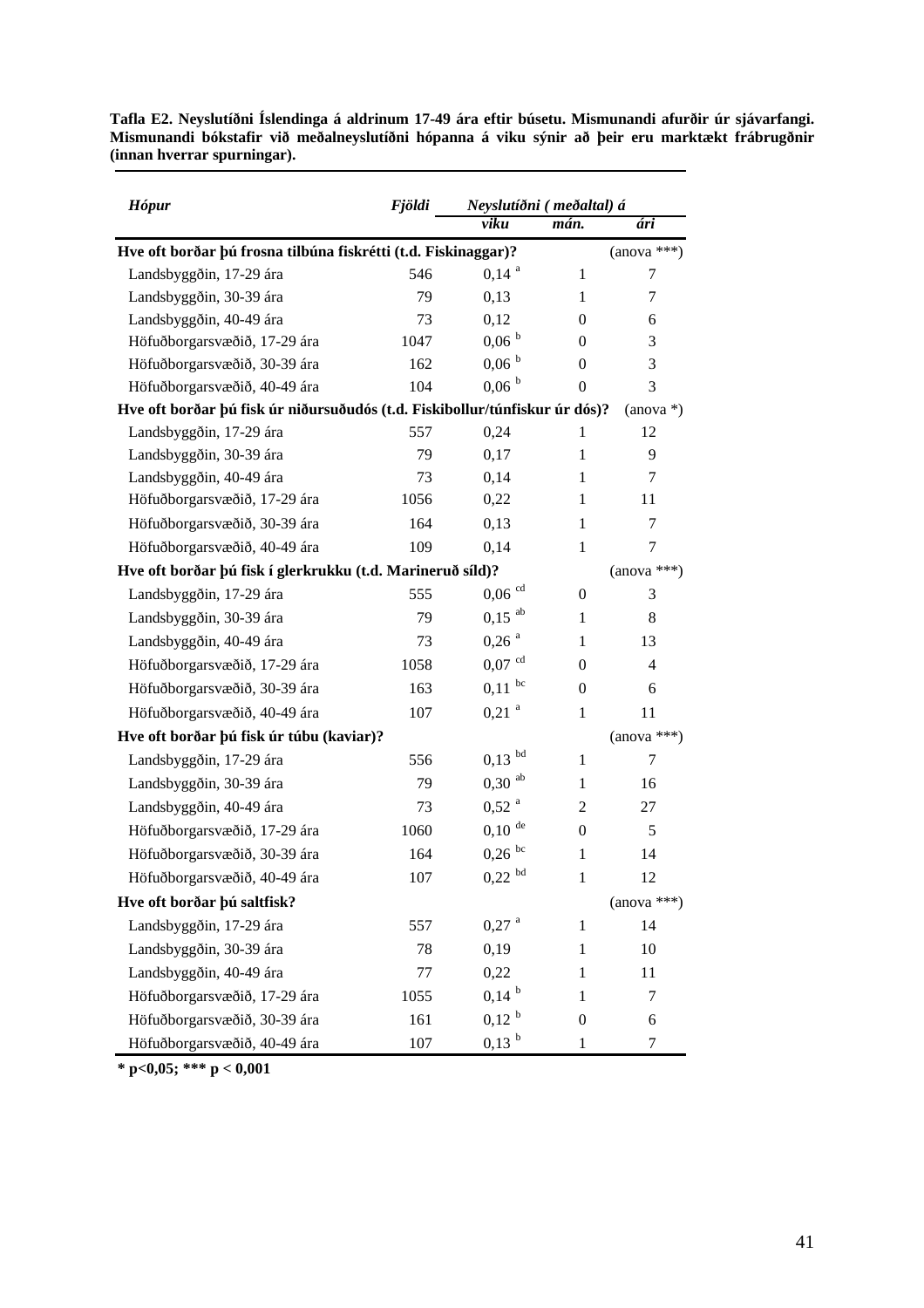| Tafla E2. Neyslutíðni Íslendinga á aldrinum 17-49 ára eftir búsetu. Mismunandi afurðir úr sjávarfangi. |  |  |  |
|--------------------------------------------------------------------------------------------------------|--|--|--|
| Mismunandi bókstafir við meðalneyslutíðni hópanna á viku sýnir að þeir eru marktækt frábrugðnir        |  |  |  |
| (innan hverrar spurningar).                                                                            |  |  |  |

| <b>Hópur</b>                                                                | <b>Fjöldi</b> |                      | Neyslutíðni (meðaltal) á |                |  |  |
|-----------------------------------------------------------------------------|---------------|----------------------|--------------------------|----------------|--|--|
|                                                                             |               | viku                 | mán.                     | ári            |  |  |
| Hve oft borðar þú frosna tilbúna fiskrétti (t.d. Fiskinaggar)?              |               |                      |                          | $(anova ***)$  |  |  |
| Landsbyggðin, 17-29 ára                                                     | 546           | $0,14$ <sup>a</sup>  | 1                        | 7              |  |  |
| Landsbyggðin, 30-39 ára                                                     | 79            | 0,13                 | $\mathbf{1}$             | 7              |  |  |
| Landsbyggðin, 40-49 ára                                                     | 73            | 0,12                 | 0                        | 6              |  |  |
| Höfuðborgarsvæðið, 17-29 ára                                                | 1047          | $0,06^{b}$           | $\Omega$                 | 3              |  |  |
| Höfuðborgarsvæðið, 30-39 ára                                                | 162           | $0,06^{b}$           | 0                        | 3              |  |  |
| Höfuðborgarsvæðið, 40-49 ára                                                | 104           | $0,06^{b}$           | 0                        | 3              |  |  |
| Hve oft borðar þú fisk úr niðursuðudós (t.d. Fiskibollur/túnfiskur úr dós)? |               |                      |                          | $(anova*)$     |  |  |
| Landsbyggðin, 17-29 ára                                                     | 557           | 0,24                 | 1                        | 12             |  |  |
| Landsbyggðin, 30-39 ára                                                     | 79            | 0,17                 | 1                        | 9              |  |  |
| Landsbyggðin, 40-49 ára                                                     | 73            | 0,14                 | 1                        | 7              |  |  |
| Höfuðborgarsvæðið, 17-29 ára                                                | 1056          | 0,22                 | 1                        | 11             |  |  |
| Höfuðborgarsvæðið, 30-39 ára                                                | 164           | 0,13                 | 1                        | 7              |  |  |
| Höfuðborgarsvæðið, 40-49 ára                                                | 109           | 0,14                 | 1                        | 7              |  |  |
| Hve oft borðar þú fisk í glerkrukku (t.d. Marineruð síld)?                  |               |                      |                          | $(anova ***)$  |  |  |
| Landsbyggðin, 17-29 ára                                                     | 555           | $0,06$ <sup>cd</sup> | $\mathbf{0}$             | 3              |  |  |
| Landsbyggðin, 30-39 ára                                                     | 79            | $0,15$ <sup>ab</sup> | $\mathbf{1}$             | 8              |  |  |
| Landsbyggðin, 40-49 ára                                                     | 73            | $0,26$ <sup>a</sup>  | 1                        | 13             |  |  |
| Höfuðborgarsvæðið, 17-29 ára                                                | 1058          | $0,07$ <sup>cd</sup> | 0                        | $\overline{4}$ |  |  |
| Höfuðborgarsvæðið, 30-39 ára                                                | 163           | $0,11$ bc            | $\mathbf{0}$             | 6              |  |  |
| Höfuðborgarsvæðið, 40-49 ára                                                | 107           | $0,21$ <sup>a</sup>  | $\mathbf{1}$             | 11             |  |  |
| Hve oft borðar þú fisk úr túbu (kaviar)?                                    |               |                      |                          | $(anova ***)$  |  |  |
| Landsbyggðin, 17-29 ára                                                     | 556           | $0,13$ bd            | $\mathbf{1}$             | 7              |  |  |
| Landsbyggðin, 30-39 ára                                                     | 79            | $0,30$ <sup>ab</sup> | $\mathbf{1}$             | 16             |  |  |
| Landsbyggðin, 40-49 ára                                                     | 73            | $0,52$ <sup>a</sup>  | 2                        | 27             |  |  |
| Höfuðborgarsvæðið, 17-29 ára                                                | 1060          | $0,10$ <sup>de</sup> | $\mathbf{0}$             | 5              |  |  |
| Höfuðborgarsvæðið, 30-39 ára                                                | 164           | $0,26$ <sup>bc</sup> | $\mathbf{1}$             | 14             |  |  |
| Höfuðborgarsvæðið, 40-49 ára                                                | 107           | $0,\!22$ $^{\rm bd}$ | 1                        | 12             |  |  |
| Hve oft borðar þú saltfisk?                                                 |               |                      |                          | $(anova ***)$  |  |  |
| Landsbyggðin, 17-29 ára                                                     | 557           | $0,27$ <sup>a</sup>  | 1                        | 14             |  |  |
| Landsbyggðin, 30-39 ára                                                     | 78            | 0,19                 | 1                        | 10             |  |  |
| Landsbyggðin, 40-49 ára                                                     | 77            | 0,22                 | 1                        | 11             |  |  |
| Höfuðborgarsvæðið, 17-29 ára                                                | 1055          | $0,14^{b}$           | 1                        | 7              |  |  |
| Höfuðborgarsvæðið, 30-39 ára                                                | 161           | $0,12^{b}$           | $\mathbf{0}$             | 6              |  |  |
| Höfuðborgarsvæðið, 40-49 ára                                                | 107           | $0.13^{b}$           | 1                        | 7              |  |  |

**\* p<0,05; \*\*\* p < 0,001**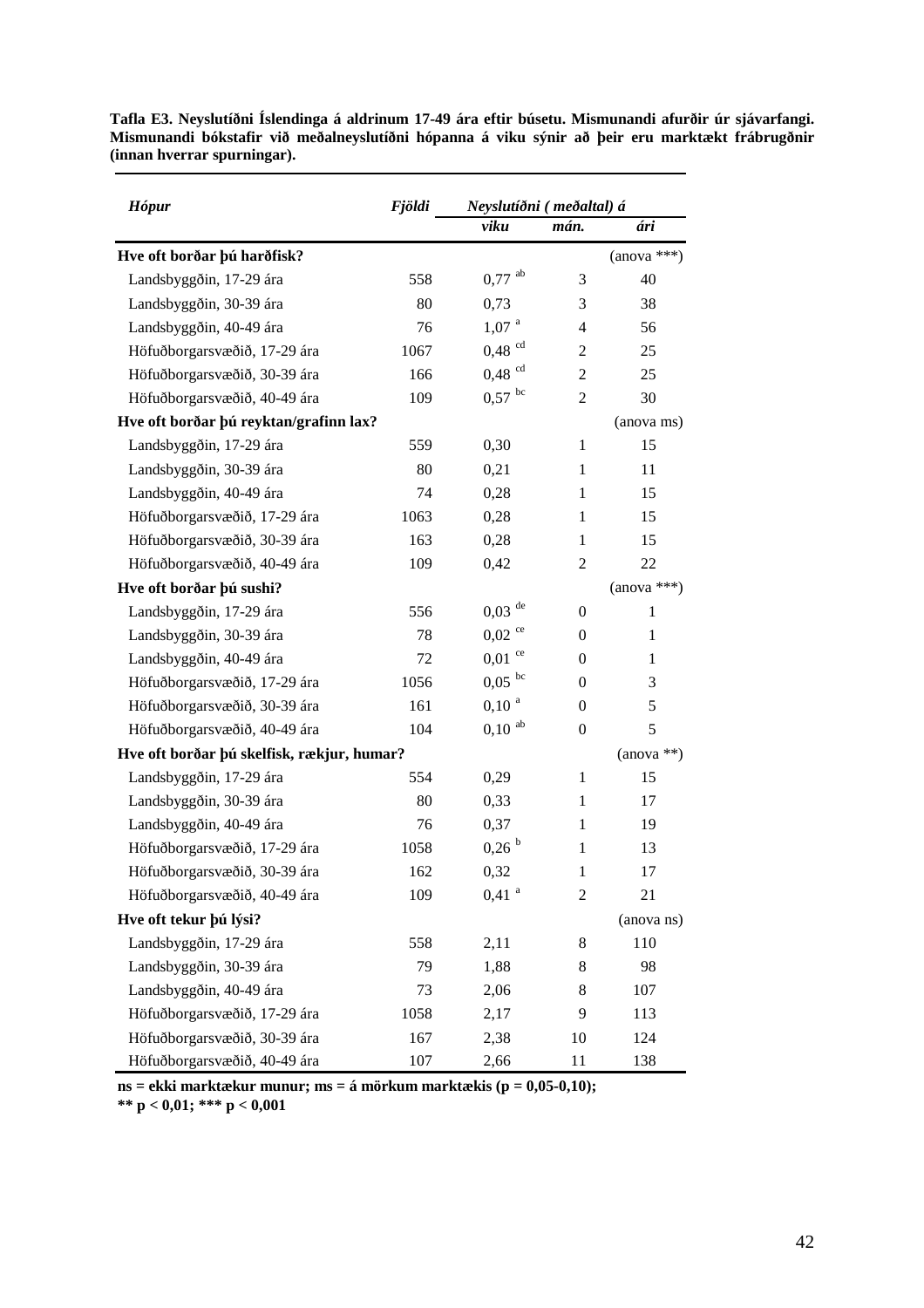| <b>Hópur</b>                               | <b>Fjöldi</b> | Neyslutíðni (meðaltal) á |                |               |
|--------------------------------------------|---------------|--------------------------|----------------|---------------|
|                                            |               | viku                     | mán.           | ári           |
| Hve oft borðar þú harðfisk?                |               |                          |                | $(anova ***)$ |
| Landsbyggðin, 17-29 ára                    | 558           | $0,77$ <sup>ab</sup>     | 3              | 40            |
| Landsbyggðin, 30-39 ára                    | 80            | 0,73                     | 3              | 38            |
| Landsbyggðin, 40-49 ára                    | 76            | 1,07 <sup>a</sup>        | 4              | 56            |
| Höfuðborgarsvæðið, 17-29 ára               | 1067          | $0,48$ <sup>cd</sup>     | 2              | 25            |
| Höfuðborgarsvæðið, 30-39 ára               | 166           | $0,48$ <sup>cd</sup>     | 2              | 25            |
| Höfuðborgarsvæðið, 40-49 ára               | 109           | $0,57$ bc                | $\overline{2}$ | 30            |
| Hve oft borðar þú reyktan/grafinn lax?     |               |                          |                | (anova ms)    |
| Landsbyggðin, 17-29 ára                    | 559           | 0,30                     | $\mathbf{1}$   | 15            |
| Landsbyggðin, 30-39 ára                    | 80            | 0,21                     | 1              | 11            |
| Landsbyggðin, 40-49 ára                    | 74            | 0,28                     | 1              | 15            |
| Höfuðborgarsvæðið, 17-29 ára               | 1063          | 0,28                     | 1              | 15            |
| Höfuðborgarsvæðið, 30-39 ára               | 163           | 0,28                     | $\mathbf{1}$   | 15            |
| Höfuðborgarsvæðið, 40-49 ára               | 109           | 0,42                     | 2              | 22            |
| Hve oft borðar þú sushi?                   |               |                          |                | $(anova ***)$ |
| Landsbyggðin, 17-29 ára                    | 556           | $0,03$ <sup>de</sup>     | $\mathbf{0}$   | 1             |
| Landsbyggðin, 30-39 ára                    | 78            | $0,02$ <sup>ce</sup>     | $\theta$       | 1             |
| Landsbyggðin, 40-49 ára                    | 72            | ce<br>0,01               | 0              | $\mathbf{1}$  |
| Höfuðborgarsvæðið, 17-29 ára               | 1056          | $0.05$ bc                | 0              | 3             |
| Höfuðborgarsvæðið, 30-39 ára               | 161           | $0,10^{a}$               | $\mathbf{0}$   | 5             |
| Höfuðborgarsvæðið, 40-49 ára               | 104           | $0,10$ <sup>ab</sup>     | $\overline{0}$ | 5             |
| Hve oft borðar þú skelfisk, rækjur, humar? |               |                          | $(anova **)$   |               |
| Landsbyggðin, 17-29 ára                    | 554           | 0,29                     | 1              | 15            |
| Landsbyggðin, 30-39 ára                    | 80            | 0,33                     | $\mathbf{1}$   | 17            |
| Landsbyggðin, 40-49 ára                    | 76            | 0,37                     | 1              | 19            |
| Höfuðborgarsvæðið, 17-29 ára               | 1058          | 0,26 <sup>b</sup>        | 1              | 13            |
| Höfuðborgarsvæðið, 30-39 ára               | 162           | 0,32                     | 1              | 17            |
| Höfuðborgarsvæðið, 40-49 ára               | 109           | $0,41$ <sup>a</sup>      | $\overline{c}$ | 21            |
| Hve oft tekur þú lýsi?                     |               |                          |                | (anova ns)    |
| Landsbyggðin, 17-29 ára                    | 558           | 2,11                     | 8              | 110           |
| Landsbyggðin, 30-39 ára                    | 79            | 1,88                     | 8              | 98            |
| Landsbyggðin, 40-49 ára                    | 73            | 2,06                     | 8              | 107           |
| Höfuðborgarsvæðið, 17-29 ára               | 1058          | 2,17                     | 9              | 113           |
| Höfuðborgarsvæðið, 30-39 ára               | 167           | 2,38                     | 10             | 124           |
| Höfuðborgarsvæðið, 40-49 ára               | 107           | 2,66                     | 11             | 138           |

**Tafla E3. Neyslutíðni Íslendinga á aldrinum 17-49 ára eftir búsetu. Mismunandi afurðir úr sjávarfangi. Mismunandi bókstafir við meðalneyslutíðni hópanna á viku sýnir að þeir eru marktækt frábrugðnir (innan hverrar spurningar).** 

**ns = ekki marktækur munur; ms = á mörkum marktækis (p = 0,05-0,10);** 

**\*\* p < 0,01; \*\*\* p < 0,001**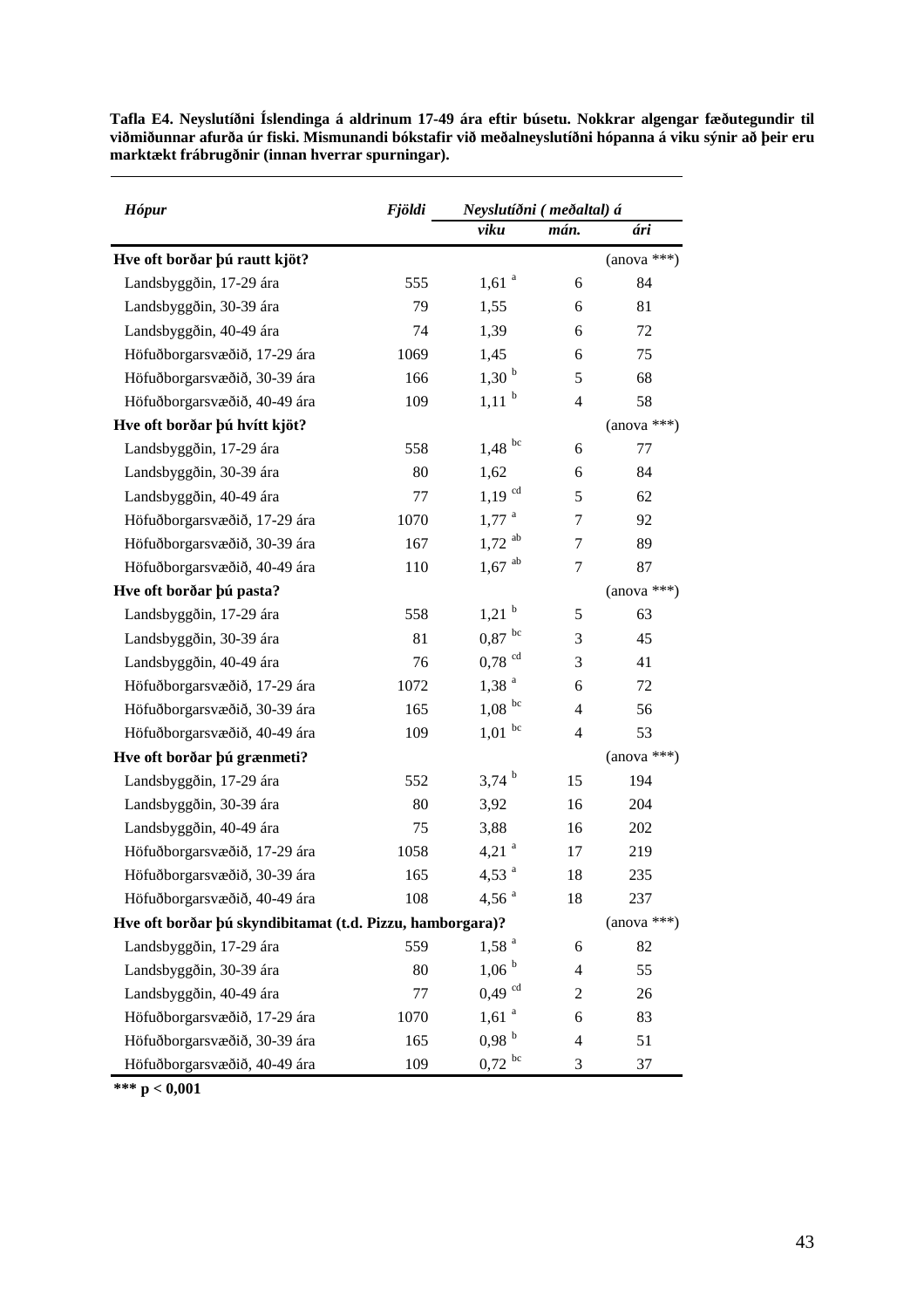| <b>Hópur</b>                                              | <b>Fjöldi</b> | Neyslutíðni (meðaltal) á |                |               |
|-----------------------------------------------------------|---------------|--------------------------|----------------|---------------|
|                                                           |               | viku                     | mán.           | ári           |
| Hve oft borðar þú rautt kjöt?                             |               |                          |                | $(anova ***)$ |
| Landsbyggðin, 17-29 ára                                   | 555           | $1,61$ <sup>a</sup>      | 6              | 84            |
| Landsbyggðin, 30-39 ára                                   | 79            | 1,55                     | 6              | 81            |
| Landsbyggðin, 40-49 ára                                   | 74            | 1,39                     | 6              | 72            |
| Höfuðborgarsvæðið, 17-29 ára                              | 1069          | 1,45                     | 6              | 75            |
| Höfuðborgarsvæðið, 30-39 ára                              | 166           | 1,30 <sup>b</sup>        | 5              | 68            |
| Höfuðborgarsvæðið, 40-49 ára                              | 109           | $1,11^{b}$               | $\overline{4}$ | 58            |
| Hve oft borðar þú hvítt kjöt?                             |               |                          |                | $(anova ***)$ |
| Landsbyggðin, 17-29 ára                                   | 558           | $1,48$ bc                | 6              | 77            |
| Landsbyggðin, 30-39 ára                                   | 80            | 1,62                     | 6              | 84            |
| Landsbyggðin, 40-49 ára                                   | 77            | $1,19$ <sup>cd</sup>     | 5              | 62            |
| Höfuðborgarsvæðið, 17-29 ára                              | 1070          | $1,77$ <sup>a</sup>      | 7              | 92            |
| Höfuðborgarsvæðið, 30-39 ára                              | 167           | $1,72$ <sup>ab</sup>     | 7              | 89            |
| Höfuðborgarsvæðið, 40-49 ára                              | 110           | $1,67$ <sup>ab</sup>     | 7              | 87            |
| Hve oft borðar þú pasta?                                  |               |                          |                | $(anova ***)$ |
| Landsbyggðin, 17-29 ára                                   | 558           | $1,21$ <sup>b</sup>      | 5              | 63            |
| Landsbyggðin, 30-39 ára                                   | 81            | $0.87$ bc                | 3              | 45            |
| Landsbyggðin, 40-49 ára                                   | 76            | $0,78$ <sup>cd</sup>     | 3              | 41            |
| Höfuðborgarsvæðið, 17-29 ára                              | 1072          | 1,38 <sup>a</sup>        | 6              | 72            |
| Höfuðborgarsvæðið, 30-39 ára                              | 165           | $1,08$ bc                | $\overline{4}$ | 56            |
| Höfuðborgarsvæðið, 40-49 ára                              | 109           | $1,01$ bc                | $\overline{4}$ | 53            |
| Hve oft borðar þú grænmeti?                               |               |                          |                | $(anova ***)$ |
| Landsbyggðin, 17-29 ára                                   | 552           | $3,74^{b}$               | 15             | 194           |
| Landsbyggðin, 30-39 ára                                   | 80            | 3,92                     | 16             | 204           |
| Landsbyggðin, 40-49 ára                                   | 75            | 3,88                     | 16             | 202           |
| Höfuðborgarsvæðið, 17-29 ára                              | 1058          | 4,21 $^{a}$              | 17             | 219           |
| Höfuðborgarsvæðið, 30-39 ára                              | 165           | 4,53 $^{a}$              | 18             | 235           |
| Höfuðborgarsvæðið, 40-49 ára                              | 108           | 4,56 $^{a}$              | 18             | 237           |
| Hve oft borðar þú skyndibitamat (t.d. Pizzu, hamborgara)? |               |                          |                | $(anova ***)$ |
| Landsbyggðin, 17-29 ára                                   | 559           | 1,58 <sup>a</sup>        | 6              | 82            |
| Landsbyggðin, 30-39 ára                                   | 80            | $1,06^{b}$               | $\overline{4}$ | 55            |
| Landsbyggðin, 40-49 ára                                   | 77            | $0,49$ <sup>cd</sup>     | 2              | 26            |
| Höfuðborgarsvæðið, 17-29 ára                              | 1070          | $1,61$ <sup>a</sup>      | 6              | 83            |
| Höfuðborgarsvæðið, 30-39 ára                              | 165           | 0.98 <sup>b</sup>        | 4              | 51            |
| Höfuðborgarsvæðið, 40-49 ára                              | 109           | $0.72$ bc                | 3              | 37            |

**Tafla E4. Neyslutíðni Íslendinga á aldrinum 17-49 ára eftir búsetu. Nokkrar algengar fæðutegundir til viðmiðunnar afurða úr fiski. Mismunandi bókstafir við meðalneyslutíðni hópanna á viku sýnir að þeir eru marktækt frábrugðnir (innan hverrar spurningar).** 

**\*\*\* p < 0,001**